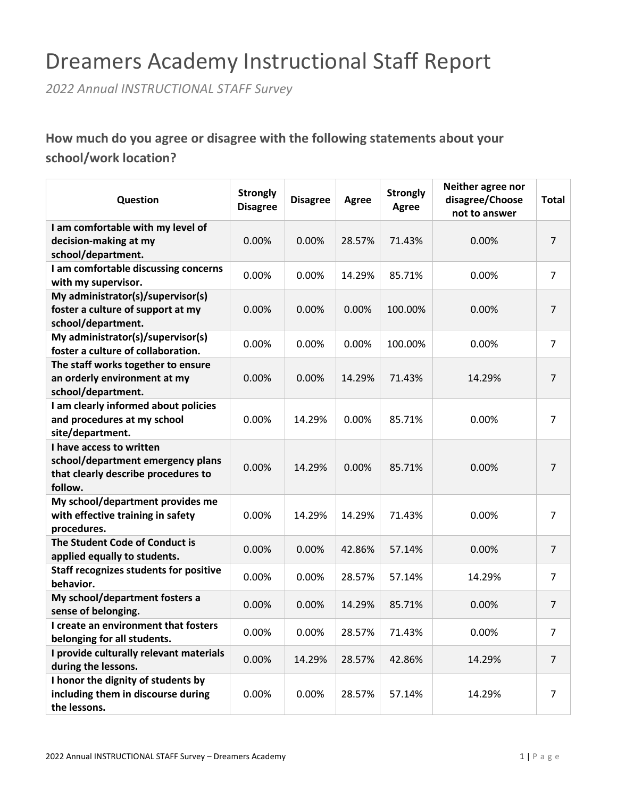# Dreamers Academy Instructional Staff Report

*2022 Annual INSTRUCTIONAL STAFF Survey*

**How much do you agree or disagree with the following statements about your school/work location?**

| Question                                                                                                        | <b>Strongly</b><br><b>Disagree</b> | <b>Disagree</b> | Agree  | <b>Strongly</b><br>Agree | Neither agree nor<br>disagree/Choose<br>not to answer | <b>Total</b>   |
|-----------------------------------------------------------------------------------------------------------------|------------------------------------|-----------------|--------|--------------------------|-------------------------------------------------------|----------------|
| I am comfortable with my level of<br>decision-making at my<br>school/department.                                | 0.00%                              | 0.00%           | 28.57% | 71.43%                   | 0.00%                                                 | $\overline{7}$ |
| I am comfortable discussing concerns<br>with my supervisor.                                                     | 0.00%                              | 0.00%           | 14.29% | 85.71%                   | 0.00%                                                 | 7              |
| My administrator(s)/supervisor(s)<br>foster a culture of support at my<br>school/department.                    | 0.00%                              | 0.00%           | 0.00%  | 100.00%                  | 0.00%                                                 | 7              |
| My administrator(s)/supervisor(s)<br>foster a culture of collaboration.                                         | 0.00%                              | 0.00%           | 0.00%  | 100.00%                  | 0.00%                                                 | $\overline{7}$ |
| The staff works together to ensure<br>an orderly environment at my<br>school/department.                        | 0.00%                              | 0.00%           | 14.29% | 71.43%                   | 14.29%                                                | 7              |
| I am clearly informed about policies<br>and procedures at my school<br>site/department.                         | 0.00%                              | 14.29%          | 0.00%  | 85.71%                   | 0.00%                                                 | 7              |
| I have access to written<br>school/department emergency plans<br>that clearly describe procedures to<br>follow. | 0.00%                              | 14.29%          | 0.00%  | 85.71%                   | 0.00%                                                 | 7              |
| My school/department provides me<br>with effective training in safety<br>procedures.                            | 0.00%                              | 14.29%          | 14.29% | 71.43%                   | 0.00%                                                 | 7              |
| The Student Code of Conduct is<br>applied equally to students.                                                  | 0.00%                              | 0.00%           | 42.86% | 57.14%                   | 0.00%                                                 | 7              |
| <b>Staff recognizes students for positive</b><br>behavior.                                                      | 0.00%                              | 0.00%           | 28.57% | 57.14%                   | 14.29%                                                | 7              |
| My school/department fosters a<br>sense of belonging.                                                           | 0.00%                              | 0.00%           | 14.29% | 85.71%                   | 0.00%                                                 | 7              |
| I create an environment that fosters<br>belonging for all students.                                             | 0.00%                              | 0.00%           | 28.57% | 71.43%                   | 0.00%                                                 | 7              |
| I provide culturally relevant materials<br>during the lessons.                                                  | 0.00%                              | 14.29%          | 28.57% | 42.86%                   | 14.29%                                                | $\overline{7}$ |
| I honor the dignity of students by<br>including them in discourse during<br>the lessons.                        | 0.00%                              | 0.00%           | 28.57% | 57.14%                   | 14.29%                                                | 7              |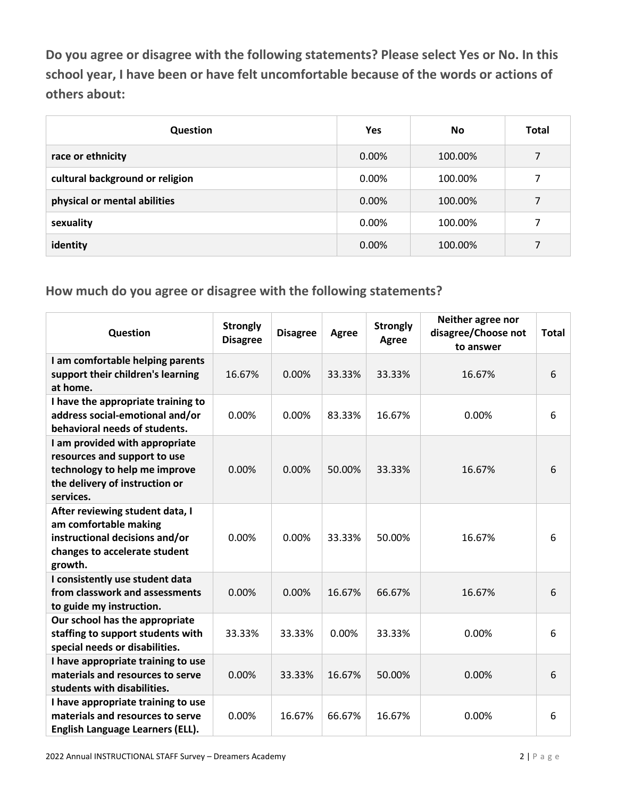**Do you agree or disagree with the following statements? Please select Yes or No. In this school year, I have been or have felt uncomfortable because of the words or actions of others about:**

| Question                        | <b>Yes</b> | <b>No</b> | <b>Total</b>   |
|---------------------------------|------------|-----------|----------------|
| race or ethnicity               | 0.00%      | 100.00%   | 7              |
| cultural background or religion | 0.00%      | 100.00%   | 7              |
| physical or mental abilities    | 0.00%      | 100.00%   | $\overline{7}$ |
| sexuality                       | 0.00%      | 100.00%   | 7              |
| identity                        | 0.00%      | 100.00%   | 7              |

| Question                                                                                                                                       | <b>Strongly</b><br><b>Disagree</b> | <b>Disagree</b> | Agree  | <b>Strongly</b><br>Agree | Neither agree nor<br>disagree/Choose not<br>to answer | <b>Total</b> |
|------------------------------------------------------------------------------------------------------------------------------------------------|------------------------------------|-----------------|--------|--------------------------|-------------------------------------------------------|--------------|
| I am comfortable helping parents<br>support their children's learning<br>at home.                                                              | 16.67%                             | 0.00%           | 33.33% | 33.33%                   | 16.67%                                                | 6            |
| I have the appropriate training to<br>address social-emotional and/or<br>behavioral needs of students.                                         | 0.00%                              | 0.00%           | 83.33% | 16.67%                   | 0.00%                                                 | 6            |
| I am provided with appropriate<br>resources and support to use<br>technology to help me improve<br>the delivery of instruction or<br>services. | 0.00%                              | 0.00%           | 50.00% | 33.33%                   | 16.67%                                                | 6            |
| After reviewing student data, I<br>am comfortable making<br>instructional decisions and/or<br>changes to accelerate student<br>growth.         | 0.00%                              | 0.00%           | 33.33% | 50.00%                   | 16.67%                                                | 6            |
| I consistently use student data<br>from classwork and assessments<br>to guide my instruction.                                                  | 0.00%                              | 0.00%           | 16.67% | 66.67%                   | 16.67%                                                | 6            |
| Our school has the appropriate<br>staffing to support students with<br>special needs or disabilities.                                          | 33.33%                             | 33.33%          | 0.00%  | 33.33%                   | 0.00%                                                 | 6            |
| I have appropriate training to use<br>materials and resources to serve<br>students with disabilities.                                          | 0.00%                              | 33.33%          | 16.67% | 50.00%                   | 0.00%                                                 | 6            |
| I have appropriate training to use<br>materials and resources to serve<br>English Language Learners (ELL).                                     | 0.00%                              | 16.67%          | 66.67% | 16.67%                   | 0.00%                                                 | 6            |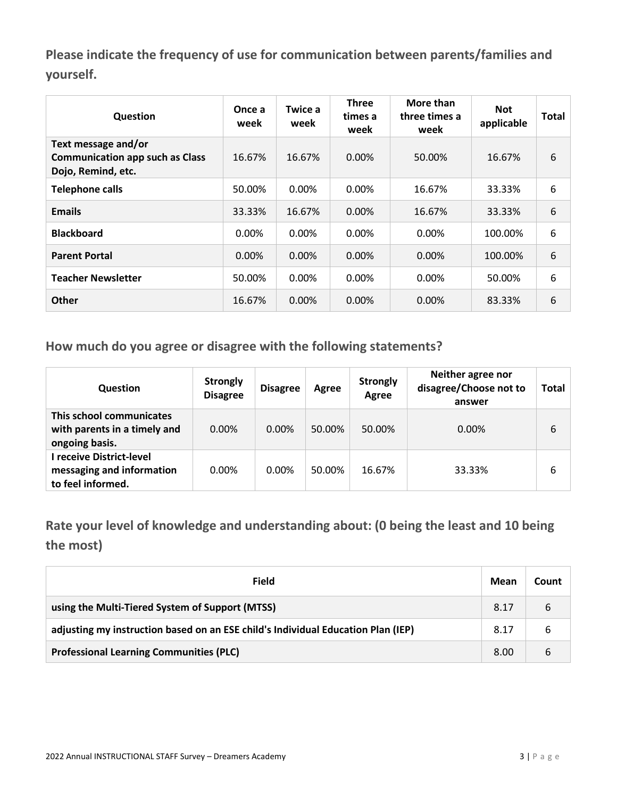**Please indicate the frequency of use for communication between parents/families and yourself.**

| Question                                                                            | Once a<br>week | Twice a<br>week | <b>Three</b><br>times a<br>week | More than<br>three times a<br>week | <b>Not</b><br>applicable | Total |
|-------------------------------------------------------------------------------------|----------------|-----------------|---------------------------------|------------------------------------|--------------------------|-------|
| Text message and/or<br><b>Communication app such as Class</b><br>Dojo, Remind, etc. | 16.67%         | 16.67%          | $0.00\%$                        | 50.00%                             | 16.67%                   | 6     |
| <b>Telephone calls</b>                                                              | 50.00%         | 0.00%           | $0.00\%$                        | 16.67%                             | 33.33%                   | 6     |
| <b>Emails</b>                                                                       | 33.33%         | 16.67%          | $0.00\%$                        | 16.67%                             | 33.33%                   | 6     |
| <b>Blackboard</b>                                                                   | $0.00\%$       | 0.00%           | 0.00%                           | 0.00%                              | 100.00%                  | 6     |
| <b>Parent Portal</b>                                                                | $0.00\%$       | $0.00\%$        | $0.00\%$                        | $0.00\%$                           | 100.00%                  | 6     |
| <b>Teacher Newsletter</b>                                                           | 50.00%         | $0.00\%$        | $0.00\%$                        | $0.00\%$                           | 50.00%                   | 6     |
| <b>Other</b>                                                                        | 16.67%         | 0.00%           | 0.00%                           | $0.00\%$                           | 83.33%                   | 6     |

**How much do you agree or disagree with the following statements?**

| <b>Question</b>                                                            | <b>Strongly</b><br><b>Disagree</b> | <b>Disagree</b> | Agree  | <b>Strongly</b><br>Agree | Neither agree nor<br>disagree/Choose not to<br>answer | Total |
|----------------------------------------------------------------------------|------------------------------------|-----------------|--------|--------------------------|-------------------------------------------------------|-------|
| This school communicates<br>with parents in a timely and<br>ongoing basis. | $0.00\%$                           | $0.00\%$        | 50.00% | 50.00%                   | $0.00\%$                                              | 6     |
| I receive District-level<br>messaging and information<br>to feel informed. | $0.00\%$                           | $0.00\%$        | 50.00% | 16.67%                   | 33.33%                                                | 6     |

**Rate your level of knowledge and understanding about: (0 being the least and 10 being the most)**

| Field                                                                            | Mean | Count |
|----------------------------------------------------------------------------------|------|-------|
| using the Multi-Tiered System of Support (MTSS)                                  | 8.17 | 6     |
| adjusting my instruction based on an ESE child's Individual Education Plan (IEP) | 8.17 | 6     |
| <b>Professional Learning Communities (PLC)</b>                                   | 8.00 | 6     |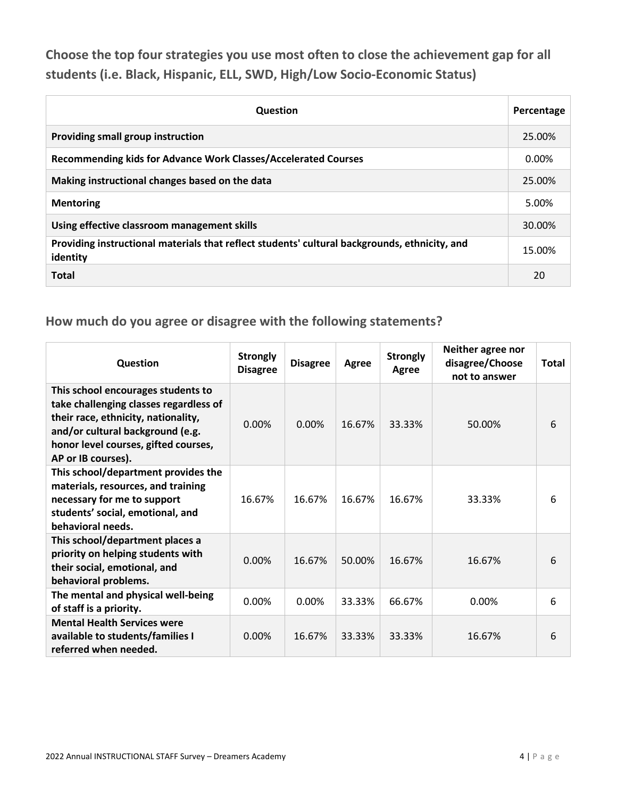**Choose the top four strategies you use most often to close the achievement gap for all students (i.e. Black, Hispanic, ELL, SWD, High/Low Socio-Economic Status)**

| <b>Question</b>                                                                                           | Percentage |
|-----------------------------------------------------------------------------------------------------------|------------|
| Providing small group instruction                                                                         | 25.00%     |
| Recommending kids for Advance Work Classes/Accelerated Courses                                            | 0.00%      |
| Making instructional changes based on the data                                                            | 25.00%     |
| <b>Mentoring</b>                                                                                          | 5.00%      |
| Using effective classroom management skills                                                               | 30.00%     |
| Providing instructional materials that reflect students' cultural backgrounds, ethnicity, and<br>identity | 15.00%     |
| <b>Total</b>                                                                                              | 20         |

| <b>Question</b>                                                                                                                                                                                                       | <b>Strongly</b><br><b>Disagree</b> | <b>Disagree</b> | Agree  | <b>Strongly</b><br>Agree | Neither agree nor<br>disagree/Choose<br>not to answer | <b>Total</b> |
|-----------------------------------------------------------------------------------------------------------------------------------------------------------------------------------------------------------------------|------------------------------------|-----------------|--------|--------------------------|-------------------------------------------------------|--------------|
| This school encourages students to<br>take challenging classes regardless of<br>their race, ethnicity, nationality,<br>and/or cultural background (e.g.<br>honor level courses, gifted courses,<br>AP or IB courses). | 0.00%                              | 0.00%           | 16.67% | 33.33%                   | 50.00%                                                | 6            |
| This school/department provides the<br>materials, resources, and training<br>necessary for me to support<br>students' social, emotional, and<br>behavioral needs.                                                     | 16.67%                             | 16.67%          | 16.67% | 16.67%                   | 33.33%                                                | 6            |
| This school/department places a<br>priority on helping students with<br>their social, emotional, and<br>behavioral problems.                                                                                          | 0.00%                              | 16.67%          | 50.00% | 16.67%                   | 16.67%                                                | 6            |
| The mental and physical well-being<br>of staff is a priority.                                                                                                                                                         | 0.00%                              | 0.00%           | 33.33% | 66.67%                   | 0.00%                                                 | 6            |
| <b>Mental Health Services were</b><br>available to students/families I<br>referred when needed.                                                                                                                       | 0.00%                              | 16.67%          | 33.33% | 33.33%                   | 16.67%                                                | 6            |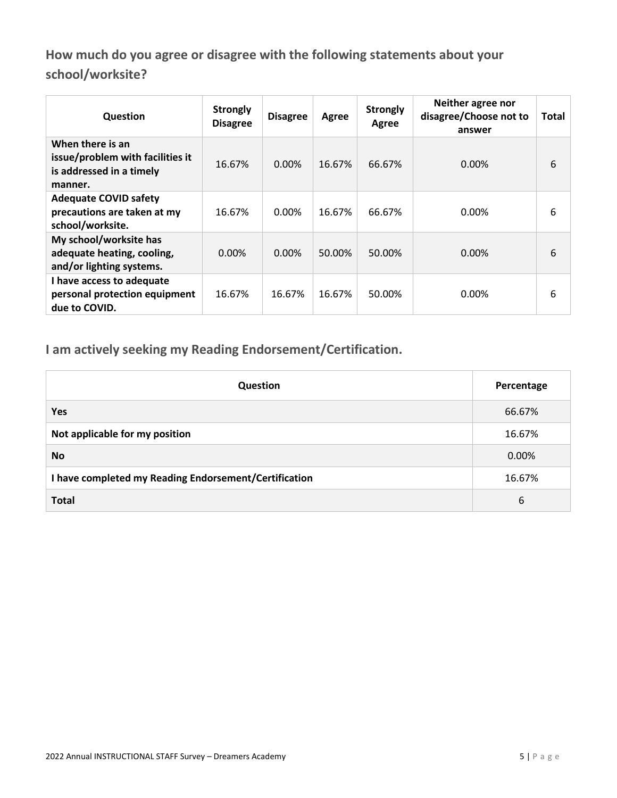**How much do you agree or disagree with the following statements about your school/worksite?**

| Question                                                                                    | <b>Strongly</b><br><b>Disagree</b> | <b>Disagree</b> | Agree  | <b>Strongly</b><br>Agree | Neither agree nor<br>disagree/Choose not to<br>answer | <b>Total</b> |
|---------------------------------------------------------------------------------------------|------------------------------------|-----------------|--------|--------------------------|-------------------------------------------------------|--------------|
| When there is an<br>issue/problem with facilities it<br>is addressed in a timely<br>manner. | 16.67%                             | $0.00\%$        | 16.67% | 66.67%                   | 0.00%                                                 | 6            |
| <b>Adequate COVID safety</b><br>precautions are taken at my<br>school/worksite.             | 16.67%                             | $0.00\%$        | 16.67% | 66.67%                   | $0.00\%$                                              | 6            |
| My school/worksite has<br>adequate heating, cooling,<br>and/or lighting systems.            | $0.00\%$                           | $0.00\%$        | 50.00% | 50.00%                   | 0.00%                                                 | 6            |
| I have access to adequate<br>personal protection equipment<br>due to COVID.                 | 16.67%                             | 16.67%          | 16.67% | 50.00%                   | $0.00\%$                                              | 6            |

**I am actively seeking my Reading Endorsement/Certification.**

| Question                                              | Percentage |
|-------------------------------------------------------|------------|
| Yes                                                   | 66.67%     |
| Not applicable for my position                        | 16.67%     |
| <b>No</b>                                             | 0.00%      |
| I have completed my Reading Endorsement/Certification | 16.67%     |
| <b>Total</b>                                          | 6          |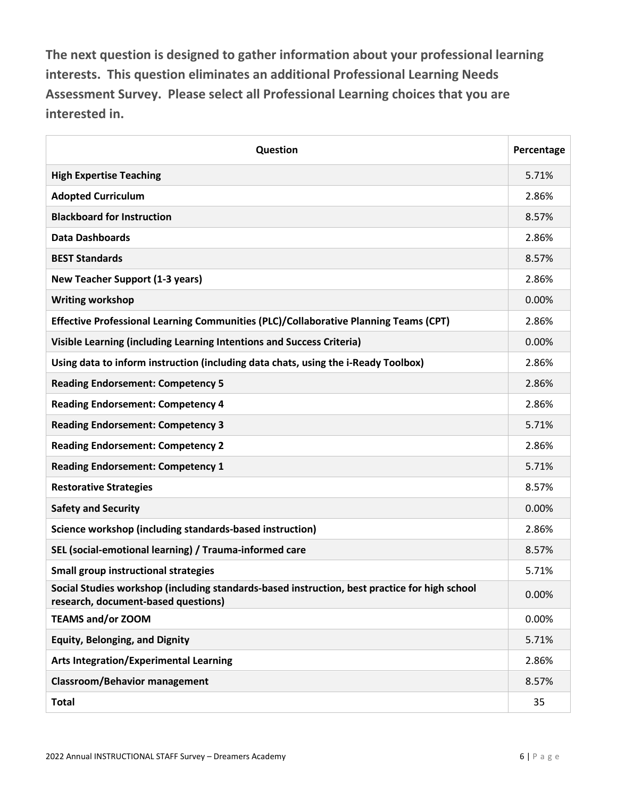**The next question is designed to gather information about your professional learning interests. This question eliminates an additional Professional Learning Needs Assessment Survey. Please select all Professional Learning choices that you are interested in.**

| Question                                                                                                                             | Percentage |
|--------------------------------------------------------------------------------------------------------------------------------------|------------|
| <b>High Expertise Teaching</b>                                                                                                       | 5.71%      |
| <b>Adopted Curriculum</b>                                                                                                            | 2.86%      |
| <b>Blackboard for Instruction</b>                                                                                                    | 8.57%      |
| <b>Data Dashboards</b>                                                                                                               | 2.86%      |
| <b>BEST Standards</b>                                                                                                                | 8.57%      |
| <b>New Teacher Support (1-3 years)</b>                                                                                               | 2.86%      |
| <b>Writing workshop</b>                                                                                                              | 0.00%      |
| Effective Professional Learning Communities (PLC)/Collaborative Planning Teams (CPT)                                                 | 2.86%      |
| Visible Learning (including Learning Intentions and Success Criteria)                                                                | 0.00%      |
| Using data to inform instruction (including data chats, using the i-Ready Toolbox)                                                   | 2.86%      |
| <b>Reading Endorsement: Competency 5</b>                                                                                             | 2.86%      |
| <b>Reading Endorsement: Competency 4</b>                                                                                             | 2.86%      |
| <b>Reading Endorsement: Competency 3</b>                                                                                             | 5.71%      |
| <b>Reading Endorsement: Competency 2</b>                                                                                             | 2.86%      |
| <b>Reading Endorsement: Competency 1</b>                                                                                             | 5.71%      |
| <b>Restorative Strategies</b>                                                                                                        | 8.57%      |
| <b>Safety and Security</b>                                                                                                           | 0.00%      |
| Science workshop (including standards-based instruction)                                                                             | 2.86%      |
| SEL (social-emotional learning) / Trauma-informed care                                                                               | 8.57%      |
| <b>Small group instructional strategies</b>                                                                                          | 5.71%      |
| Social Studies workshop (including standards-based instruction, best practice for high school<br>research, document-based questions) | 0.00%      |
| <b>TEAMS and/or ZOOM</b>                                                                                                             | 0.00%      |
| <b>Equity, Belonging, and Dignity</b>                                                                                                | 5.71%      |
| <b>Arts Integration/Experimental Learning</b>                                                                                        | 2.86%      |
| <b>Classroom/Behavior management</b>                                                                                                 | 8.57%      |
| <b>Total</b>                                                                                                                         | 35         |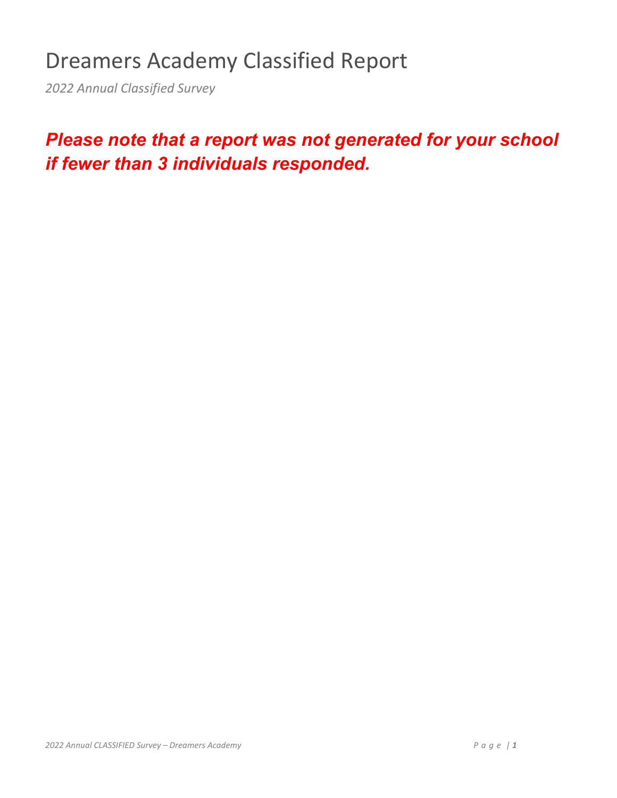# Dreamers Academy Classified Report

*2022 Annual Classified Survey*

## *Please note that a report was not generated for your school if fewer than 3 individuals responded.*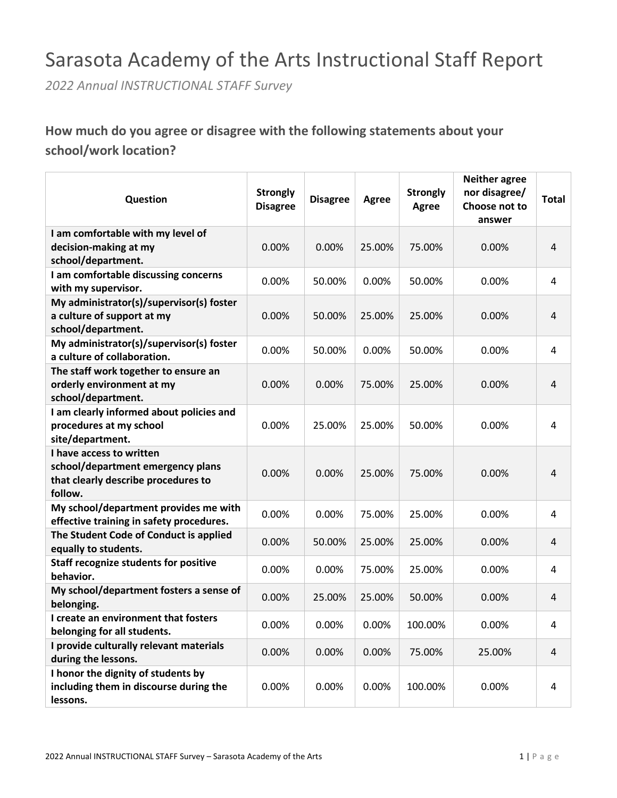## Sarasota Academy of the Arts Instructional Staff Report

*2022 Annual INSTRUCTIONAL STAFF Survey*

### **How much do you agree or disagree with the following statements about your school/work location?**

| Question                                                       | <b>Strongly</b><br><b>Disagree</b> | <b>Disagree</b> | Agree  | <b>Strongly</b><br><b>Agree</b> | <b>Neither agree</b><br>nor disagree/<br>Choose not to<br>answer | <b>Total</b>   |
|----------------------------------------------------------------|------------------------------------|-----------------|--------|---------------------------------|------------------------------------------------------------------|----------------|
| I am comfortable with my level of                              |                                    |                 |        |                                 |                                                                  |                |
| decision-making at my                                          | 0.00%                              | 0.00%           | 25.00% | 75.00%                          | 0.00%                                                            | $\overline{4}$ |
| school/department.                                             |                                    |                 |        |                                 |                                                                  |                |
| I am comfortable discussing concerns<br>with my supervisor.    | 0.00%                              | 50.00%          | 0.00%  | 50.00%                          | 0.00%                                                            | 4              |
| My administrator(s)/supervisor(s) foster                       |                                    |                 |        |                                 |                                                                  |                |
| a culture of support at my                                     | 0.00%                              | 50.00%          | 25.00% | 25.00%                          | 0.00%                                                            | 4              |
| school/department.                                             |                                    |                 |        |                                 |                                                                  |                |
| My administrator(s)/supervisor(s) foster                       |                                    |                 |        |                                 |                                                                  |                |
| a culture of collaboration.                                    | 0.00%                              | 50.00%          | 0.00%  | 50.00%                          | 0.00%                                                            | 4              |
| The staff work together to ensure an                           |                                    |                 |        |                                 |                                                                  |                |
| orderly environment at my                                      | 0.00%                              | 0.00%           | 75.00% | 25.00%                          | 0.00%                                                            | 4              |
| school/department.                                             |                                    |                 |        |                                 |                                                                  |                |
| I am clearly informed about policies and                       |                                    |                 |        |                                 |                                                                  |                |
| procedures at my school                                        | 0.00%                              | 25.00%          | 25.00% | 50.00%                          | 0.00%                                                            | 4              |
| site/department.                                               |                                    |                 |        |                                 |                                                                  |                |
| I have access to written                                       |                                    |                 |        |                                 |                                                                  |                |
| school/department emergency plans                              | 0.00%                              | 0.00%           | 25.00% | 75.00%                          | 0.00%                                                            | 4              |
| that clearly describe procedures to                            |                                    |                 |        |                                 |                                                                  |                |
| follow.                                                        |                                    |                 |        |                                 |                                                                  |                |
| My school/department provides me with                          | 0.00%                              | 0.00%           | 75.00% | 25.00%                          | 0.00%                                                            | 4              |
| effective training in safety procedures.                       |                                    |                 |        |                                 |                                                                  |                |
| The Student Code of Conduct is applied<br>equally to students. | 0.00%                              | 50.00%          | 25.00% | 25.00%                          | 0.00%                                                            | 4              |
| <b>Staff recognize students for positive</b><br>behavior.      | 0.00%                              | 0.00%           | 75.00% | 25.00%                          | 0.00%                                                            | 4              |
| My school/department fosters a sense of<br>belonging.          | 0.00%                              | 25.00%          | 25.00% | 50.00%                          | 0.00%                                                            | 4              |
| I create an environment that fosters                           |                                    |                 |        |                                 |                                                                  |                |
| belonging for all students.                                    | 0.00%                              | 0.00%           | 0.00%  | 100.00%                         | 0.00%                                                            | 4              |
| I provide culturally relevant materials                        |                                    |                 |        |                                 |                                                                  |                |
| during the lessons.                                            | 0.00%                              | 0.00%           | 0.00%  | 75.00%                          | 25.00%                                                           | 4              |
| I honor the dignity of students by                             |                                    |                 |        |                                 |                                                                  |                |
| including them in discourse during the                         | 0.00%                              | 0.00%           | 0.00%  | 100.00%                         | 0.00%                                                            | 4              |
| lessons.                                                       |                                    |                 |        |                                 |                                                                  |                |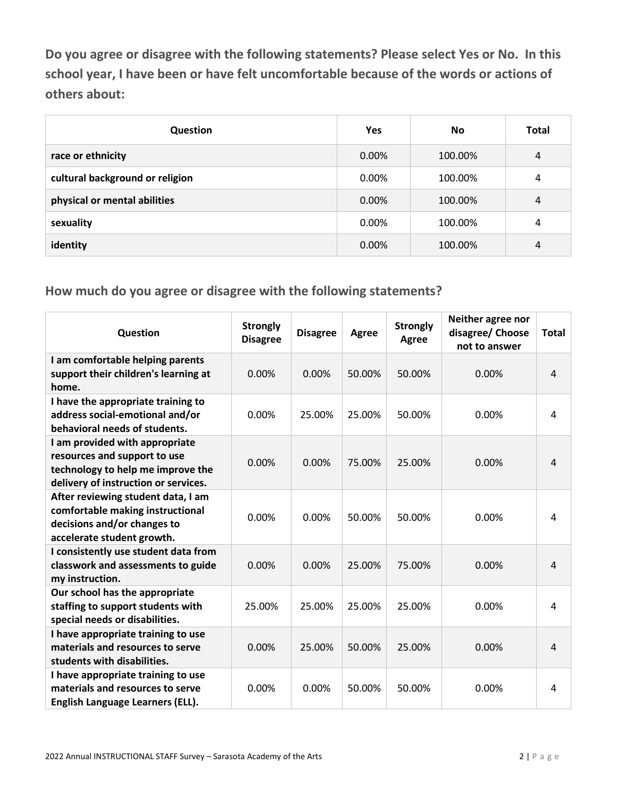**Do you agree or disagree with the following statements? Please select Yes or No. In this school year, I have been or have felt uncomfortable because of the words or actions of others about:**

| Question                        | Yes   | <b>No</b> | <b>Total</b>   |
|---------------------------------|-------|-----------|----------------|
| race or ethnicity               | 0.00% | 100.00%   | $\overline{4}$ |
| cultural background or religion | 0.00% | 100.00%   | 4              |
| physical or mental abilities    | 0.00% | 100.00%   | 4              |
| sexuality                       | 0.00% | 100.00%   | 4              |
| identity                        | 0.00% | 100.00%   | 4              |

| Question                                                                                                                                    | <b>Strongly</b><br><b>Disagree</b> | <b>Disagree</b> | Agree  | <b>Strongly</b><br><b>Agree</b> | Neither agree nor<br>disagree/ Choose<br>not to answer | Total          |
|---------------------------------------------------------------------------------------------------------------------------------------------|------------------------------------|-----------------|--------|---------------------------------|--------------------------------------------------------|----------------|
| I am comfortable helping parents<br>support their children's learning at<br>home.                                                           | 0.00%                              | 0.00%           | 50.00% | 50.00%                          | 0.00%                                                  | $\overline{4}$ |
| I have the appropriate training to<br>address social-emotional and/or<br>behavioral needs of students.                                      | 0.00%                              | 25.00%          | 25.00% | 50.00%                          | 0.00%                                                  | 4              |
| I am provided with appropriate<br>resources and support to use<br>technology to help me improve the<br>delivery of instruction or services. | 0.00%                              | 0.00%           | 75.00% | 25.00%                          | 0.00%                                                  | $\overline{4}$ |
| After reviewing student data, I am<br>comfortable making instructional<br>decisions and/or changes to<br>accelerate student growth.         | 0.00%                              | 0.00%           | 50.00% | 50.00%                          | 0.00%                                                  | 4              |
| I consistently use student data from<br>classwork and assessments to guide<br>my instruction.                                               | 0.00%                              | 0.00%           | 25.00% | 75.00%                          | 0.00%                                                  | $\overline{4}$ |
| Our school has the appropriate<br>staffing to support students with<br>special needs or disabilities.                                       | 25.00%                             | 25.00%          | 25.00% | 25.00%                          | 0.00%                                                  | 4              |
| I have appropriate training to use<br>materials and resources to serve<br>students with disabilities.                                       | 0.00%                              | 25.00%          | 50.00% | 25.00%                          | 0.00%                                                  | 4              |
| I have appropriate training to use<br>materials and resources to serve<br>English Language Learners (ELL).                                  | 0.00%                              | 0.00%           | 50.00% | 50.00%                          | 0.00%                                                  | 4              |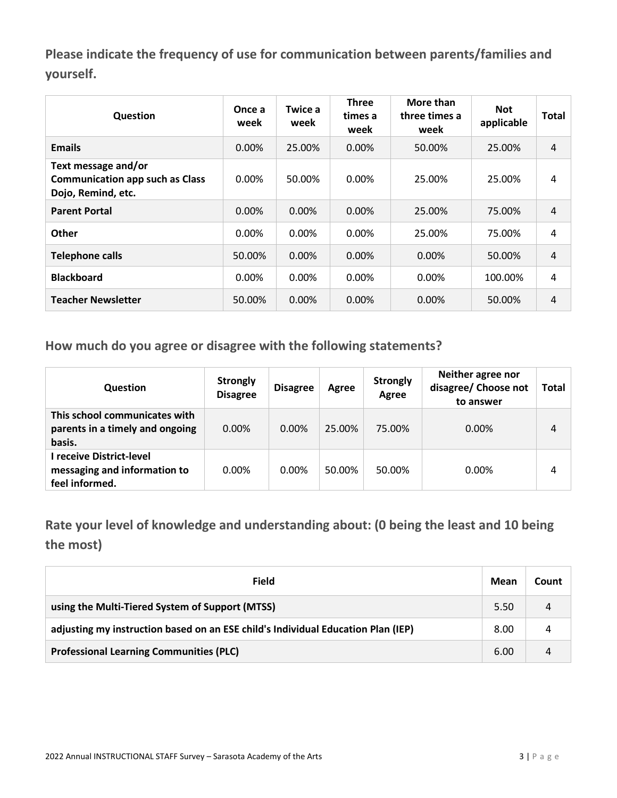**Please indicate the frequency of use for communication between parents/families and yourself.**

| Question                                                                            | Once a<br>week | Twice a<br>week | <b>Three</b><br>times a<br>week | More than<br>three times a<br>week | <b>Not</b><br>applicable | <b>Total</b> |
|-------------------------------------------------------------------------------------|----------------|-----------------|---------------------------------|------------------------------------|--------------------------|--------------|
| <b>Emails</b>                                                                       | $0.00\%$       | 25.00%          | $0.00\%$                        | 50.00%                             | 25.00%                   | 4            |
| Text message and/or<br><b>Communication app such as Class</b><br>Dojo, Remind, etc. | $0.00\%$       | 50.00%          | 0.00%                           | 25.00%                             | 25.00%                   | 4            |
| <b>Parent Portal</b>                                                                | $0.00\%$       | $0.00\%$        | $0.00\%$                        | 25.00%                             | 75.00%                   | 4            |
| <b>Other</b>                                                                        | $0.00\%$       | $0.00\%$        | $0.00\%$                        | 25.00%                             | 75.00%                   | 4            |
| <b>Telephone calls</b>                                                              | 50.00%         | 0.00%           | $0.00\%$                        | $0.00\%$                           | 50.00%                   | 4            |
| <b>Blackboard</b>                                                                   | $0.00\%$       | $0.00\%$        | $0.00\%$                        | $0.00\%$                           | 100.00%                  | 4            |
| <b>Teacher Newsletter</b>                                                           | 50.00%         | 0.00%           | $0.00\%$                        | $0.00\%$                           | 50.00%                   | 4            |

**How much do you agree or disagree with the following statements?**

| <b>Question</b>                                                            | <b>Strongly</b><br><b>Disagree</b> | <b>Disagree</b> | Agree  | <b>Strongly</b><br>Agree | Neither agree nor<br>disagree/ Choose not<br>to answer | <b>Total</b> |
|----------------------------------------------------------------------------|------------------------------------|-----------------|--------|--------------------------|--------------------------------------------------------|--------------|
| This school communicates with<br>parents in a timely and ongoing<br>basis. | $0.00\%$                           | $0.00\%$        | 25.00% | 75.00%                   | $0.00\%$                                               | 4            |
| I receive District-level<br>messaging and information to<br>feel informed. | $0.00\%$                           | $0.00\%$        | 50.00% | 50.00%                   | $0.00\%$                                               | 4            |

**Rate your level of knowledge and understanding about: (0 being the least and 10 being the most)**

| Field                                                                            | Mean | Count |
|----------------------------------------------------------------------------------|------|-------|
| using the Multi-Tiered System of Support (MTSS)                                  | 5.50 | 4     |
| adjusting my instruction based on an ESE child's Individual Education Plan (IEP) | 8.00 |       |
| <b>Professional Learning Communities (PLC)</b>                                   | 6.00 |       |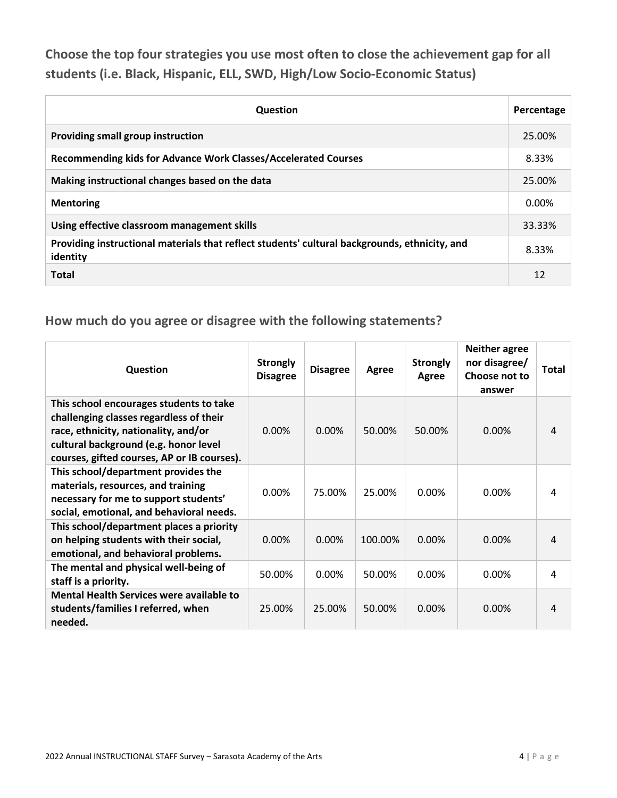**Choose the top four strategies you use most often to close the achievement gap for all students (i.e. Black, Hispanic, ELL, SWD, High/Low Socio-Economic Status)**

| <b>Question</b>                                                                                           | Percentage |
|-----------------------------------------------------------------------------------------------------------|------------|
| Providing small group instruction                                                                         | 25.00%     |
| Recommending kids for Advance Work Classes/Accelerated Courses                                            | 8.33%      |
| Making instructional changes based on the data                                                            | 25.00%     |
| <b>Mentoring</b>                                                                                          | $0.00\%$   |
| Using effective classroom management skills                                                               | 33.33%     |
| Providing instructional materials that reflect students' cultural backgrounds, ethnicity, and<br>identity | 8.33%      |
| <b>Total</b>                                                                                              | 12         |

| Question                                                                                                                                                                                                           | <b>Strongly</b><br><b>Disagree</b> | <b>Disagree</b> | Agree   | <b>Strongly</b><br>Agree | <b>Neither agree</b><br>nor disagree/<br>Choose not to<br>answer | Total |
|--------------------------------------------------------------------------------------------------------------------------------------------------------------------------------------------------------------------|------------------------------------|-----------------|---------|--------------------------|------------------------------------------------------------------|-------|
| This school encourages students to take<br>challenging classes regardless of their<br>race, ethnicity, nationality, and/or<br>cultural background (e.g. honor level<br>courses, gifted courses, AP or IB courses). | 0.00%                              | $0.00\%$        | 50.00%  | 50.00%                   | 0.00%                                                            | 4     |
| This school/department provides the<br>materials, resources, and training<br>necessary for me to support students'<br>social, emotional, and behavioral needs.                                                     | $0.00\%$                           | 75.00%          | 25.00%  | 0.00%                    | 0.00%                                                            | 4     |
| This school/department places a priority<br>on helping students with their social,<br>emotional, and behavioral problems.                                                                                          | $0.00\%$                           | $0.00\%$        | 100.00% | $0.00\%$                 | $0.00\%$                                                         | 4     |
| The mental and physical well-being of<br>staff is a priority.                                                                                                                                                      | 50.00%                             | 0.00%           | 50.00%  | 0.00%                    | 0.00%                                                            | 4     |
| <b>Mental Health Services were available to</b><br>students/families I referred, when<br>needed.                                                                                                                   | 25.00%                             | 25.00%          | 50.00%  | $0.00\%$                 | 0.00%                                                            | 4     |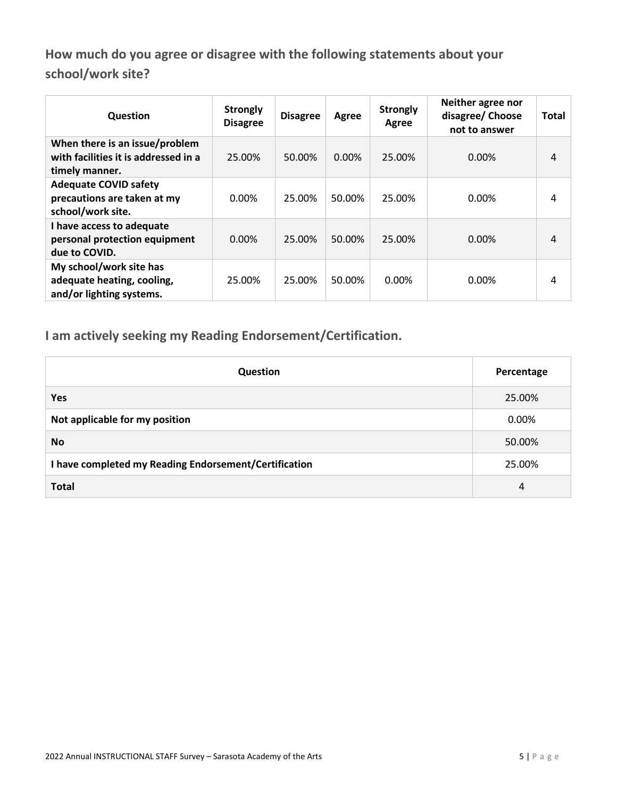**How much do you agree or disagree with the following statements about your school/work site?**

| Question                                                                                 | <b>Strongly</b><br><b>Disagree</b> | <b>Disagree</b> | Agree  | <b>Strongly</b><br>Agree | Neither agree nor<br>disagree/ Choose<br>not to answer | <b>Total</b> |
|------------------------------------------------------------------------------------------|------------------------------------|-----------------|--------|--------------------------|--------------------------------------------------------|--------------|
| When there is an issue/problem<br>with facilities it is addressed in a<br>timely manner. | 25.00%                             | 50.00%          | 0.00%  | 25.00%                   | $0.00\%$                                               | 4            |
| <b>Adequate COVID safety</b><br>precautions are taken at my<br>school/work site.         | 0.00%                              | 25.00%          | 50.00% | 25.00%                   | 0.00%                                                  | 4            |
| I have access to adequate<br>personal protection equipment<br>due to COVID.              | $0.00\%$                           | 25.00%          | 50.00% | 25.00%                   | 0.00%                                                  | 4            |
| My school/work site has<br>adequate heating, cooling,<br>and/or lighting systems.        | 25.00%                             | 25.00%          | 50.00% | 0.00%                    | 0.00%                                                  | 4            |

**I am actively seeking my Reading Endorsement/Certification.**

| <b>Question</b>                                       | Percentage |
|-------------------------------------------------------|------------|
| <b>Yes</b>                                            | 25.00%     |
| Not applicable for my position                        | 0.00%      |
| <b>No</b>                                             | 50.00%     |
| I have completed my Reading Endorsement/Certification | 25.00%     |
| <b>Total</b>                                          | 4          |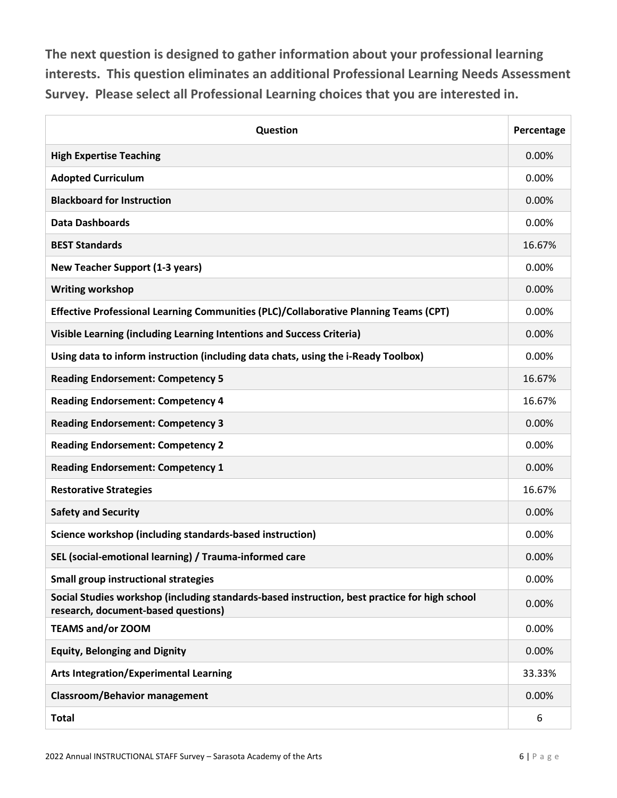**The next question is designed to gather information about your professional learning interests. This question eliminates an additional Professional Learning Needs Assessment Survey. Please select all Professional Learning choices that you are interested in.**

| Question                                                                                                                             | Percentage |
|--------------------------------------------------------------------------------------------------------------------------------------|------------|
| <b>High Expertise Teaching</b>                                                                                                       | 0.00%      |
| <b>Adopted Curriculum</b>                                                                                                            | 0.00%      |
| <b>Blackboard for Instruction</b>                                                                                                    | 0.00%      |
| <b>Data Dashboards</b>                                                                                                               | 0.00%      |
| <b>BEST Standards</b>                                                                                                                | 16.67%     |
| <b>New Teacher Support (1-3 years)</b>                                                                                               | 0.00%      |
| <b>Writing workshop</b>                                                                                                              | 0.00%      |
| Effective Professional Learning Communities (PLC)/Collaborative Planning Teams (CPT)                                                 | 0.00%      |
| Visible Learning (including Learning Intentions and Success Criteria)                                                                | 0.00%      |
| Using data to inform instruction (including data chats, using the i-Ready Toolbox)                                                   | 0.00%      |
| <b>Reading Endorsement: Competency 5</b>                                                                                             | 16.67%     |
| <b>Reading Endorsement: Competency 4</b>                                                                                             | 16.67%     |
| <b>Reading Endorsement: Competency 3</b>                                                                                             | 0.00%      |
| <b>Reading Endorsement: Competency 2</b>                                                                                             | 0.00%      |
| <b>Reading Endorsement: Competency 1</b>                                                                                             | 0.00%      |
| <b>Restorative Strategies</b>                                                                                                        | 16.67%     |
| <b>Safety and Security</b>                                                                                                           | 0.00%      |
| Science workshop (including standards-based instruction)                                                                             | 0.00%      |
| SEL (social-emotional learning) / Trauma-informed care                                                                               | 0.00%      |
| <b>Small group instructional strategies</b>                                                                                          | 0.00%      |
| Social Studies workshop (including standards-based instruction, best practice for high school<br>research, document-based questions) | 0.00%      |
| <b>TEAMS and/or ZOOM</b>                                                                                                             | 0.00%      |
| <b>Equity, Belonging and Dignity</b>                                                                                                 | 0.00%      |
| <b>Arts Integration/Experimental Learning</b>                                                                                        | 33.33%     |
| <b>Classroom/Behavior management</b>                                                                                                 | 0.00%      |
| <b>Total</b>                                                                                                                         | 6          |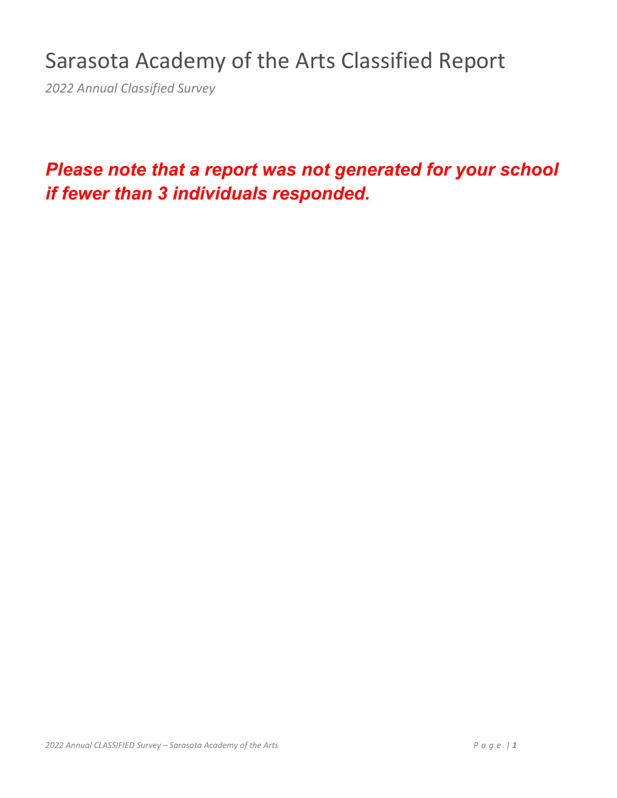# Sarasota Academy of the Arts Classified Report

*2022 Annual Classified Survey*

## *Please note that a report was not generated for your school if fewer than 3 individuals responded.*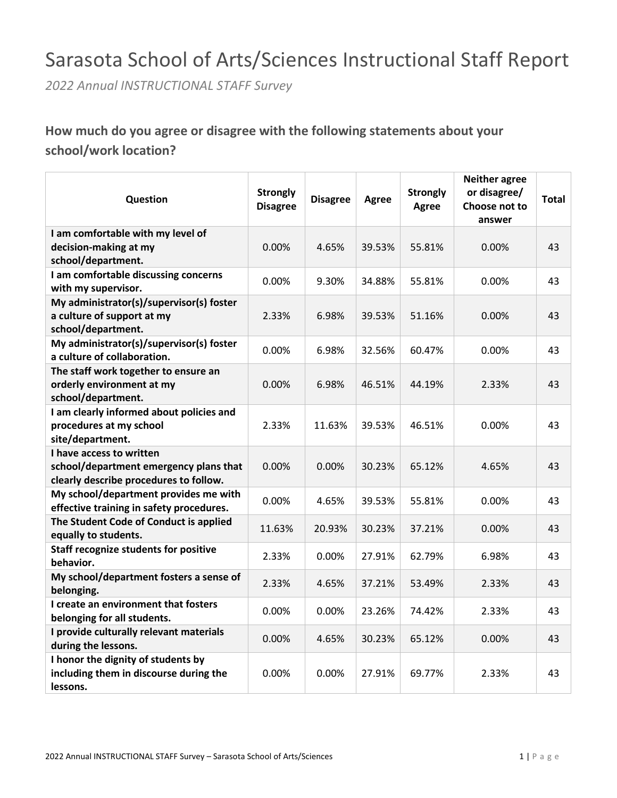## Sarasota School of Arts/Sciences Instructional Staff Report

*2022 Annual INSTRUCTIONAL STAFF Survey*

### **How much do you agree or disagree with the following statements about your school/work location?**

| Question                                                                                                     | <b>Strongly</b><br><b>Disagree</b> | <b>Disagree</b> | <b>Agree</b> | <b>Strongly</b><br><b>Agree</b> | <b>Neither agree</b><br>or disagree/<br>Choose not to<br>answer | <b>Total</b> |
|--------------------------------------------------------------------------------------------------------------|------------------------------------|-----------------|--------------|---------------------------------|-----------------------------------------------------------------|--------------|
| I am comfortable with my level of                                                                            |                                    |                 |              |                                 |                                                                 |              |
| decision-making at my                                                                                        | 0.00%                              | 4.65%           | 39.53%       | 55.81%                          | 0.00%                                                           | 43           |
| school/department.                                                                                           |                                    |                 |              |                                 |                                                                 |              |
| I am comfortable discussing concerns                                                                         |                                    |                 |              |                                 |                                                                 |              |
| with my supervisor.                                                                                          | 0.00%                              | 9.30%           | 34.88%       | 55.81%                          | 0.00%                                                           | 43           |
| My administrator(s)/supervisor(s) foster<br>a culture of support at my<br>school/department.                 | 2.33%                              | 6.98%           | 39.53%       | 51.16%                          | 0.00%                                                           | 43           |
| My administrator(s)/supervisor(s) foster<br>a culture of collaboration.                                      | 0.00%                              | 6.98%           | 32.56%       | 60.47%                          | 0.00%                                                           | 43           |
| The staff work together to ensure an<br>orderly environment at my<br>school/department.                      | 0.00%                              | 6.98%           | 46.51%       | 44.19%                          | 2.33%                                                           | 43           |
| I am clearly informed about policies and<br>procedures at my school<br>site/department.                      | 2.33%                              | 11.63%          | 39.53%       | 46.51%                          | 0.00%                                                           | 43           |
| I have access to written<br>school/department emergency plans that<br>clearly describe procedures to follow. | 0.00%                              | 0.00%           | 30.23%       | 65.12%                          | 4.65%                                                           | 43           |
| My school/department provides me with<br>effective training in safety procedures.                            | 0.00%                              | 4.65%           | 39.53%       | 55.81%                          | 0.00%                                                           | 43           |
| The Student Code of Conduct is applied<br>equally to students.                                               | 11.63%                             | 20.93%          | 30.23%       | 37.21%                          | 0.00%                                                           | 43           |
| <b>Staff recognize students for positive</b><br>behavior.                                                    | 2.33%                              | 0.00%           | 27.91%       | 62.79%                          | 6.98%                                                           | 43           |
| My school/department fosters a sense of<br>belonging.                                                        | 2.33%                              | 4.65%           | 37.21%       | 53.49%                          | 2.33%                                                           | 43           |
| I create an environment that fosters<br>belonging for all students.                                          | 0.00%                              | 0.00%           | 23.26%       | 74.42%                          | 2.33%                                                           | 43           |
| I provide culturally relevant materials<br>during the lessons.                                               | 0.00%                              | 4.65%           | 30.23%       | 65.12%                          | 0.00%                                                           | 43           |
| I honor the dignity of students by<br>including them in discourse during the<br>lessons.                     | $0.00\%$                           | 0.00%           | 27.91%       | 69.77%                          | 2.33%                                                           | 43           |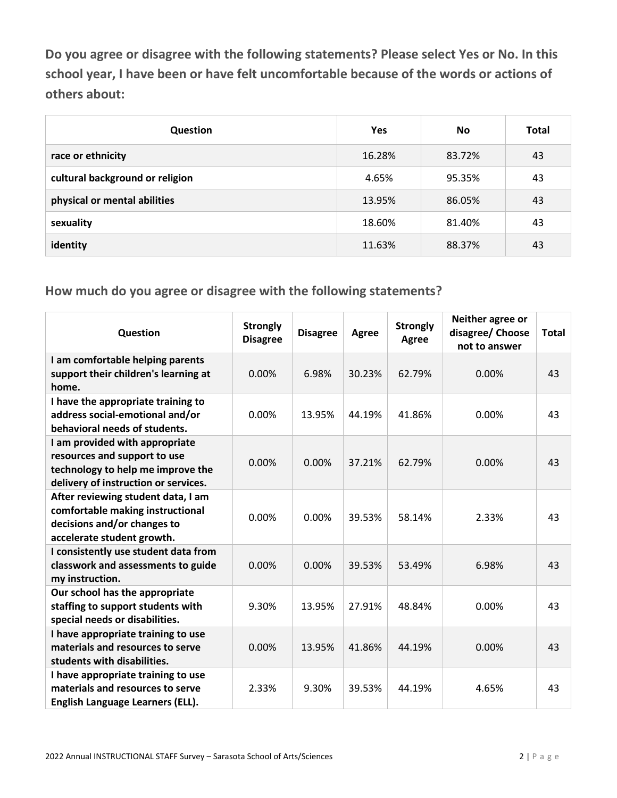**Do you agree or disagree with the following statements? Please select Yes or No. In this school year, I have been or have felt uncomfortable because of the words or actions of others about:**

| Question                        | <b>Yes</b> | No.    | Total |
|---------------------------------|------------|--------|-------|
| race or ethnicity               | 16.28%     | 83.72% | 43    |
| cultural background or religion | 4.65%      | 95.35% | 43    |
| physical or mental abilities    | 13.95%     | 86.05% | 43    |
| sexuality                       | 18.60%     | 81.40% | 43    |
| identity                        | 11.63%     | 88.37% | 43    |

| Question                                                                                                                                    | <b>Strongly</b><br><b>Disagree</b> | <b>Disagree</b> | <b>Agree</b> | <b>Strongly</b><br><b>Agree</b> | Neither agree or<br>disagree/ Choose<br>not to answer | <b>Total</b> |
|---------------------------------------------------------------------------------------------------------------------------------------------|------------------------------------|-----------------|--------------|---------------------------------|-------------------------------------------------------|--------------|
| I am comfortable helping parents<br>support their children's learning at<br>home.                                                           | 0.00%                              | 6.98%           | 30.23%       | 62.79%                          | 0.00%                                                 | 43           |
| I have the appropriate training to<br>address social-emotional and/or<br>behavioral needs of students.                                      | 0.00%                              | 13.95%          | 44.19%       | 41.86%                          | 0.00%                                                 | 43           |
| I am provided with appropriate<br>resources and support to use<br>technology to help me improve the<br>delivery of instruction or services. | 0.00%                              | 0.00%           | 37.21%       | 62.79%                          | 0.00%                                                 | 43           |
| After reviewing student data, I am<br>comfortable making instructional<br>decisions and/or changes to<br>accelerate student growth.         | 0.00%                              | 0.00%           | 39.53%       | 58.14%                          | 2.33%                                                 | 43           |
| I consistently use student data from<br>classwork and assessments to guide<br>my instruction.                                               | 0.00%                              | 0.00%           | 39.53%       | 53.49%                          | 6.98%                                                 | 43           |
| Our school has the appropriate<br>staffing to support students with<br>special needs or disabilities.                                       | 9.30%                              | 13.95%          | 27.91%       | 48.84%                          | 0.00%                                                 | 43           |
| I have appropriate training to use<br>materials and resources to serve<br>students with disabilities.                                       | 0.00%                              | 13.95%          | 41.86%       | 44.19%                          | 0.00%                                                 | 43           |
| I have appropriate training to use<br>materials and resources to serve<br>English Language Learners (ELL).                                  | 2.33%                              | 9.30%           | 39.53%       | 44.19%                          | 4.65%                                                 | 43           |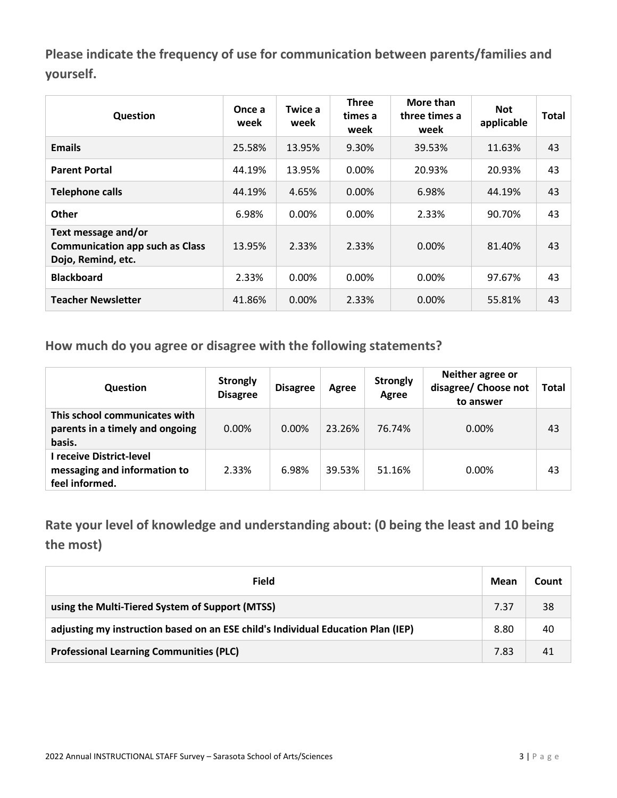**Please indicate the frequency of use for communication between parents/families and yourself.**

| Question                                                                            | Once a<br>week | Twice a<br>week | <b>Three</b><br>times a<br>week | More than<br>three times a<br>week | <b>Not</b><br>applicable | <b>Total</b> |
|-------------------------------------------------------------------------------------|----------------|-----------------|---------------------------------|------------------------------------|--------------------------|--------------|
| <b>Emails</b>                                                                       | 25.58%         | 13.95%          | 9.30%                           | 39.53%                             | 11.63%                   | 43           |
| <b>Parent Portal</b>                                                                | 44.19%         | 13.95%          | 0.00%                           | 20.93%                             | 20.93%                   | 43           |
| <b>Telephone calls</b>                                                              | 44.19%         | 4.65%           | $0.00\%$                        | 6.98%                              | 44.19%                   | 43           |
| <b>Other</b>                                                                        | 6.98%          | 0.00%           | 0.00%                           | 2.33%                              | 90.70%                   | 43           |
| Text message and/or<br><b>Communication app such as Class</b><br>Dojo, Remind, etc. | 13.95%         | 2.33%           | 2.33%                           | $0.00\%$                           | 81.40%                   | 43           |
| <b>Blackboard</b>                                                                   | 2.33%          | 0.00%           | 0.00%                           | 0.00%                              | 97.67%                   | 43           |
| <b>Teacher Newsletter</b>                                                           | 41.86%         | 0.00%           | 2.33%                           | $0.00\%$                           | 55.81%                   | 43           |

**How much do you agree or disagree with the following statements?**

| <b>Question</b>                                                            | <b>Strongly</b><br><b>Disagree</b> | <b>Disagree</b> | Agree  | <b>Strongly</b><br>Agree | Neither agree or<br>disagree/ Choose not<br>to answer | <b>Total</b> |
|----------------------------------------------------------------------------|------------------------------------|-----------------|--------|--------------------------|-------------------------------------------------------|--------------|
| This school communicates with<br>parents in a timely and ongoing<br>basis. | 0.00%                              | $0.00\%$        | 23.26% | 76.74%                   | $0.00\%$                                              | 43           |
| l receive District-level<br>messaging and information to<br>feel informed. | 2.33%                              | 6.98%           | 39.53% | 51.16%                   | $0.00\%$                                              | 43           |

**Rate your level of knowledge and understanding about: (0 being the least and 10 being the most)**

| Field                                                                            | Mean | Count |
|----------------------------------------------------------------------------------|------|-------|
| using the Multi-Tiered System of Support (MTSS)                                  | 7.37 | 38    |
| adjusting my instruction based on an ESE child's Individual Education Plan (IEP) | 8.80 | 40    |
| <b>Professional Learning Communities (PLC)</b>                                   | 7.83 | 41    |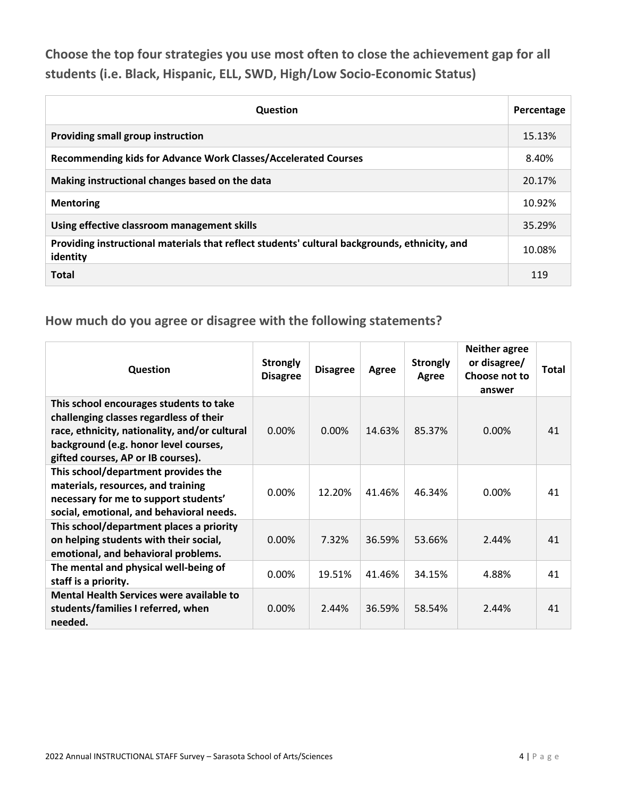**Choose the top four strategies you use most often to close the achievement gap for all students (i.e. Black, Hispanic, ELL, SWD, High/Low Socio-Economic Status)**

| <b>Question</b>                                                                                           | Percentage |
|-----------------------------------------------------------------------------------------------------------|------------|
| Providing small group instruction                                                                         | 15.13%     |
| Recommending kids for Advance Work Classes/Accelerated Courses                                            | 8.40%      |
| Making instructional changes based on the data                                                            | 20.17%     |
| <b>Mentoring</b>                                                                                          | 10.92%     |
| Using effective classroom management skills                                                               | 35.29%     |
| Providing instructional materials that reflect students' cultural backgrounds, ethnicity, and<br>identity | 10.08%     |
| <b>Total</b>                                                                                              | 119        |

| Question                                                                                                                                                                                                           | <b>Strongly</b><br><b>Disagree</b> | <b>Disagree</b> | Agree  | <b>Strongly</b><br>Agree | <b>Neither agree</b><br>or disagree/<br>Choose not to<br>answer | Total |
|--------------------------------------------------------------------------------------------------------------------------------------------------------------------------------------------------------------------|------------------------------------|-----------------|--------|--------------------------|-----------------------------------------------------------------|-------|
| This school encourages students to take<br>challenging classes regardless of their<br>race, ethnicity, nationality, and/or cultural<br>background (e.g. honor level courses,<br>gifted courses, AP or IB courses). | 0.00%                              | $0.00\%$        | 14.63% | 85.37%                   | $0.00\%$                                                        | 41    |
| This school/department provides the<br>materials, resources, and training<br>necessary for me to support students'<br>social, emotional, and behavioral needs.                                                     | 0.00%                              | 12.20%          | 41.46% | 46.34%                   | $0.00\%$                                                        | 41    |
| This school/department places a priority<br>on helping students with their social,<br>emotional, and behavioral problems.                                                                                          | 0.00%                              | 7.32%           | 36.59% | 53.66%                   | 2.44%                                                           | 41    |
| The mental and physical well-being of<br>staff is a priority.                                                                                                                                                      | $0.00\%$                           | 19.51%          | 41.46% | 34.15%                   | 4.88%                                                           | 41    |
| Mental Health Services were available to<br>students/families I referred, when<br>needed.                                                                                                                          | 0.00%                              | 2.44%           | 36.59% | 58.54%                   | 2.44%                                                           | 41    |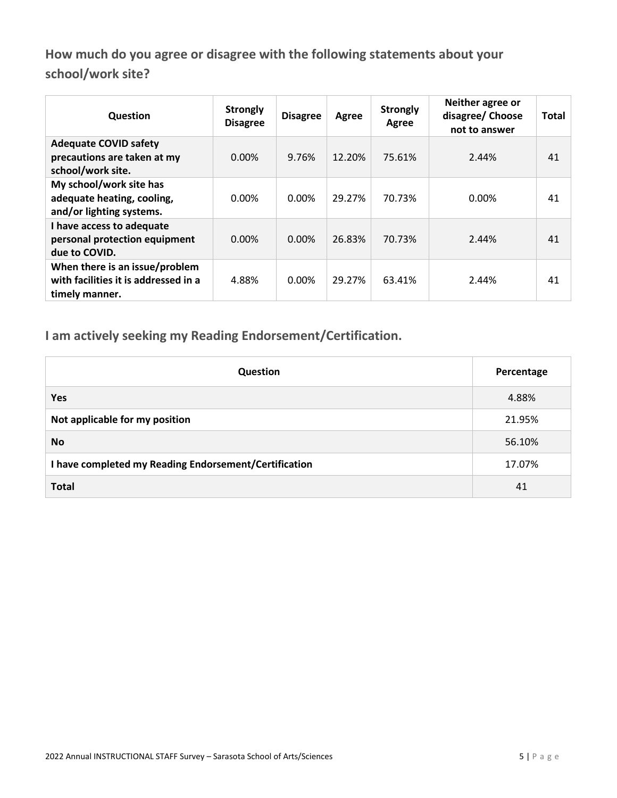**How much do you agree or disagree with the following statements about your school/work site?**

| Question                                                                                 | <b>Strongly</b><br><b>Disagree</b> | <b>Disagree</b> | Agree  | <b>Strongly</b><br>Agree | Neither agree or<br>disagree/ Choose<br>not to answer | <b>Total</b> |
|------------------------------------------------------------------------------------------|------------------------------------|-----------------|--------|--------------------------|-------------------------------------------------------|--------------|
| <b>Adequate COVID safety</b><br>precautions are taken at my<br>school/work site.         | 0.00%                              | 9.76%           | 12.20% | 75.61%                   | 2.44%                                                 | 41           |
| My school/work site has<br>adequate heating, cooling,<br>and/or lighting systems.        | 0.00%                              | 0.00%           | 29.27% | 70.73%                   | 0.00%                                                 | 41           |
| I have access to adequate<br>personal protection equipment<br>due to COVID.              | 0.00%                              | $0.00\%$        | 26.83% | 70.73%                   | 2.44%                                                 | 41           |
| When there is an issue/problem<br>with facilities it is addressed in a<br>timely manner. | 4.88%                              | 0.00%           | 29.27% | 63.41%                   | 2.44%                                                 | 41           |

**I am actively seeking my Reading Endorsement/Certification.**

| <b>Question</b>                                       | Percentage |
|-------------------------------------------------------|------------|
| <b>Yes</b>                                            | 4.88%      |
| Not applicable for my position                        | 21.95%     |
| <b>No</b>                                             | 56.10%     |
| I have completed my Reading Endorsement/Certification | 17.07%     |
| <b>Total</b>                                          | 41         |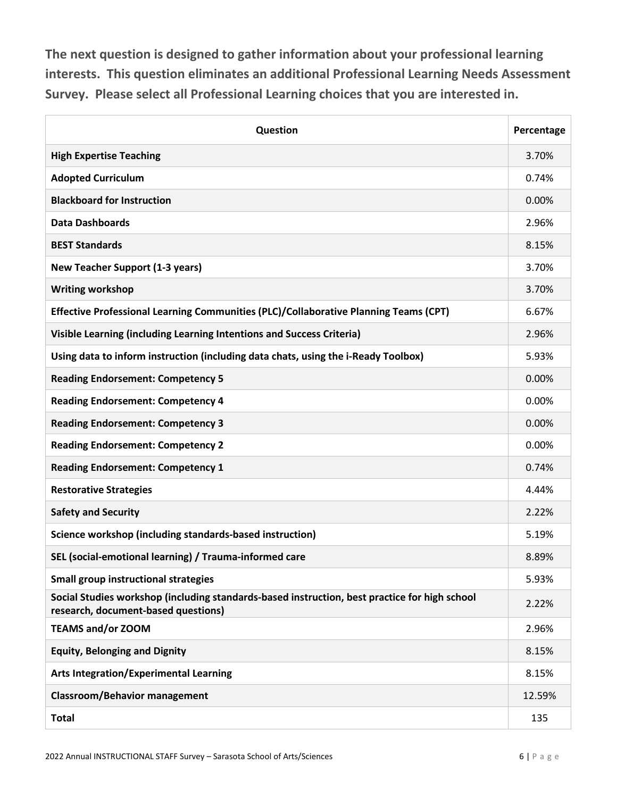**The next question is designed to gather information about your professional learning interests. This question eliminates an additional Professional Learning Needs Assessment Survey. Please select all Professional Learning choices that you are interested in.**

| Question                                                                                                                             | Percentage |
|--------------------------------------------------------------------------------------------------------------------------------------|------------|
| <b>High Expertise Teaching</b>                                                                                                       | 3.70%      |
| <b>Adopted Curriculum</b>                                                                                                            | 0.74%      |
| <b>Blackboard for Instruction</b>                                                                                                    | 0.00%      |
| <b>Data Dashboards</b>                                                                                                               | 2.96%      |
| <b>BEST Standards</b>                                                                                                                | 8.15%      |
| <b>New Teacher Support (1-3 years)</b>                                                                                               | 3.70%      |
| <b>Writing workshop</b>                                                                                                              | 3.70%      |
| Effective Professional Learning Communities (PLC)/Collaborative Planning Teams (CPT)                                                 | 6.67%      |
| Visible Learning (including Learning Intentions and Success Criteria)                                                                | 2.96%      |
| Using data to inform instruction (including data chats, using the i-Ready Toolbox)                                                   | 5.93%      |
| <b>Reading Endorsement: Competency 5</b>                                                                                             | 0.00%      |
| <b>Reading Endorsement: Competency 4</b>                                                                                             | 0.00%      |
| <b>Reading Endorsement: Competency 3</b>                                                                                             | 0.00%      |
| <b>Reading Endorsement: Competency 2</b>                                                                                             | 0.00%      |
| <b>Reading Endorsement: Competency 1</b>                                                                                             | 0.74%      |
| <b>Restorative Strategies</b>                                                                                                        | 4.44%      |
| <b>Safety and Security</b>                                                                                                           | 2.22%      |
| Science workshop (including standards-based instruction)                                                                             | 5.19%      |
| SEL (social-emotional learning) / Trauma-informed care                                                                               | 8.89%      |
| <b>Small group instructional strategies</b>                                                                                          | 5.93%      |
| Social Studies workshop (including standards-based instruction, best practice for high school<br>research, document-based questions) | 2.22%      |
| <b>TEAMS and/or ZOOM</b>                                                                                                             | 2.96%      |
| <b>Equity, Belonging and Dignity</b>                                                                                                 | 8.15%      |
| <b>Arts Integration/Experimental Learning</b>                                                                                        | 8.15%      |
| <b>Classroom/Behavior management</b>                                                                                                 | 12.59%     |
| <b>Total</b>                                                                                                                         | 135        |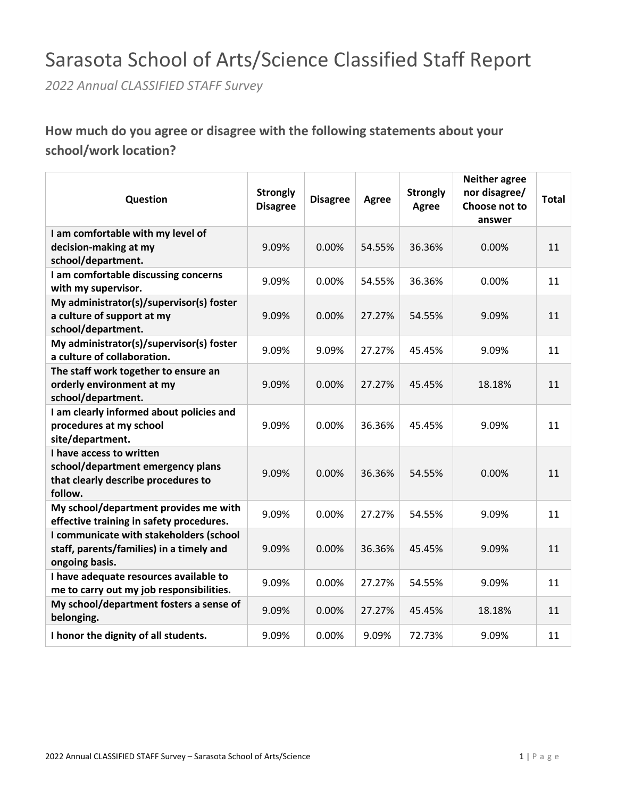## Sarasota School of Arts/Science Classified Staff Report

*2022 Annual CLASSIFIED STAFF Survey*

### **How much do you agree or disagree with the following statements about your school/work location?**

| Question                                                                           | <b>Strongly</b><br><b>Disagree</b> | <b>Disagree</b> | Agree  | <b>Strongly</b><br><b>Agree</b> | <b>Neither agree</b><br>nor disagree/<br>Choose not to<br>answer | <b>Total</b> |
|------------------------------------------------------------------------------------|------------------------------------|-----------------|--------|---------------------------------|------------------------------------------------------------------|--------------|
| I am comfortable with my level of                                                  |                                    |                 |        |                                 |                                                                  |              |
| decision-making at my                                                              | 9.09%                              | 0.00%           | 54.55% | 36.36%                          | 0.00%                                                            | 11           |
| school/department.                                                                 |                                    |                 |        |                                 |                                                                  |              |
| I am comfortable discussing concerns<br>with my supervisor.                        | 9.09%                              | 0.00%           | 54.55% | 36.36%                          | 0.00%                                                            | 11           |
| My administrator(s)/supervisor(s) foster                                           |                                    |                 |        |                                 |                                                                  |              |
| a culture of support at my                                                         | 9.09%                              | 0.00%           | 27.27% | 54.55%                          | 9.09%                                                            | 11           |
| school/department.                                                                 |                                    |                 |        |                                 |                                                                  |              |
| My administrator(s)/supervisor(s) foster<br>a culture of collaboration.            | 9.09%                              | 9.09%           | 27.27% | 45.45%                          | 9.09%                                                            | 11           |
| The staff work together to ensure an                                               |                                    |                 |        |                                 |                                                                  |              |
| orderly environment at my                                                          | 9.09%                              | 0.00%           | 27.27% | 45.45%                          | 18.18%                                                           | 11           |
| school/department.                                                                 |                                    |                 |        |                                 |                                                                  |              |
| I am clearly informed about policies and                                           |                                    |                 |        |                                 |                                                                  |              |
| procedures at my school                                                            | 9.09%                              | 0.00%           | 36.36% | 45.45%                          | 9.09%                                                            | 11           |
| site/department.                                                                   |                                    |                 |        |                                 |                                                                  |              |
| I have access to written<br>school/department emergency plans                      |                                    |                 |        |                                 |                                                                  |              |
| that clearly describe procedures to                                                | 9.09%                              | 0.00%           | 36.36% | 54.55%                          | 0.00%                                                            | 11           |
| follow.                                                                            |                                    |                 |        |                                 |                                                                  |              |
| My school/department provides me with                                              |                                    |                 |        |                                 |                                                                  |              |
| effective training in safety procedures.                                           | 9.09%                              | 0.00%           | 27.27% | 54.55%                          | 9.09%                                                            | 11           |
| I communicate with stakeholders (school                                            |                                    |                 |        |                                 |                                                                  |              |
| staff, parents/families) in a timely and                                           | 9.09%                              | 0.00%           | 36.36% | 45.45%                          | 9.09%                                                            | 11           |
| ongoing basis.                                                                     |                                    |                 |        |                                 |                                                                  |              |
| I have adequate resources available to<br>me to carry out my job responsibilities. | 9.09%                              | 0.00%           | 27.27% | 54.55%                          | 9.09%                                                            | 11           |
| My school/department fosters a sense of<br>belonging.                              | 9.09%                              | 0.00%           | 27.27% | 45.45%                          | 18.18%                                                           | 11           |
| I honor the dignity of all students.                                               | 9.09%                              | 0.00%           | 9.09%  | 72.73%                          | 9.09%                                                            | 11           |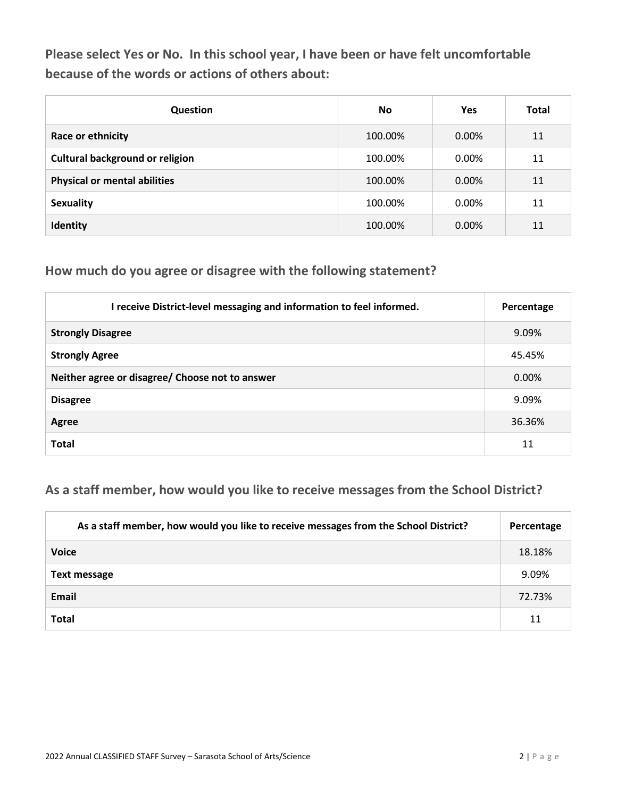**Please select Yes or No. In this school year, I have been or have felt uncomfortable because of the words or actions of others about:**

| <b>Question</b>                        | <b>No</b> | <b>Yes</b> | <b>Total</b> |
|----------------------------------------|-----------|------------|--------------|
| Race or ethnicity                      | 100.00%   | 0.00%      | 11           |
| <b>Cultural background or religion</b> | 100.00%   | 0.00%      | 11           |
| <b>Physical or mental abilities</b>    | 100.00%   | $0.00\%$   | 11           |
| <b>Sexuality</b>                       | 100.00%   | 0.00%      | 11           |
| Identity                               | 100.00%   | 0.00%      | 11           |

#### **How much do you agree or disagree with the following statement?**

| I receive District-level messaging and information to feel informed. | Percentage |
|----------------------------------------------------------------------|------------|
| <b>Strongly Disagree</b>                                             | 9.09%      |
| <b>Strongly Agree</b>                                                | 45.45%     |
| Neither agree or disagree/ Choose not to answer                      | 0.00%      |
| <b>Disagree</b>                                                      | 9.09%      |
| Agree                                                                | 36.36%     |
| <b>Total</b>                                                         | 11         |

### **As a staff member, how would you like to receive messages from the School District?**

| As a staff member, how would you like to receive messages from the School District? | Percentage |
|-------------------------------------------------------------------------------------|------------|
| <b>Voice</b>                                                                        | 18.18%     |
| <b>Text message</b>                                                                 | 9.09%      |
| Email                                                                               | 72.73%     |
| <b>Total</b>                                                                        | 11         |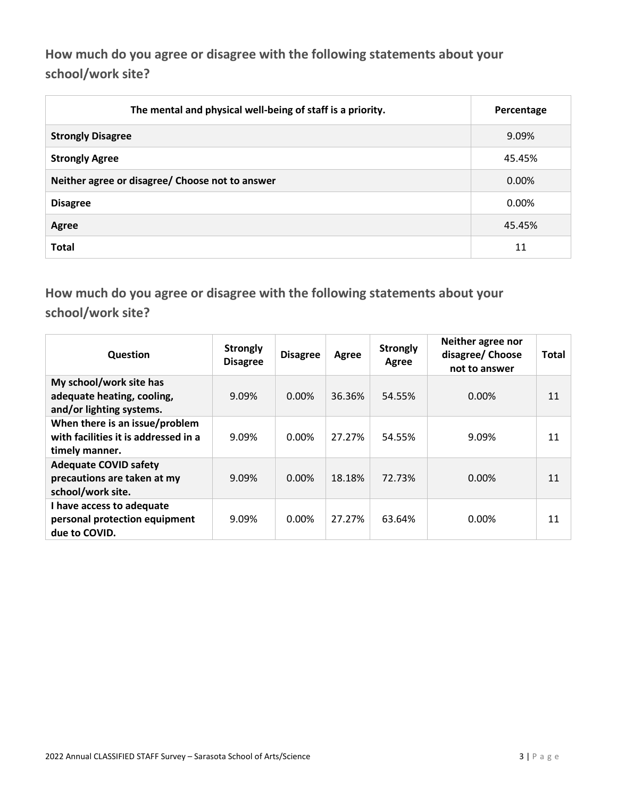**How much do you agree or disagree with the following statements about your school/work site?**

| The mental and physical well-being of staff is a priority. | Percentage |
|------------------------------------------------------------|------------|
| <b>Strongly Disagree</b>                                   | 9.09%      |
| <b>Strongly Agree</b>                                      | 45.45%     |
| Neither agree or disagree/ Choose not to answer            | $0.00\%$   |
| <b>Disagree</b>                                            | $0.00\%$   |
| Agree                                                      | 45.45%     |
| <b>Total</b>                                               | 11         |

**How much do you agree or disagree with the following statements about your school/work site?**

| Question                                                                                 | <b>Strongly</b><br><b>Disagree</b> | <b>Disagree</b> | Agree  | <b>Strongly</b><br>Agree | Neither agree nor<br>disagree/ Choose<br>not to answer | <b>Total</b> |
|------------------------------------------------------------------------------------------|------------------------------------|-----------------|--------|--------------------------|--------------------------------------------------------|--------------|
| My school/work site has<br>adequate heating, cooling,<br>and/or lighting systems.        | 9.09%                              | $0.00\%$        | 36.36% | 54.55%                   | $0.00\%$                                               | 11           |
| When there is an issue/problem<br>with facilities it is addressed in a<br>timely manner. | 9.09%                              | $0.00\%$        | 27.27% | 54.55%                   | 9.09%                                                  | 11           |
| <b>Adequate COVID safety</b><br>precautions are taken at my<br>school/work site.         | 9.09%                              | $0.00\%$        | 18.18% | 72.73%                   | $0.00\%$                                               | 11           |
| I have access to adequate<br>personal protection equipment<br>due to COVID.              | 9.09%                              | 0.00%           | 27.27% | 63.64%                   | 0.00%                                                  | 11           |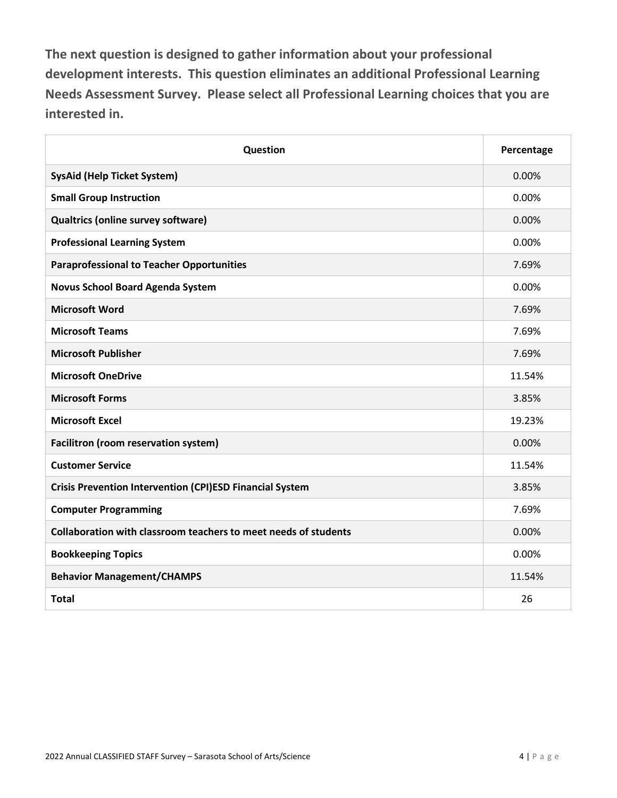**The next question is designed to gather information about your professional development interests. This question eliminates an additional Professional Learning Needs Assessment Survey. Please select all Professional Learning choices that you are interested in.**

| Question                                                        | Percentage |
|-----------------------------------------------------------------|------------|
| <b>SysAid (Help Ticket System)</b>                              | 0.00%      |
| <b>Small Group Instruction</b>                                  | 0.00%      |
| <b>Qualtrics (online survey software)</b>                       | 0.00%      |
| <b>Professional Learning System</b>                             | 0.00%      |
| <b>Paraprofessional to Teacher Opportunities</b>                | 7.69%      |
| <b>Novus School Board Agenda System</b>                         | 0.00%      |
| <b>Microsoft Word</b>                                           | 7.69%      |
| <b>Microsoft Teams</b>                                          | 7.69%      |
| <b>Microsoft Publisher</b>                                      | 7.69%      |
| <b>Microsoft OneDrive</b>                                       | 11.54%     |
| <b>Microsoft Forms</b>                                          | 3.85%      |
| <b>Microsoft Excel</b>                                          | 19.23%     |
| Facilitron (room reservation system)                            | 0.00%      |
| <b>Customer Service</b>                                         | 11.54%     |
| <b>Crisis Prevention Intervention (CPI)ESD Financial System</b> | 3.85%      |
| <b>Computer Programming</b>                                     | 7.69%      |
| Collaboration with classroom teachers to meet needs of students | 0.00%      |
| <b>Bookkeeping Topics</b>                                       | 0.00%      |
| <b>Behavior Management/CHAMPS</b>                               | 11.54%     |
| <b>Total</b>                                                    | 26         |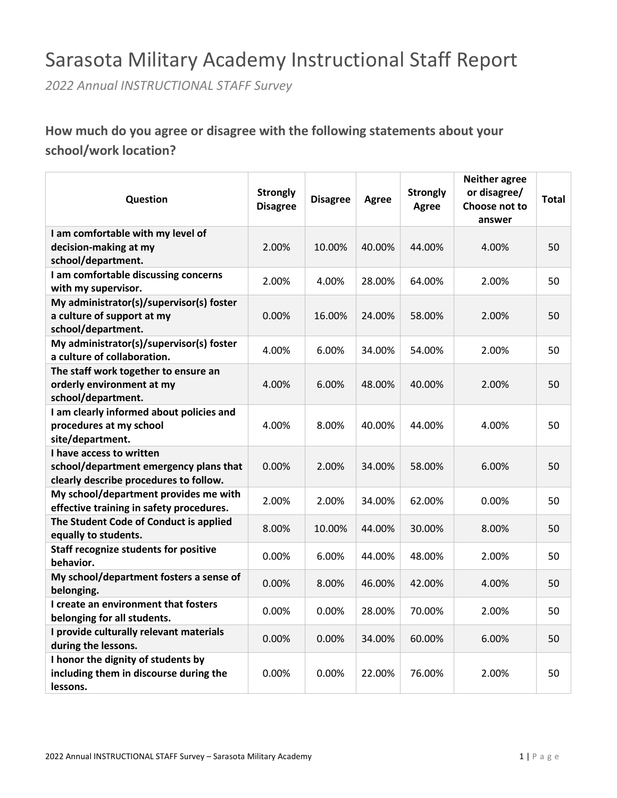## Sarasota Military Academy Instructional Staff Report

*2022 Annual INSTRUCTIONAL STAFF Survey*

### **How much do you agree or disagree with the following statements about your school/work location?**

| Question                                                       | <b>Strongly</b><br><b>Disagree</b> | <b>Disagree</b> | <b>Agree</b> | <b>Strongly</b><br><b>Agree</b> | <b>Neither agree</b><br>or disagree/<br>Choose not to<br>answer | <b>Total</b> |
|----------------------------------------------------------------|------------------------------------|-----------------|--------------|---------------------------------|-----------------------------------------------------------------|--------------|
| I am comfortable with my level of                              |                                    |                 |              |                                 |                                                                 |              |
| decision-making at my                                          | 2.00%                              | 10.00%          | 40.00%       | 44.00%                          | 4.00%                                                           | 50           |
| school/department.                                             |                                    |                 |              |                                 |                                                                 |              |
| I am comfortable discussing concerns                           | 2.00%                              | 4.00%           | 28.00%       | 64.00%                          | 2.00%                                                           | 50           |
| with my supervisor.                                            |                                    |                 |              |                                 |                                                                 |              |
| My administrator(s)/supervisor(s) foster                       |                                    |                 |              |                                 |                                                                 |              |
| a culture of support at my                                     | $0.00\%$                           | 16.00%          | 24.00%       | 58.00%                          | 2.00%                                                           | 50           |
| school/department.                                             |                                    |                 |              |                                 |                                                                 |              |
| My administrator(s)/supervisor(s) foster                       | 4.00%                              | 6.00%           | 34.00%       | 54.00%                          | 2.00%                                                           | 50           |
| a culture of collaboration.                                    |                                    |                 |              |                                 |                                                                 |              |
| The staff work together to ensure an                           |                                    |                 |              |                                 |                                                                 |              |
| orderly environment at my                                      | 4.00%                              | 6.00%           | 48.00%       | 40.00%                          | 2.00%                                                           | 50           |
| school/department.                                             |                                    |                 |              |                                 |                                                                 |              |
| I am clearly informed about policies and                       |                                    |                 |              |                                 |                                                                 |              |
| procedures at my school                                        | 4.00%                              | 8.00%           | 40.00%       | 44.00%                          | 4.00%                                                           | 50           |
| site/department.                                               |                                    |                 |              |                                 |                                                                 |              |
| I have access to written                                       |                                    |                 |              |                                 |                                                                 |              |
| school/department emergency plans that                         | 0.00%                              | 2.00%           | 34.00%       | 58.00%                          | 6.00%                                                           | 50           |
| clearly describe procedures to follow.                         |                                    |                 |              |                                 |                                                                 |              |
| My school/department provides me with                          | 2.00%                              | 2.00%           | 34.00%       | 62.00%                          | 0.00%                                                           | 50           |
| effective training in safety procedures.                       |                                    |                 |              |                                 |                                                                 |              |
| The Student Code of Conduct is applied<br>equally to students. | 8.00%                              | 10.00%          | 44.00%       | 30.00%                          | 8.00%                                                           | 50           |
| <b>Staff recognize students for positive</b>                   |                                    |                 |              |                                 |                                                                 |              |
| behavior.                                                      | $0.00\%$                           | 6.00%           | 44.00%       | 48.00%                          | 2.00%                                                           | 50           |
| My school/department fosters a sense of<br>belonging.          | 0.00%                              | 8.00%           | 46.00%       | 42.00%                          | 4.00%                                                           | 50           |
| I create an environment that fosters                           |                                    |                 |              |                                 |                                                                 |              |
| belonging for all students.                                    | 0.00%                              | 0.00%           | 28.00%       | 70.00%                          | 2.00%                                                           | 50           |
| I provide culturally relevant materials                        |                                    |                 |              |                                 |                                                                 |              |
| during the lessons.                                            | $0.00\%$                           | 0.00%           | 34.00%       | 60.00%                          | 6.00%                                                           | 50           |
| I honor the dignity of students by                             |                                    |                 |              |                                 |                                                                 |              |
| including them in discourse during the                         | $0.00\%$                           | 0.00%           | 22.00%       | 76.00%                          | 2.00%                                                           | 50           |
| lessons.                                                       |                                    |                 |              |                                 |                                                                 |              |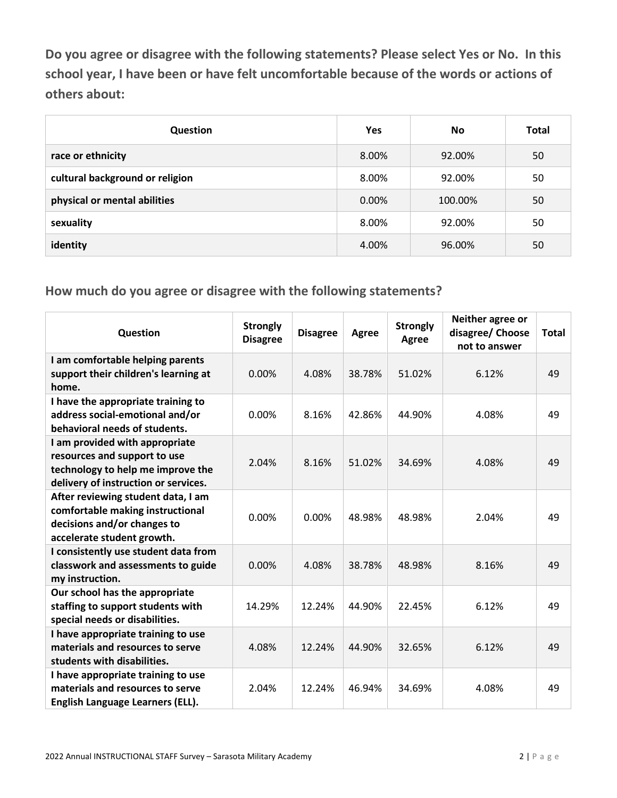**Do you agree or disagree with the following statements? Please select Yes or No. In this school year, I have been or have felt uncomfortable because of the words or actions of others about:**

| Question                        | <b>Yes</b> | No      | Total |
|---------------------------------|------------|---------|-------|
| race or ethnicity               | 8.00%      | 92.00%  | 50    |
| cultural background or religion | 8.00%      | 92.00%  | 50    |
| physical or mental abilities    | 0.00%      | 100.00% | 50    |
| sexuality                       | 8.00%      | 92.00%  | 50    |
| identity                        | 4.00%      | 96.00%  | 50    |

| Question                                                                                                                                    | <b>Strongly</b><br><b>Disagree</b> | <b>Disagree</b> | <b>Agree</b> | <b>Strongly</b><br>Agree | Neither agree or<br>disagree/ Choose<br>not to answer | <b>Total</b> |
|---------------------------------------------------------------------------------------------------------------------------------------------|------------------------------------|-----------------|--------------|--------------------------|-------------------------------------------------------|--------------|
| I am comfortable helping parents<br>support their children's learning at<br>home.                                                           | 0.00%                              | 4.08%           | 38.78%       | 51.02%                   | 6.12%                                                 | 49           |
| I have the appropriate training to<br>address social-emotional and/or<br>behavioral needs of students.                                      | 0.00%                              | 8.16%           | 42.86%       | 44.90%                   | 4.08%                                                 | 49           |
| I am provided with appropriate<br>resources and support to use<br>technology to help me improve the<br>delivery of instruction or services. | 2.04%                              | 8.16%           | 51.02%       | 34.69%                   | 4.08%                                                 | 49           |
| After reviewing student data, I am<br>comfortable making instructional<br>decisions and/or changes to<br>accelerate student growth.         | 0.00%                              | 0.00%           | 48.98%       | 48.98%                   | 2.04%                                                 | 49           |
| I consistently use student data from<br>classwork and assessments to guide<br>my instruction.                                               | 0.00%                              | 4.08%           | 38.78%       | 48.98%                   | 8.16%                                                 | 49           |
| Our school has the appropriate<br>staffing to support students with<br>special needs or disabilities.                                       | 14.29%                             | 12.24%          | 44.90%       | 22.45%                   | 6.12%                                                 | 49           |
| I have appropriate training to use<br>materials and resources to serve<br>students with disabilities.                                       | 4.08%                              | 12.24%          | 44.90%       | 32.65%                   | 6.12%                                                 | 49           |
| I have appropriate training to use<br>materials and resources to serve<br>English Language Learners (ELL).                                  | 2.04%                              | 12.24%          | 46.94%       | 34.69%                   | 4.08%                                                 | 49           |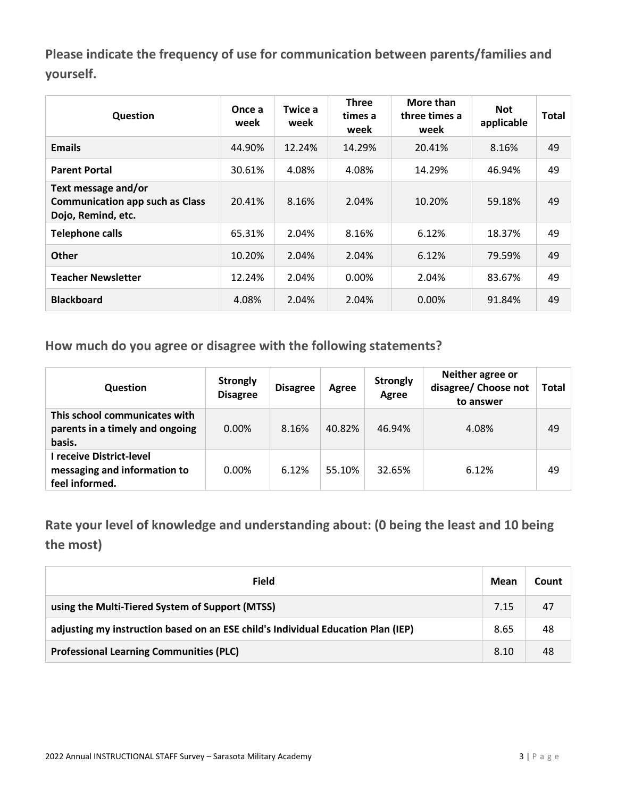**Please indicate the frequency of use for communication between parents/families and yourself.**

| Question                                                                            | Once a<br>week | Twice a<br>week | <b>Three</b><br>times a<br>week | More than<br>three times a<br>week | <b>Not</b><br>applicable | <b>Total</b> |
|-------------------------------------------------------------------------------------|----------------|-----------------|---------------------------------|------------------------------------|--------------------------|--------------|
| <b>Emails</b>                                                                       | 44.90%         | 12.24%          | 14.29%                          | 20.41%                             | 8.16%                    | 49           |
| <b>Parent Portal</b>                                                                | 30.61%         | 4.08%           | 4.08%                           | 14.29%                             | 46.94%                   | 49           |
| Text message and/or<br><b>Communication app such as Class</b><br>Dojo, Remind, etc. | 20.41%         | 8.16%           | 2.04%                           | 10.20%                             | 59.18%                   | 49           |
| <b>Telephone calls</b>                                                              | 65.31%         | 2.04%           | 8.16%                           | 6.12%                              | 18.37%                   | 49           |
| <b>Other</b>                                                                        | 10.20%         | 2.04%           | 2.04%                           | 6.12%                              | 79.59%                   | 49           |
| <b>Teacher Newsletter</b>                                                           | 12.24%         | 2.04%           | $0.00\%$                        | 2.04%                              | 83.67%                   | 49           |
| <b>Blackboard</b>                                                                   | 4.08%          | 2.04%           | 2.04%                           | $0.00\%$                           | 91.84%                   | 49           |

**How much do you agree or disagree with the following statements?**

| <b>Question</b>                                                            | <b>Strongly</b><br><b>Disagree</b> | <b>Disagree</b> | Agree  | <b>Strongly</b><br>Agree | Neither agree or<br>disagree/ Choose not<br>to answer | Total |
|----------------------------------------------------------------------------|------------------------------------|-----------------|--------|--------------------------|-------------------------------------------------------|-------|
| This school communicates with<br>parents in a timely and ongoing<br>basis. | $0.00\%$                           | 8.16%           | 40.82% | 46.94%                   | 4.08%                                                 | 49    |
| l receive District-level<br>messaging and information to<br>feel informed. | $0.00\%$                           | 6.12%           | 55.10% | 32.65%                   | 6.12%                                                 | 49    |

**Rate your level of knowledge and understanding about: (0 being the least and 10 being the most)**

| Field                                                                            | Mean | Count |
|----------------------------------------------------------------------------------|------|-------|
| using the Multi-Tiered System of Support (MTSS)                                  | 7.15 | 47    |
| adjusting my instruction based on an ESE child's Individual Education Plan (IEP) | 8.65 | 48    |
| <b>Professional Learning Communities (PLC)</b>                                   | 8.10 | 48    |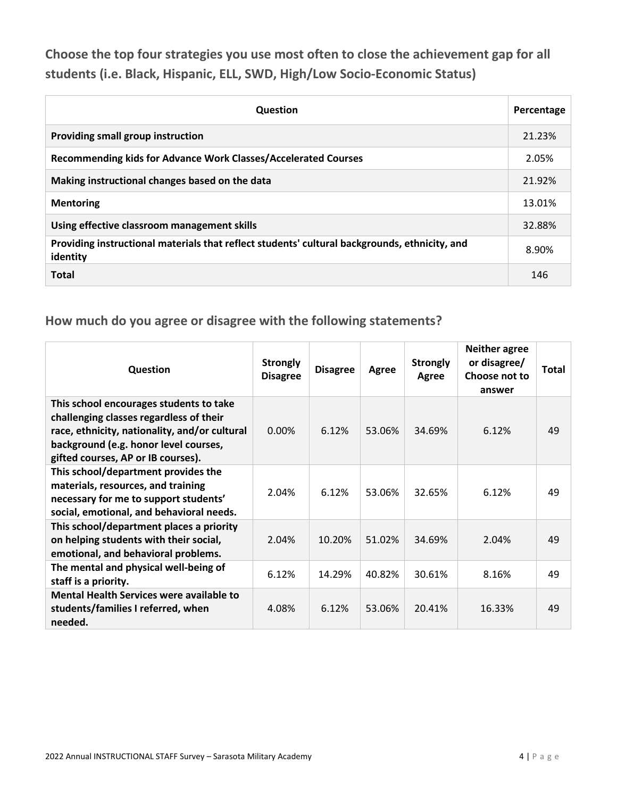**Choose the top four strategies you use most often to close the achievement gap for all students (i.e. Black, Hispanic, ELL, SWD, High/Low Socio-Economic Status)**

| <b>Question</b>                                                                                           | Percentage |
|-----------------------------------------------------------------------------------------------------------|------------|
| Providing small group instruction                                                                         | 21.23%     |
| Recommending kids for Advance Work Classes/Accelerated Courses                                            | 2.05%      |
| Making instructional changes based on the data                                                            | 21.92%     |
| <b>Mentoring</b>                                                                                          | 13.01%     |
| Using effective classroom management skills                                                               | 32.88%     |
| Providing instructional materials that reflect students' cultural backgrounds, ethnicity, and<br>identity | 8.90%      |
| <b>Total</b>                                                                                              | 146        |

| Question                                                                                                                                                                                                           | <b>Strongly</b><br><b>Disagree</b> | <b>Disagree</b> | Agree  | <b>Strongly</b><br>Agree | <b>Neither agree</b><br>or disagree/<br>Choose not to<br>answer | Total |
|--------------------------------------------------------------------------------------------------------------------------------------------------------------------------------------------------------------------|------------------------------------|-----------------|--------|--------------------------|-----------------------------------------------------------------|-------|
| This school encourages students to take<br>challenging classes regardless of their<br>race, ethnicity, nationality, and/or cultural<br>background (e.g. honor level courses,<br>gifted courses, AP or IB courses). | 0.00%                              | 6.12%           | 53.06% | 34.69%                   | 6.12%                                                           | 49    |
| This school/department provides the<br>materials, resources, and training<br>necessary for me to support students'<br>social, emotional, and behavioral needs.                                                     | 2.04%                              | 6.12%           | 53.06% | 32.65%                   | 6.12%                                                           | 49    |
| This school/department places a priority<br>on helping students with their social,<br>emotional, and behavioral problems.                                                                                          | 2.04%                              | 10.20%          | 51.02% | 34.69%                   | 2.04%                                                           | 49    |
| The mental and physical well-being of<br>staff is a priority.                                                                                                                                                      | 6.12%                              | 14.29%          | 40.82% | 30.61%                   | 8.16%                                                           | 49    |
| Mental Health Services were available to<br>students/families I referred, when<br>needed.                                                                                                                          | 4.08%                              | 6.12%           | 53.06% | 20.41%                   | 16.33%                                                          | 49    |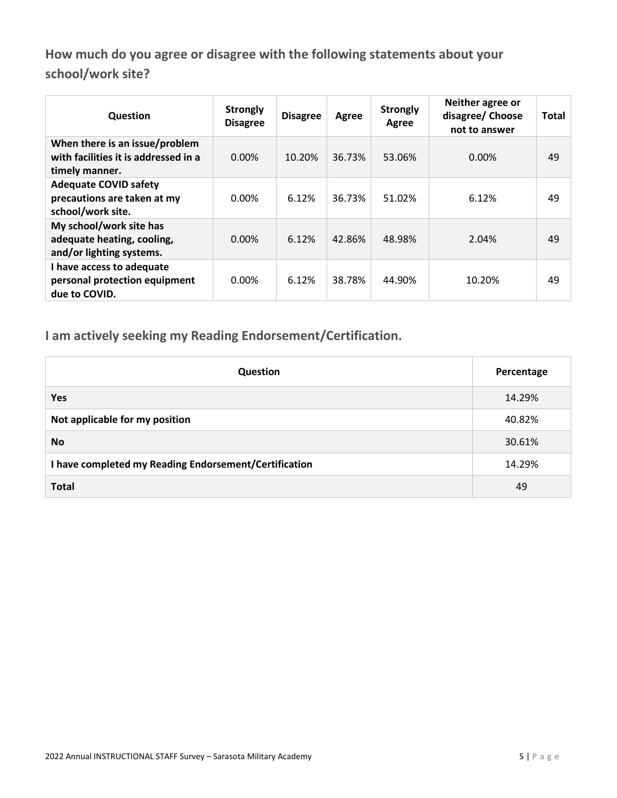**How much do you agree or disagree with the following statements about your school/work site?**

| Question                                                                                 | <b>Strongly</b><br><b>Disagree</b> | <b>Disagree</b> | Agree  | <b>Strongly</b><br>Agree | Neither agree or<br>disagree/ Choose<br>not to answer | Total |
|------------------------------------------------------------------------------------------|------------------------------------|-----------------|--------|--------------------------|-------------------------------------------------------|-------|
| When there is an issue/problem<br>with facilities it is addressed in a<br>timely manner. | 0.00%                              | 10.20%          | 36.73% | 53.06%                   | 0.00%                                                 | 49    |
| <b>Adequate COVID safety</b><br>precautions are taken at my<br>school/work site.         | $0.00\%$                           | 6.12%           | 36.73% | 51.02%                   | 6.12%                                                 | 49    |
| My school/work site has<br>adequate heating, cooling,<br>and/or lighting systems.        | $0.00\%$                           | 6.12%           | 42.86% | 48.98%                   | 2.04%                                                 | 49    |
| I have access to adequate<br>personal protection equipment<br>due to COVID.              | $0.00\%$                           | 6.12%           | 38.78% | 44.90%                   | 10.20%                                                | 49    |

**I am actively seeking my Reading Endorsement/Certification.**

| Question                                              | Percentage |
|-------------------------------------------------------|------------|
| Yes                                                   | 14.29%     |
| Not applicable for my position                        | 40.82%     |
| <b>No</b>                                             | 30.61%     |
| I have completed my Reading Endorsement/Certification | 14.29%     |
| <b>Total</b>                                          | 49         |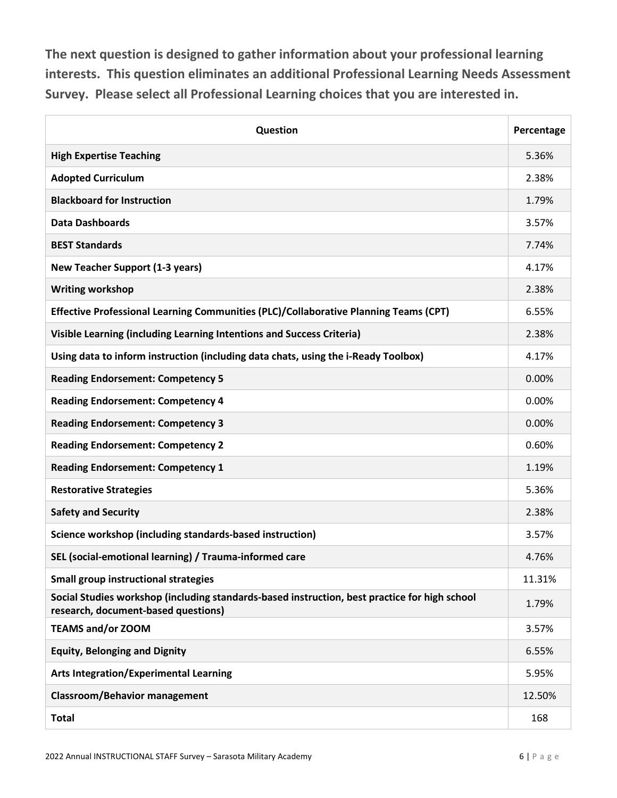**The next question is designed to gather information about your professional learning interests. This question eliminates an additional Professional Learning Needs Assessment Survey. Please select all Professional Learning choices that you are interested in.**

| Question                                                                                                                             | Percentage |
|--------------------------------------------------------------------------------------------------------------------------------------|------------|
| <b>High Expertise Teaching</b>                                                                                                       | 5.36%      |
| <b>Adopted Curriculum</b>                                                                                                            | 2.38%      |
| <b>Blackboard for Instruction</b>                                                                                                    | 1.79%      |
| <b>Data Dashboards</b>                                                                                                               | 3.57%      |
| <b>BEST Standards</b>                                                                                                                | 7.74%      |
| <b>New Teacher Support (1-3 years)</b>                                                                                               | 4.17%      |
| <b>Writing workshop</b>                                                                                                              | 2.38%      |
| Effective Professional Learning Communities (PLC)/Collaborative Planning Teams (CPT)                                                 | 6.55%      |
| Visible Learning (including Learning Intentions and Success Criteria)                                                                | 2.38%      |
| Using data to inform instruction (including data chats, using the i-Ready Toolbox)                                                   | 4.17%      |
| <b>Reading Endorsement: Competency 5</b>                                                                                             | 0.00%      |
| <b>Reading Endorsement: Competency 4</b>                                                                                             | 0.00%      |
| <b>Reading Endorsement: Competency 3</b>                                                                                             | 0.00%      |
| <b>Reading Endorsement: Competency 2</b>                                                                                             | 0.60%      |
| <b>Reading Endorsement: Competency 1</b>                                                                                             | 1.19%      |
| <b>Restorative Strategies</b>                                                                                                        | 5.36%      |
| <b>Safety and Security</b>                                                                                                           | 2.38%      |
| Science workshop (including standards-based instruction)                                                                             | 3.57%      |
| SEL (social-emotional learning) / Trauma-informed care                                                                               | 4.76%      |
| <b>Small group instructional strategies</b>                                                                                          | 11.31%     |
| Social Studies workshop (including standards-based instruction, best practice for high school<br>research, document-based questions) | 1.79%      |
| <b>TEAMS and/or ZOOM</b>                                                                                                             | 3.57%      |
| <b>Equity, Belonging and Dignity</b>                                                                                                 | 6.55%      |
| <b>Arts Integration/Experimental Learning</b>                                                                                        | 5.95%      |
| <b>Classroom/Behavior management</b>                                                                                                 | 12.50%     |
| <b>Total</b>                                                                                                                         | 168        |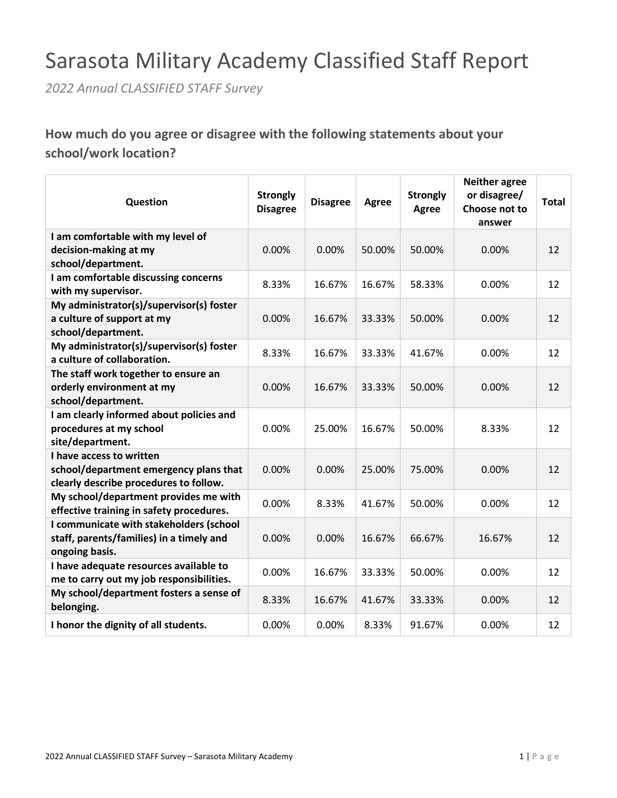# Sarasota Military Academy Classified Staff Report

*2022 Annual CLASSIFIED STAFF Survey*

**How much do you agree or disagree with the following statements about your school/work location?**

| Question                                              | <b>Strongly</b><br><b>Disagree</b> | <b>Disagree</b> | <b>Agree</b> | <b>Strongly</b><br>Agree | <b>Neither agree</b><br>or disagree/<br>Choose not to<br>answer | <b>Total</b> |
|-------------------------------------------------------|------------------------------------|-----------------|--------------|--------------------------|-----------------------------------------------------------------|--------------|
| I am comfortable with my level of                     |                                    |                 |              |                          |                                                                 |              |
| decision-making at my                                 | 0.00%                              | 0.00%           | 50.00%       | 50.00%                   | 0.00%                                                           | 12           |
| school/department.                                    |                                    |                 |              |                          |                                                                 |              |
| I am comfortable discussing concerns                  | 8.33%                              | 16.67%          | 16.67%       | 58.33%                   | 0.00%                                                           | 12           |
| with my supervisor.                                   |                                    |                 |              |                          |                                                                 |              |
| My administrator(s)/supervisor(s) foster              |                                    |                 |              |                          |                                                                 |              |
| a culture of support at my                            | 0.00%                              | 16.67%          | 33.33%       | 50.00%                   | 0.00%                                                           | 12           |
| school/department.                                    |                                    |                 |              |                          |                                                                 |              |
| My administrator(s)/supervisor(s) foster              | 8.33%                              | 16.67%          | 33.33%       | 41.67%                   | 0.00%                                                           | 12           |
| a culture of collaboration.                           |                                    |                 |              |                          |                                                                 |              |
| The staff work together to ensure an                  |                                    |                 |              |                          |                                                                 |              |
| orderly environment at my                             | 0.00%                              | 16.67%          | 33.33%       | 50.00%                   | 0.00%                                                           | 12           |
| school/department.                                    |                                    |                 |              |                          |                                                                 |              |
| I am clearly informed about policies and              | 0.00%                              |                 |              |                          |                                                                 | 12           |
| procedures at my school<br>site/department.           |                                    | 25.00%          | 16.67%       | 50.00%                   | 8.33%                                                           |              |
| I have access to written                              |                                    |                 |              |                          |                                                                 |              |
| school/department emergency plans that                | 0.00%                              | 0.00%           | 25.00%       | 75.00%                   | 0.00%                                                           | 12           |
| clearly describe procedures to follow.                |                                    |                 |              |                          |                                                                 |              |
| My school/department provides me with                 |                                    |                 |              |                          |                                                                 |              |
| effective training in safety procedures.              | 0.00%                              | 8.33%           | 41.67%       | 50.00%                   | 0.00%                                                           | 12           |
| I communicate with stakeholders (school               |                                    |                 |              |                          |                                                                 |              |
| staff, parents/families) in a timely and              | 0.00%                              | 0.00%           | 16.67%       | 66.67%                   | 16.67%                                                          | 12           |
| ongoing basis.                                        |                                    |                 |              |                          |                                                                 |              |
| I have adequate resources available to                |                                    |                 |              |                          |                                                                 |              |
| me to carry out my job responsibilities.              | 0.00%                              | 16.67%          | 33.33%       | 50.00%                   | 0.00%                                                           | 12           |
| My school/department fosters a sense of<br>belonging. | 8.33%                              | 16.67%          | 41.67%       | 33.33%                   | 0.00%                                                           | 12           |
| I honor the dignity of all students.                  | 0.00%                              | 0.00%           | 8.33%        | 91.67%                   | 0.00%                                                           | 12           |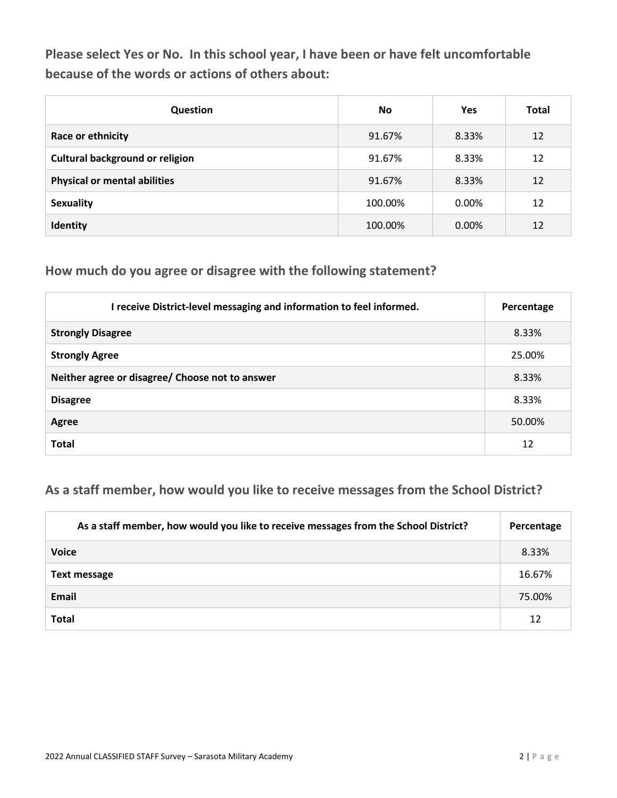**Please select Yes or No. In this school year, I have been or have felt uncomfortable because of the words or actions of others about:**

| <b>Question</b>                        | <b>No</b> | Yes   | <b>Total</b> |
|----------------------------------------|-----------|-------|--------------|
| Race or ethnicity                      | 91.67%    | 8.33% | 12           |
| <b>Cultural background or religion</b> | 91.67%    | 8.33% | 12           |
| <b>Physical or mental abilities</b>    | 91.67%    | 8.33% | 12           |
| <b>Sexuality</b>                       | 100.00%   | 0.00% | 12           |
| Identity                               | 100.00%   | 0.00% | 12           |

#### **How much do you agree or disagree with the following statement?**

| I receive District-level messaging and information to feel informed. | Percentage |
|----------------------------------------------------------------------|------------|
| <b>Strongly Disagree</b>                                             | 8.33%      |
| <b>Strongly Agree</b>                                                | 25.00%     |
| Neither agree or disagree/ Choose not to answer                      | 8.33%      |
| <b>Disagree</b>                                                      | 8.33%      |
| Agree                                                                | 50.00%     |
| <b>Total</b>                                                         | 12         |

### **As a staff member, how would you like to receive messages from the School District?**

| As a staff member, how would you like to receive messages from the School District? | Percentage |
|-------------------------------------------------------------------------------------|------------|
| <b>Voice</b>                                                                        | 8.33%      |
| <b>Text message</b>                                                                 | 16.67%     |
| Email                                                                               | 75.00%     |
| <b>Total</b>                                                                        | 12         |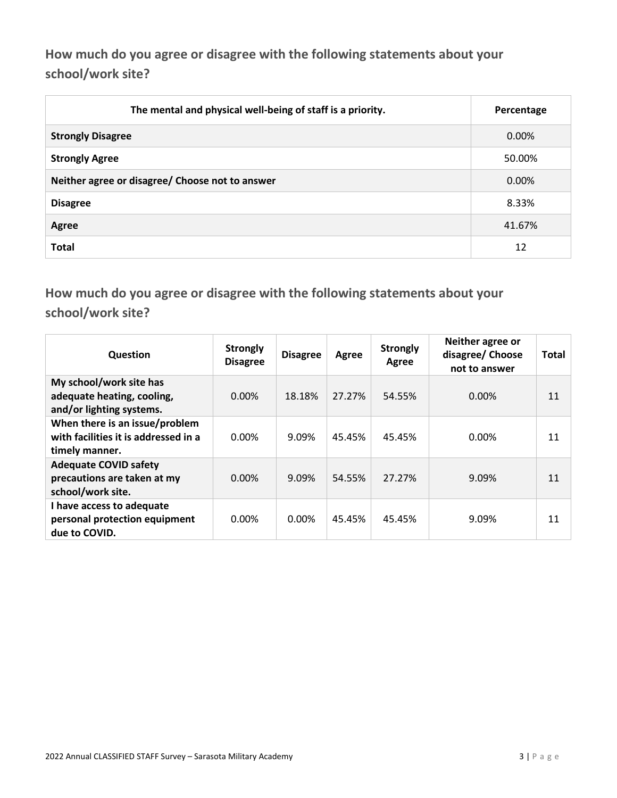**How much do you agree or disagree with the following statements about your school/work site?**

| The mental and physical well-being of staff is a priority. | Percentage |
|------------------------------------------------------------|------------|
| <b>Strongly Disagree</b>                                   | $0.00\%$   |
| <b>Strongly Agree</b>                                      | 50.00%     |
| Neither agree or disagree/ Choose not to answer            | $0.00\%$   |
| <b>Disagree</b>                                            | 8.33%      |
| Agree                                                      | 41.67%     |
| <b>Total</b>                                               | 12         |

**How much do you agree or disagree with the following statements about your school/work site?**

| Question                                                                                 | <b>Strongly</b><br><b>Disagree</b> | <b>Disagree</b> | Agree  | <b>Strongly</b><br>Agree | Neither agree or<br>disagree/ Choose<br>not to answer | Total |
|------------------------------------------------------------------------------------------|------------------------------------|-----------------|--------|--------------------------|-------------------------------------------------------|-------|
| My school/work site has<br>adequate heating, cooling,<br>and/or lighting systems.        | $0.00\%$                           | 18.18%          | 27.27% | 54.55%                   | 0.00%                                                 | 11    |
| When there is an issue/problem<br>with facilities it is addressed in a<br>timely manner. | $0.00\%$                           | 9.09%           | 45.45% | 45.45%                   | 0.00%                                                 | 11    |
| <b>Adequate COVID safety</b><br>precautions are taken at my<br>school/work site.         | $0.00\%$                           | 9.09%           | 54.55% | 27.27%                   | 9.09%                                                 | 11    |
| I have access to adequate<br>personal protection equipment<br>due to COVID.              | 0.00%                              | 0.00%           | 45.45% | 45.45%                   | 9.09%                                                 | 11    |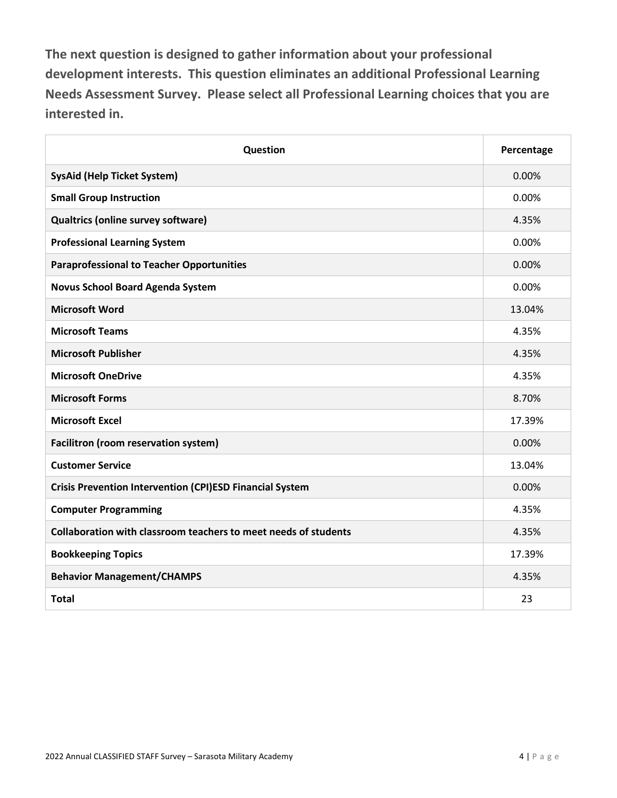**The next question is designed to gather information about your professional development interests. This question eliminates an additional Professional Learning Needs Assessment Survey. Please select all Professional Learning choices that you are interested in.**

| Question                                                        | Percentage |
|-----------------------------------------------------------------|------------|
| <b>SysAid (Help Ticket System)</b>                              | 0.00%      |
| <b>Small Group Instruction</b>                                  | 0.00%      |
| Qualtrics (online survey software)                              | 4.35%      |
| <b>Professional Learning System</b>                             | 0.00%      |
| <b>Paraprofessional to Teacher Opportunities</b>                | 0.00%      |
| <b>Novus School Board Agenda System</b>                         | 0.00%      |
| <b>Microsoft Word</b>                                           | 13.04%     |
| <b>Microsoft Teams</b>                                          | 4.35%      |
| <b>Microsoft Publisher</b>                                      | 4.35%      |
| <b>Microsoft OneDrive</b>                                       | 4.35%      |
| <b>Microsoft Forms</b>                                          | 8.70%      |
| <b>Microsoft Excel</b>                                          | 17.39%     |
| Facilitron (room reservation system)                            | 0.00%      |
| <b>Customer Service</b>                                         | 13.04%     |
| <b>Crisis Prevention Intervention (CPI)ESD Financial System</b> | 0.00%      |
| <b>Computer Programming</b>                                     | 4.35%      |
| Collaboration with classroom teachers to meet needs of students | 4.35%      |
| <b>Bookkeeping Topics</b>                                       | 17.39%     |
| <b>Behavior Management/CHAMPS</b>                               | 4.35%      |
| <b>Total</b>                                                    | 23         |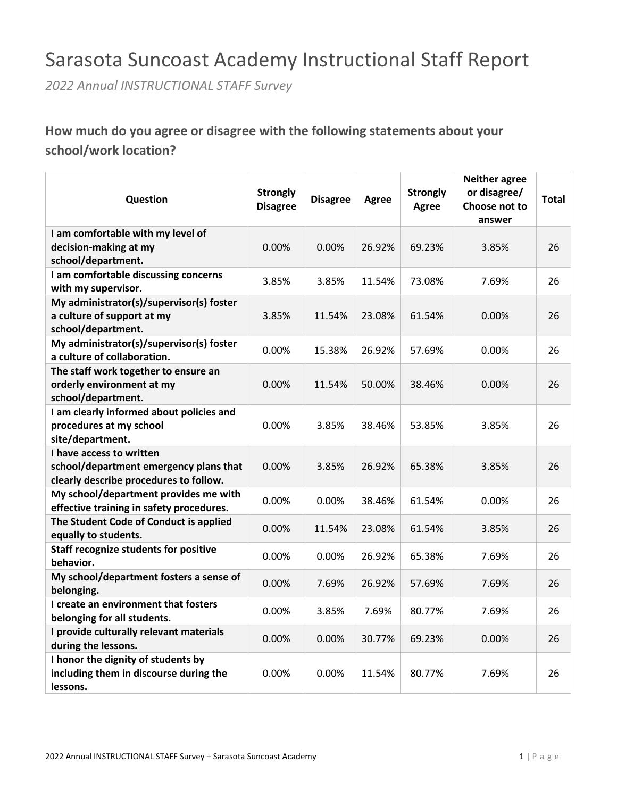## Sarasota Suncoast Academy Instructional Staff Report

*2022 Annual INSTRUCTIONAL STAFF Survey*

### **How much do you agree or disagree with the following statements about your school/work location?**

| Question                                                                                                     | <b>Strongly</b><br><b>Disagree</b> | <b>Disagree</b> | <b>Agree</b> | <b>Strongly</b><br><b>Agree</b> | <b>Neither agree</b><br>or disagree/<br>Choose not to<br>answer | <b>Total</b> |
|--------------------------------------------------------------------------------------------------------------|------------------------------------|-----------------|--------------|---------------------------------|-----------------------------------------------------------------|--------------|
| I am comfortable with my level of                                                                            |                                    |                 |              |                                 |                                                                 |              |
| decision-making at my                                                                                        | 0.00%                              | 0.00%           | 26.92%       | 69.23%                          | 3.85%                                                           | 26           |
| school/department.                                                                                           |                                    |                 |              |                                 |                                                                 |              |
| I am comfortable discussing concerns                                                                         |                                    |                 |              |                                 |                                                                 |              |
| with my supervisor.                                                                                          | 3.85%                              | 3.85%           | 11.54%       | 73.08%                          | 7.69%                                                           | 26           |
| My administrator(s)/supervisor(s) foster<br>a culture of support at my<br>school/department.                 | 3.85%                              | 11.54%          | 23.08%       | 61.54%                          | 0.00%                                                           | 26           |
| My administrator(s)/supervisor(s) foster<br>a culture of collaboration.                                      | 0.00%                              | 15.38%          | 26.92%       | 57.69%                          | 0.00%                                                           | 26           |
| The staff work together to ensure an<br>orderly environment at my<br>school/department.                      | 0.00%                              | 11.54%          | 50.00%       | 38.46%                          | 0.00%                                                           | 26           |
| I am clearly informed about policies and<br>procedures at my school<br>site/department.                      | 0.00%                              | 3.85%           | 38.46%       | 53.85%                          | 3.85%                                                           | 26           |
| I have access to written<br>school/department emergency plans that<br>clearly describe procedures to follow. | 0.00%                              | 3.85%           | 26.92%       | 65.38%                          | 3.85%                                                           | 26           |
| My school/department provides me with<br>effective training in safety procedures.                            | 0.00%                              | 0.00%           | 38.46%       | 61.54%                          | 0.00%                                                           | 26           |
| The Student Code of Conduct is applied<br>equally to students.                                               | 0.00%                              | 11.54%          | 23.08%       | 61.54%                          | 3.85%                                                           | 26           |
| <b>Staff recognize students for positive</b><br>behavior.                                                    | 0.00%                              | 0.00%           | 26.92%       | 65.38%                          | 7.69%                                                           | 26           |
| My school/department fosters a sense of<br>belonging.                                                        | 0.00%                              | 7.69%           | 26.92%       | 57.69%                          | 7.69%                                                           | 26           |
| I create an environment that fosters<br>belonging for all students.                                          | 0.00%                              | 3.85%           | 7.69%        | 80.77%                          | 7.69%                                                           | 26           |
| I provide culturally relevant materials<br>during the lessons.                                               | 0.00%                              | 0.00%           | 30.77%       | 69.23%                          | 0.00%                                                           | 26           |
| I honor the dignity of students by<br>including them in discourse during the<br>lessons.                     | $0.00\%$                           | 0.00%           | 11.54%       | 80.77%                          | 7.69%                                                           | 26           |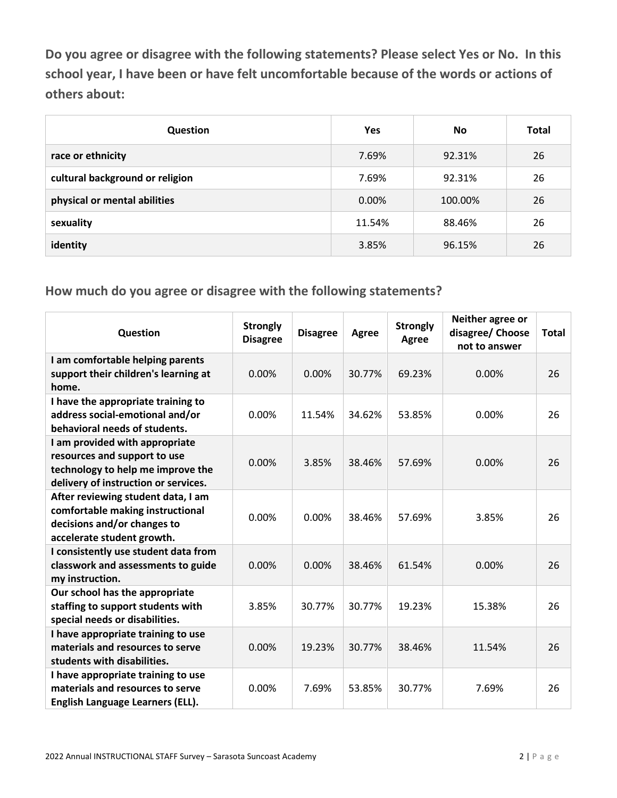**Do you agree or disagree with the following statements? Please select Yes or No. In this school year, I have been or have felt uncomfortable because of the words or actions of others about:**

| Question                        | Yes    | No      | <b>Total</b> |
|---------------------------------|--------|---------|--------------|
| race or ethnicity               | 7.69%  | 92.31%  | 26           |
| cultural background or religion | 7.69%  | 92.31%  | 26           |
| physical or mental abilities    | 0.00%  | 100.00% | 26           |
| sexuality                       | 11.54% | 88.46%  | 26           |
| identity                        | 3.85%  | 96.15%  | 26           |

| Question                                                                                                                                    | <b>Strongly</b><br><b>Disagree</b> | <b>Disagree</b> | <b>Agree</b> | <b>Strongly</b><br><b>Agree</b> | Neither agree or<br>disagree/ Choose<br>not to answer | <b>Total</b> |
|---------------------------------------------------------------------------------------------------------------------------------------------|------------------------------------|-----------------|--------------|---------------------------------|-------------------------------------------------------|--------------|
| I am comfortable helping parents<br>support their children's learning at<br>home.                                                           | 0.00%                              | 0.00%           | 30.77%       | 69.23%                          | 0.00%                                                 | 26           |
| I have the appropriate training to<br>address social-emotional and/or<br>behavioral needs of students.                                      | 0.00%                              | 11.54%          | 34.62%       | 53.85%                          | 0.00%                                                 | 26           |
| I am provided with appropriate<br>resources and support to use<br>technology to help me improve the<br>delivery of instruction or services. | 0.00%                              | 3.85%           | 38.46%       | 57.69%                          | 0.00%                                                 | 26           |
| After reviewing student data, I am<br>comfortable making instructional<br>decisions and/or changes to<br>accelerate student growth.         | 0.00%                              | 0.00%           | 38.46%       | 57.69%                          | 3.85%                                                 | 26           |
| I consistently use student data from<br>classwork and assessments to guide<br>my instruction.                                               | 0.00%                              | 0.00%           | 38.46%       | 61.54%                          | 0.00%                                                 | 26           |
| Our school has the appropriate<br>staffing to support students with<br>special needs or disabilities.                                       | 3.85%                              | 30.77%          | 30.77%       | 19.23%                          | 15.38%                                                | 26           |
| I have appropriate training to use<br>materials and resources to serve<br>students with disabilities.                                       | 0.00%                              | 19.23%          | 30.77%       | 38.46%                          | 11.54%                                                | 26           |
| I have appropriate training to use<br>materials and resources to serve<br>English Language Learners (ELL).                                  | 0.00%                              | 7.69%           | 53.85%       | 30.77%                          | 7.69%                                                 | 26           |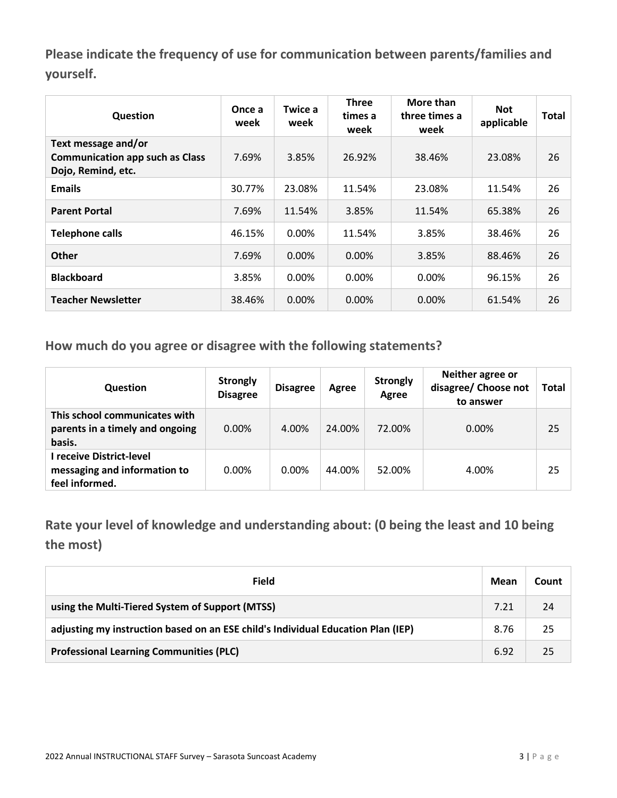**Please indicate the frequency of use for communication between parents/families and yourself.**

| Question                                                                            | Once a<br>week | Twice a<br>week | <b>Three</b><br>times a<br>week | More than<br>three times a<br>week | <b>Not</b><br>applicable | <b>Total</b> |
|-------------------------------------------------------------------------------------|----------------|-----------------|---------------------------------|------------------------------------|--------------------------|--------------|
| Text message and/or<br><b>Communication app such as Class</b><br>Dojo, Remind, etc. | 7.69%          | 3.85%           | 26.92%                          | 38.46%                             | 23.08%                   | 26           |
| <b>Emails</b>                                                                       | 30.77%         | 23.08%          | 11.54%                          | 23.08%                             | 11.54%                   | 26           |
| <b>Parent Portal</b>                                                                | 7.69%          | 11.54%          | 3.85%                           | 11.54%                             | 65.38%                   | 26           |
| <b>Telephone calls</b>                                                              | 46.15%         | 0.00%           | 11.54%                          | 3.85%                              | 38.46%                   | 26           |
| <b>Other</b>                                                                        | 7.69%          | $0.00\%$        | 0.00%                           | 3.85%                              | 88.46%                   | 26           |
| <b>Blackboard</b>                                                                   | 3.85%          | $0.00\%$        | 0.00%                           | $0.00\%$                           | 96.15%                   | 26           |
| <b>Teacher Newsletter</b>                                                           | 38.46%         | 0.00%           | $0.00\%$                        | $0.00\%$                           | 61.54%                   | 26           |

**How much do you agree or disagree with the following statements?**

| <b>Question</b>                                                            | <b>Strongly</b><br><b>Disagree</b> | <b>Disagree</b> | Agree  | <b>Strongly</b><br><b>Agree</b> | Neither agree or<br>disagree/ Choose not<br>to answer | <b>Total</b> |
|----------------------------------------------------------------------------|------------------------------------|-----------------|--------|---------------------------------|-------------------------------------------------------|--------------|
| This school communicates with<br>parents in a timely and ongoing<br>basis. | $0.00\%$                           | 4.00%           | 24.00% | 72.00%                          | $0.00\%$                                              | 25           |
| receive District-level<br>messaging and information to<br>feel informed.   | $0.00\%$                           | $0.00\%$        | 44.00% | 52.00%                          | 4.00%                                                 | 25           |

**Rate your level of knowledge and understanding about: (0 being the least and 10 being the most)**

| Field                                                                            | Mean | Count |
|----------------------------------------------------------------------------------|------|-------|
| using the Multi-Tiered System of Support (MTSS)                                  | 7.21 | 24    |
| adjusting my instruction based on an ESE child's Individual Education Plan (IEP) | 8.76 | 25    |
| <b>Professional Learning Communities (PLC)</b>                                   | 6.92 | 25    |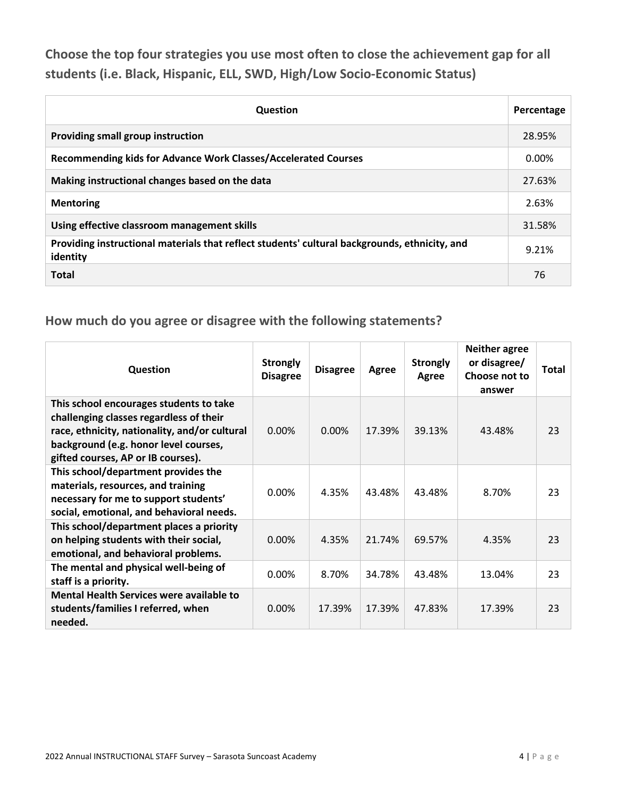**Choose the top four strategies you use most often to close the achievement gap for all students (i.e. Black, Hispanic, ELL, SWD, High/Low Socio-Economic Status)**

| <b>Question</b>                                                                                           | Percentage |
|-----------------------------------------------------------------------------------------------------------|------------|
| Providing small group instruction                                                                         | 28.95%     |
| Recommending kids for Advance Work Classes/Accelerated Courses                                            | $0.00\%$   |
| Making instructional changes based on the data                                                            | 27.63%     |
| <b>Mentoring</b>                                                                                          | 2.63%      |
| Using effective classroom management skills                                                               | 31.58%     |
| Providing instructional materials that reflect students' cultural backgrounds, ethnicity, and<br>identity | 9.21%      |
| <b>Total</b>                                                                                              | 76         |

| Question                                                                                                                                                                                                           | <b>Strongly</b><br><b>Disagree</b> | <b>Disagree</b> | Agree  | <b>Strongly</b><br>Agree | <b>Neither agree</b><br>or disagree/<br>Choose not to<br>answer | Total |
|--------------------------------------------------------------------------------------------------------------------------------------------------------------------------------------------------------------------|------------------------------------|-----------------|--------|--------------------------|-----------------------------------------------------------------|-------|
| This school encourages students to take<br>challenging classes regardless of their<br>race, ethnicity, nationality, and/or cultural<br>background (e.g. honor level courses,<br>gifted courses, AP or IB courses). | 0.00%                              | $0.00\%$        | 17.39% | 39.13%                   | 43.48%                                                          | 23    |
| This school/department provides the<br>materials, resources, and training<br>necessary for me to support students'<br>social, emotional, and behavioral needs.                                                     | $0.00\%$                           | 4.35%           | 43.48% | 43.48%                   | 8.70%                                                           | 23    |
| This school/department places a priority<br>on helping students with their social,<br>emotional, and behavioral problems.                                                                                          | 0.00%                              | 4.35%           | 21.74% | 69.57%                   | 4.35%                                                           | 23    |
| The mental and physical well-being of<br>staff is a priority.                                                                                                                                                      | $0.00\%$                           | 8.70%           | 34.78% | 43.48%                   | 13.04%                                                          | 23    |
| Mental Health Services were available to<br>students/families I referred, when<br>needed.                                                                                                                          | 0.00%                              | 17.39%          | 17.39% | 47.83%                   | 17.39%                                                          | 23    |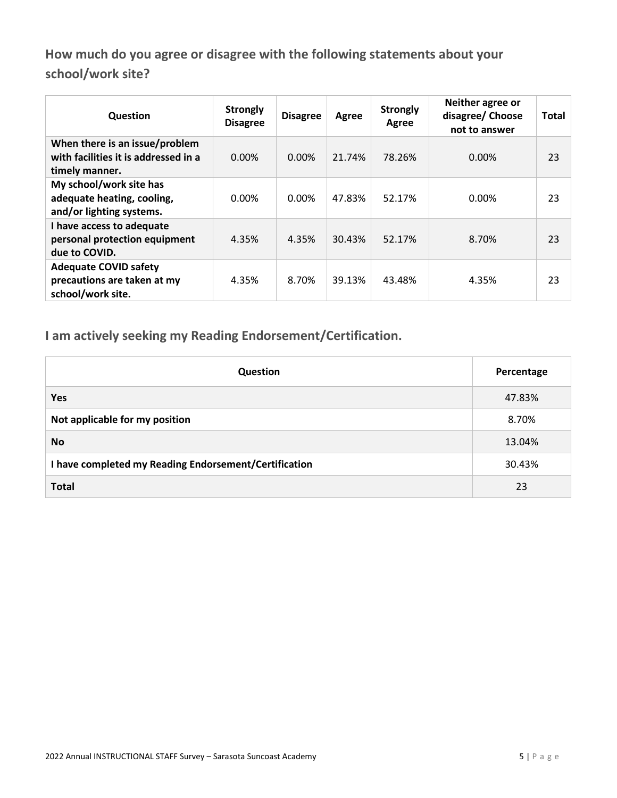**How much do you agree or disagree with the following statements about your school/work site?**

| Question                                                                                 | <b>Strongly</b><br><b>Disagree</b> | <b>Disagree</b> | Agree  | <b>Strongly</b><br>Agree | Neither agree or<br>disagree/ Choose<br>not to answer | <b>Total</b> |
|------------------------------------------------------------------------------------------|------------------------------------|-----------------|--------|--------------------------|-------------------------------------------------------|--------------|
| When there is an issue/problem<br>with facilities it is addressed in a<br>timely manner. | $0.00\%$                           | $0.00\%$        | 21.74% | 78.26%                   | 0.00%                                                 | 23           |
| My school/work site has<br>adequate heating, cooling,<br>and/or lighting systems.        | 0.00%                              | 0.00%           | 47.83% | 52.17%                   | 0.00%                                                 | 23           |
| I have access to adequate<br>personal protection equipment<br>due to COVID.              | 4.35%                              | 4.35%           | 30.43% | 52.17%                   | 8.70%                                                 | 23           |
| <b>Adequate COVID safety</b><br>precautions are taken at my<br>school/work site.         | 4.35%                              | 8.70%           | 39.13% | 43.48%                   | 4.35%                                                 | 23           |

**I am actively seeking my Reading Endorsement/Certification.**

| <b>Question</b>                                       | Percentage |
|-------------------------------------------------------|------------|
| Yes                                                   | 47.83%     |
| Not applicable for my position                        | 8.70%      |
| <b>No</b>                                             | 13.04%     |
| I have completed my Reading Endorsement/Certification | 30.43%     |
| <b>Total</b>                                          | 23         |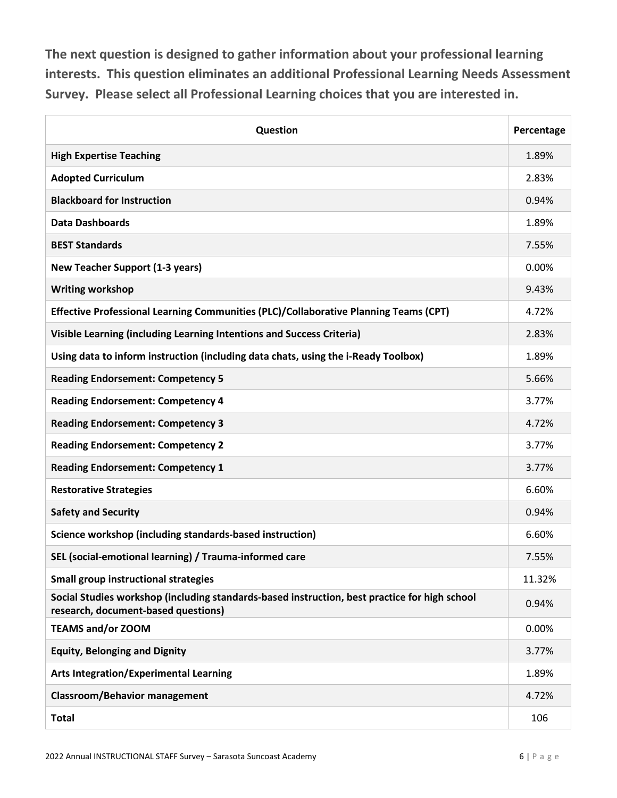**The next question is designed to gather information about your professional learning interests. This question eliminates an additional Professional Learning Needs Assessment Survey. Please select all Professional Learning choices that you are interested in.**

| Question                                                                                                                             | Percentage |
|--------------------------------------------------------------------------------------------------------------------------------------|------------|
| <b>High Expertise Teaching</b>                                                                                                       | 1.89%      |
| <b>Adopted Curriculum</b>                                                                                                            | 2.83%      |
| <b>Blackboard for Instruction</b>                                                                                                    | 0.94%      |
| <b>Data Dashboards</b>                                                                                                               | 1.89%      |
| <b>BEST Standards</b>                                                                                                                | 7.55%      |
| <b>New Teacher Support (1-3 years)</b>                                                                                               | 0.00%      |
| <b>Writing workshop</b>                                                                                                              | 9.43%      |
| Effective Professional Learning Communities (PLC)/Collaborative Planning Teams (CPT)                                                 | 4.72%      |
| Visible Learning (including Learning Intentions and Success Criteria)                                                                | 2.83%      |
| Using data to inform instruction (including data chats, using the i-Ready Toolbox)                                                   | 1.89%      |
| <b>Reading Endorsement: Competency 5</b>                                                                                             | 5.66%      |
| <b>Reading Endorsement: Competency 4</b>                                                                                             | 3.77%      |
| <b>Reading Endorsement: Competency 3</b>                                                                                             | 4.72%      |
| <b>Reading Endorsement: Competency 2</b>                                                                                             | 3.77%      |
| <b>Reading Endorsement: Competency 1</b>                                                                                             | 3.77%      |
| <b>Restorative Strategies</b>                                                                                                        | 6.60%      |
| <b>Safety and Security</b>                                                                                                           | 0.94%      |
| Science workshop (including standards-based instruction)                                                                             | 6.60%      |
| SEL (social-emotional learning) / Trauma-informed care                                                                               | 7.55%      |
| <b>Small group instructional strategies</b>                                                                                          | 11.32%     |
| Social Studies workshop (including standards-based instruction, best practice for high school<br>research, document-based questions) | 0.94%      |
| <b>TEAMS and/or ZOOM</b>                                                                                                             | 0.00%      |
| <b>Equity, Belonging and Dignity</b>                                                                                                 | 3.77%      |
| <b>Arts Integration/Experimental Learning</b>                                                                                        | 1.89%      |
| <b>Classroom/Behavior management</b>                                                                                                 | 4.72%      |
| <b>Total</b>                                                                                                                         | 106        |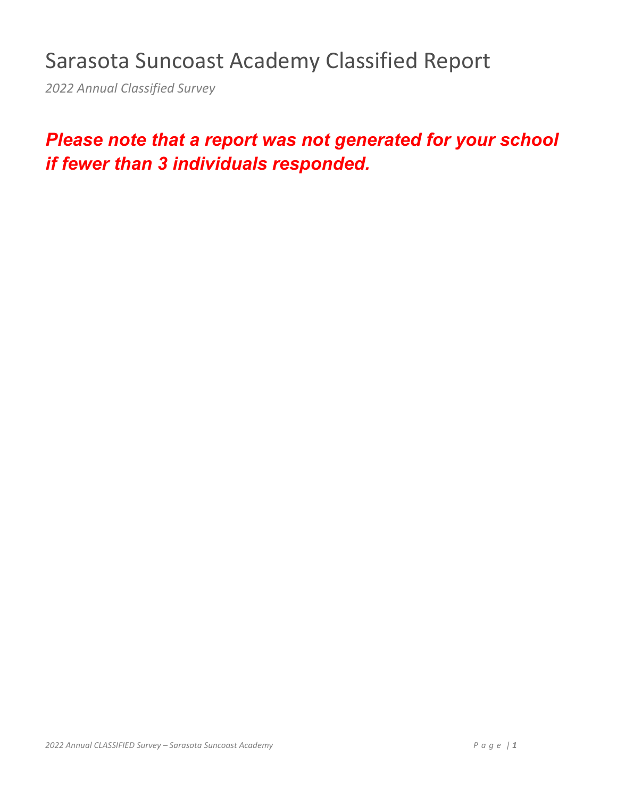# Sarasota Suncoast Academy Classified Report

*2022 Annual Classified Survey*

## *Please note that a report was not generated for your school if fewer than 3 individuals responded.*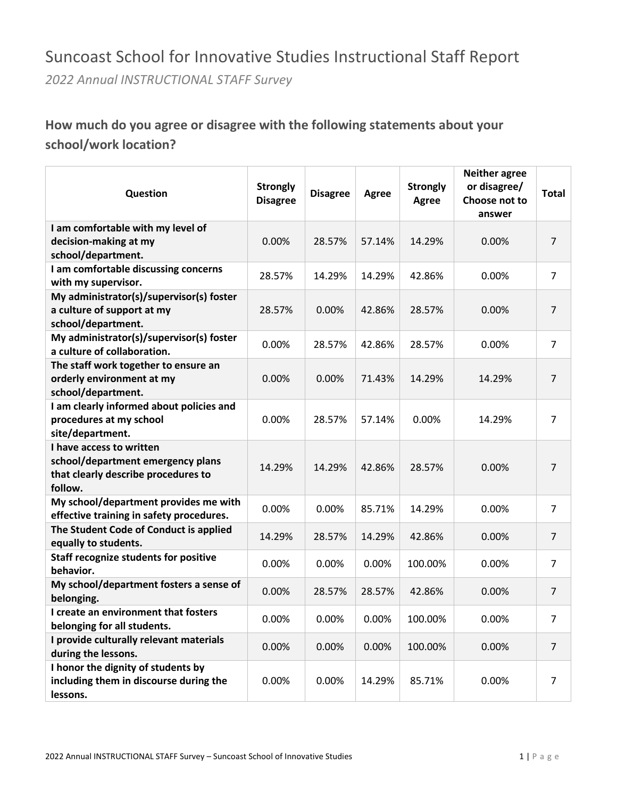## Suncoast School for Innovative Studies Instructional Staff Report

*2022 Annual INSTRUCTIONAL STAFF Survey*

### **How much do you agree or disagree with the following statements about your school/work location?**

| Question                                                                                                        | <b>Strongly</b><br><b>Disagree</b> | <b>Disagree</b> | <b>Agree</b> | <b>Strongly</b><br><b>Agree</b> | <b>Neither agree</b><br>or disagree/<br>Choose not to<br>answer | Total          |
|-----------------------------------------------------------------------------------------------------------------|------------------------------------|-----------------|--------------|---------------------------------|-----------------------------------------------------------------|----------------|
| I am comfortable with my level of<br>decision-making at my                                                      | 0.00%                              | 28.57%          | 57.14%       | 14.29%                          | 0.00%                                                           | $\overline{7}$ |
| school/department.                                                                                              |                                    |                 |              |                                 |                                                                 |                |
| I am comfortable discussing concerns<br>with my supervisor.                                                     | 28.57%                             | 14.29%          | 14.29%       | 42.86%                          | 0.00%                                                           | $\overline{7}$ |
| My administrator(s)/supervisor(s) foster<br>a culture of support at my<br>school/department.                    | 28.57%                             | 0.00%           | 42.86%       | 28.57%                          | 0.00%                                                           | $\overline{7}$ |
| My administrator(s)/supervisor(s) foster<br>a culture of collaboration.                                         | 0.00%                              | 28.57%          | 42.86%       | 28.57%                          | 0.00%                                                           | $\overline{7}$ |
| The staff work together to ensure an<br>orderly environment at my<br>school/department.                         | 0.00%                              | 0.00%           | 71.43%       | 14.29%                          | 14.29%                                                          | $\overline{7}$ |
| I am clearly informed about policies and<br>procedures at my school<br>site/department.                         | 0.00%                              | 28.57%          | 57.14%       | 0.00%                           | 14.29%                                                          | 7              |
| I have access to written<br>school/department emergency plans<br>that clearly describe procedures to<br>follow. | 14.29%                             | 14.29%          | 42.86%       | 28.57%                          | 0.00%                                                           | 7              |
| My school/department provides me with<br>effective training in safety procedures.                               | 0.00%                              | 0.00%           | 85.71%       | 14.29%                          | 0.00%                                                           | $\overline{7}$ |
| The Student Code of Conduct is applied<br>equally to students.                                                  | 14.29%                             | 28.57%          | 14.29%       | 42.86%                          | 0.00%                                                           | $\overline{7}$ |
| <b>Staff recognize students for positive</b><br>behavior.                                                       | 0.00%                              | 0.00%           | 0.00%        | 100.00%                         | 0.00%                                                           | $\overline{7}$ |
| My school/department fosters a sense of<br>belonging.                                                           | 0.00%                              | 28.57%          | 28.57%       | 42.86%                          | 0.00%                                                           | $\overline{7}$ |
| I create an environment that fosters<br>belonging for all students.                                             | 0.00%                              | 0.00%           | 0.00%        | 100.00%                         | 0.00%                                                           | $\prime$       |
| I provide culturally relevant materials<br>during the lessons.                                                  | 0.00%                              | 0.00%           | 0.00%        | 100.00%                         | 0.00%                                                           | $\overline{7}$ |
| I honor the dignity of students by<br>including them in discourse during the<br>lessons.                        | 0.00%                              | 0.00%           | 14.29%       | 85.71%                          | 0.00%                                                           | $\overline{7}$ |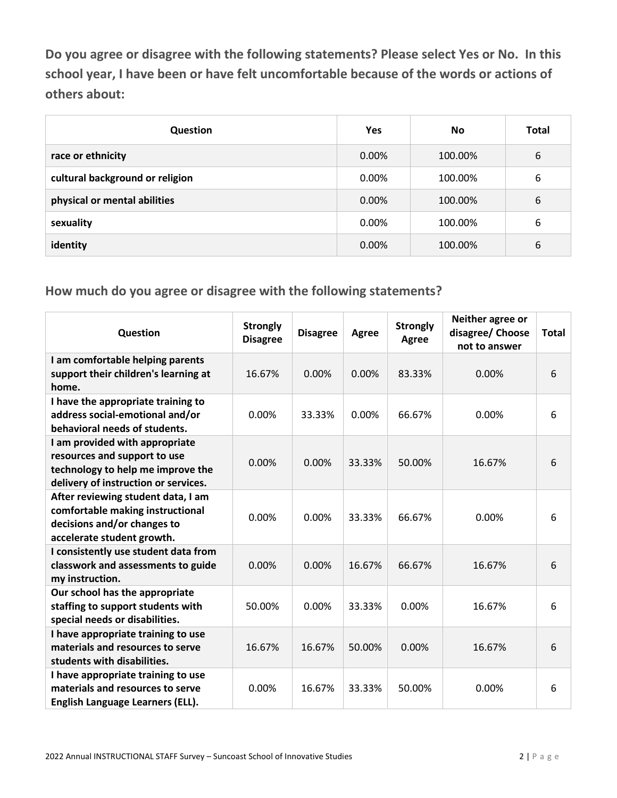**Do you agree or disagree with the following statements? Please select Yes or No. In this school year, I have been or have felt uncomfortable because of the words or actions of others about:**

| Question                        | Yes   | <b>No</b> | <b>Total</b> |
|---------------------------------|-------|-----------|--------------|
| race or ethnicity               | 0.00% | 100.00%   | 6            |
| cultural background or religion | 0.00% | 100.00%   | 6            |
| physical or mental abilities    | 0.00% | 100.00%   | 6            |
| sexuality                       | 0.00% | 100.00%   | 6            |
| identity                        | 0.00% | 100.00%   | 6            |

| Question                                                                                                                                    | <b>Strongly</b><br><b>Disagree</b> | <b>Disagree</b> | Agree  | <b>Strongly</b><br>Agree | Neither agree or<br>disagree/ Choose<br>not to answer | <b>Total</b> |
|---------------------------------------------------------------------------------------------------------------------------------------------|------------------------------------|-----------------|--------|--------------------------|-------------------------------------------------------|--------------|
| I am comfortable helping parents<br>support their children's learning at<br>home.                                                           | 16.67%                             | 0.00%           | 0.00%  | 83.33%                   | 0.00%                                                 | 6            |
| I have the appropriate training to<br>address social-emotional and/or<br>behavioral needs of students.                                      | 0.00%                              | 33.33%          | 0.00%  | 66.67%                   | 0.00%                                                 | 6            |
| I am provided with appropriate<br>resources and support to use<br>technology to help me improve the<br>delivery of instruction or services. | 0.00%                              | 0.00%           | 33.33% | 50.00%                   | 16.67%                                                | 6            |
| After reviewing student data, I am<br>comfortable making instructional<br>decisions and/or changes to<br>accelerate student growth.         | 0.00%                              | 0.00%           | 33.33% | 66.67%                   | 0.00%                                                 | 6            |
| I consistently use student data from<br>classwork and assessments to guide<br>my instruction.                                               | 0.00%                              | 0.00%           | 16.67% | 66.67%                   | 16.67%                                                | 6            |
| Our school has the appropriate<br>staffing to support students with<br>special needs or disabilities.                                       | 50.00%                             | 0.00%           | 33.33% | 0.00%                    | 16.67%                                                | 6            |
| I have appropriate training to use<br>materials and resources to serve<br>students with disabilities.                                       | 16.67%                             | 16.67%          | 50.00% | 0.00%                    | 16.67%                                                | 6            |
| I have appropriate training to use<br>materials and resources to serve<br>English Language Learners (ELL).                                  | 0.00%                              | 16.67%          | 33.33% | 50.00%                   | 0.00%                                                 | 6            |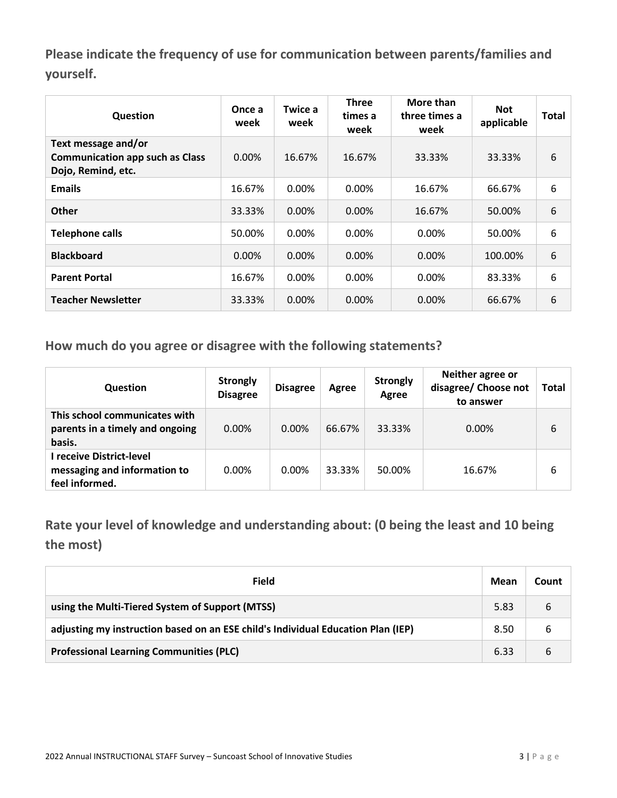**Please indicate the frequency of use for communication between parents/families and yourself.**

| Question                                                                            | Once a<br>week | Twice a<br>week | <b>Three</b><br>times a<br>week | More than<br>three times a<br>week | <b>Not</b><br>applicable | Total |
|-------------------------------------------------------------------------------------|----------------|-----------------|---------------------------------|------------------------------------|--------------------------|-------|
| Text message and/or<br><b>Communication app such as Class</b><br>Dojo, Remind, etc. | $0.00\%$       | 16.67%          | 16.67%                          | 33.33%                             | 33.33%                   | 6     |
| <b>Emails</b>                                                                       | 16.67%         | 0.00%           | 0.00%                           | 16.67%                             | 66.67%                   | 6     |
| <b>Other</b>                                                                        | 33.33%         | $0.00\%$        | $0.00\%$                        | 16.67%                             | 50.00%                   | 6     |
| <b>Telephone calls</b>                                                              | 50.00%         | $0.00\%$        | $0.00\%$                        | $0.00\%$                           | 50.00%                   | 6     |
| <b>Blackboard</b>                                                                   | $0.00\%$       | $0.00\%$        | $0.00\%$                        | $0.00\%$                           | 100.00%                  | 6     |
| <b>Parent Portal</b>                                                                | 16.67%         | 0.00%           | 0.00%                           | 0.00%                              | 83.33%                   | 6     |
| <b>Teacher Newsletter</b>                                                           | 33.33%         | 0.00%           | 0.00%                           | $0.00\%$                           | 66.67%                   | 6     |

**How much do you agree or disagree with the following statements?**

| <b>Question</b>                                                            | <b>Strongly</b><br><b>Disagree</b> | <b>Disagree</b> | Agree  | <b>Strongly</b><br>Agree | Neither agree or<br>disagree/ Choose not<br>to answer | Total |
|----------------------------------------------------------------------------|------------------------------------|-----------------|--------|--------------------------|-------------------------------------------------------|-------|
| This school communicates with<br>parents in a timely and ongoing<br>basis. | $0.00\%$                           | $0.00\%$        | 66.67% | 33.33%                   | $0.00\%$                                              | 6     |
| l receive District-level<br>messaging and information to<br>feel informed. | $0.00\%$                           | $0.00\%$        | 33.33% | 50.00%                   | 16.67%                                                | 6     |

**Rate your level of knowledge and understanding about: (0 being the least and 10 being the most)**

| <b>Field</b>                                                                     | Mean | Count |
|----------------------------------------------------------------------------------|------|-------|
| using the Multi-Tiered System of Support (MTSS)                                  | 5.83 | 6     |
| adjusting my instruction based on an ESE child's Individual Education Plan (IEP) | 8.50 | 6     |
| <b>Professional Learning Communities (PLC)</b>                                   | 6.33 | 6     |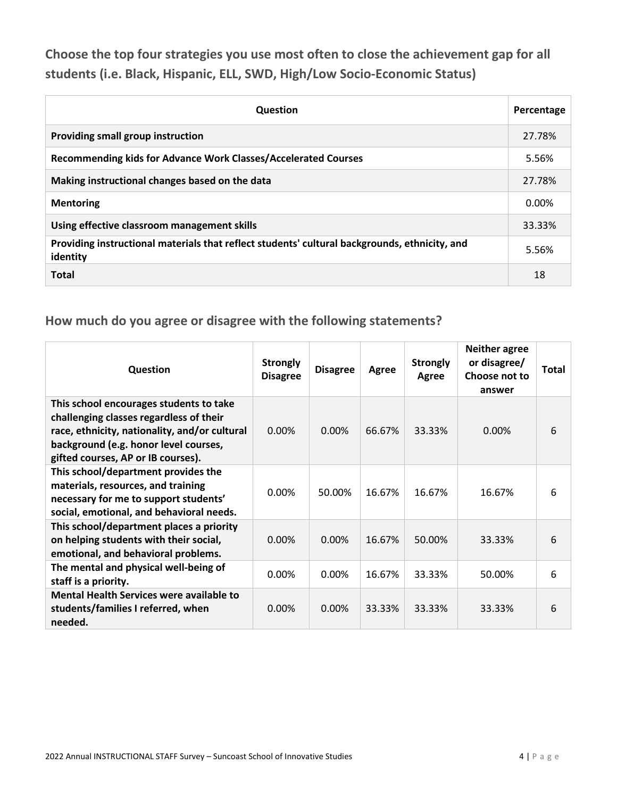**Choose the top four strategies you use most often to close the achievement gap for all students (i.e. Black, Hispanic, ELL, SWD, High/Low Socio-Economic Status)**

| <b>Question</b>                                                                                           | Percentage |
|-----------------------------------------------------------------------------------------------------------|------------|
| Providing small group instruction                                                                         | 27.78%     |
| Recommending kids for Advance Work Classes/Accelerated Courses                                            | 5.56%      |
| Making instructional changes based on the data                                                            | 27.78%     |
| <b>Mentoring</b>                                                                                          | $0.00\%$   |
| Using effective classroom management skills                                                               | 33.33%     |
| Providing instructional materials that reflect students' cultural backgrounds, ethnicity, and<br>identity | 5.56%      |
| <b>Total</b>                                                                                              | 18         |

| Question                                                                                                                                                                                                           | <b>Strongly</b><br><b>Disagree</b> | <b>Disagree</b> | Agree  | <b>Strongly</b><br>Agree | <b>Neither agree</b><br>or disagree/<br>Choose not to<br>answer | Total |
|--------------------------------------------------------------------------------------------------------------------------------------------------------------------------------------------------------------------|------------------------------------|-----------------|--------|--------------------------|-----------------------------------------------------------------|-------|
| This school encourages students to take<br>challenging classes regardless of their<br>race, ethnicity, nationality, and/or cultural<br>background (e.g. honor level courses,<br>gifted courses, AP or IB courses). | 0.00%                              | 0.00%           | 66.67% | 33.33%                   | $0.00\%$                                                        | 6     |
| This school/department provides the<br>materials, resources, and training<br>necessary for me to support students'<br>social, emotional, and behavioral needs.                                                     | 0.00%                              | 50.00%          | 16.67% | 16.67%                   | 16.67%                                                          | 6     |
| This school/department places a priority<br>on helping students with their social,<br>emotional, and behavioral problems.                                                                                          | 0.00%                              | $0.00\%$        | 16.67% | 50.00%                   | 33.33%                                                          | 6     |
| The mental and physical well-being of<br>staff is a priority.                                                                                                                                                      | 0.00%                              | $0.00\%$        | 16.67% | 33.33%                   | 50.00%                                                          | 6     |
| Mental Health Services were available to<br>students/families I referred, when<br>needed.                                                                                                                          | 0.00%                              | $0.00\%$        | 33.33% | 33.33%                   | 33.33%                                                          | 6     |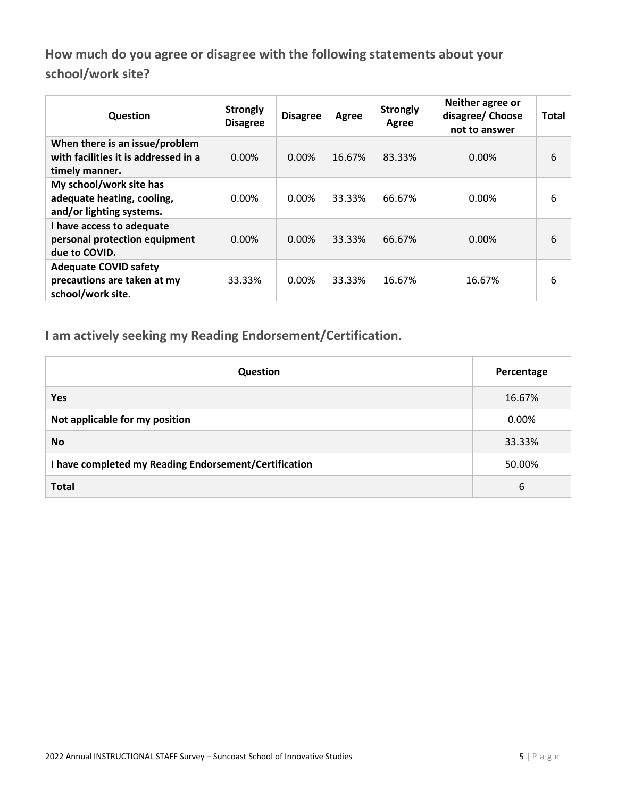**How much do you agree or disagree with the following statements about your school/work site?**

| Question                                                                                 | <b>Strongly</b><br><b>Disagree</b> | <b>Disagree</b> | Agree  | <b>Strongly</b><br>Agree | Neither agree or<br>disagree/ Choose<br>not to answer | <b>Total</b> |
|------------------------------------------------------------------------------------------|------------------------------------|-----------------|--------|--------------------------|-------------------------------------------------------|--------------|
| When there is an issue/problem<br>with facilities it is addressed in a<br>timely manner. | 0.00%                              | 0.00%           | 16.67% | 83.33%                   | $0.00\%$                                              | 6            |
| My school/work site has<br>adequate heating, cooling,<br>and/or lighting systems.        | 0.00%                              | 0.00%           | 33.33% | 66.67%                   | 0.00%                                                 | 6            |
| I have access to adequate<br>personal protection equipment<br>due to COVID.              | 0.00%                              | 0.00%           | 33.33% | 66.67%                   | 0.00%                                                 | 6            |
| <b>Adequate COVID safety</b><br>precautions are taken at my<br>school/work site.         | 33.33%                             | $0.00\%$        | 33.33% | 16.67%                   | 16.67%                                                | 6            |

**I am actively seeking my Reading Endorsement/Certification.**

| <b>Question</b>                                       | Percentage |
|-------------------------------------------------------|------------|
| <b>Yes</b>                                            | 16.67%     |
| Not applicable for my position                        | 0.00%      |
| <b>No</b>                                             | 33.33%     |
| I have completed my Reading Endorsement/Certification | 50.00%     |
| <b>Total</b>                                          | 6          |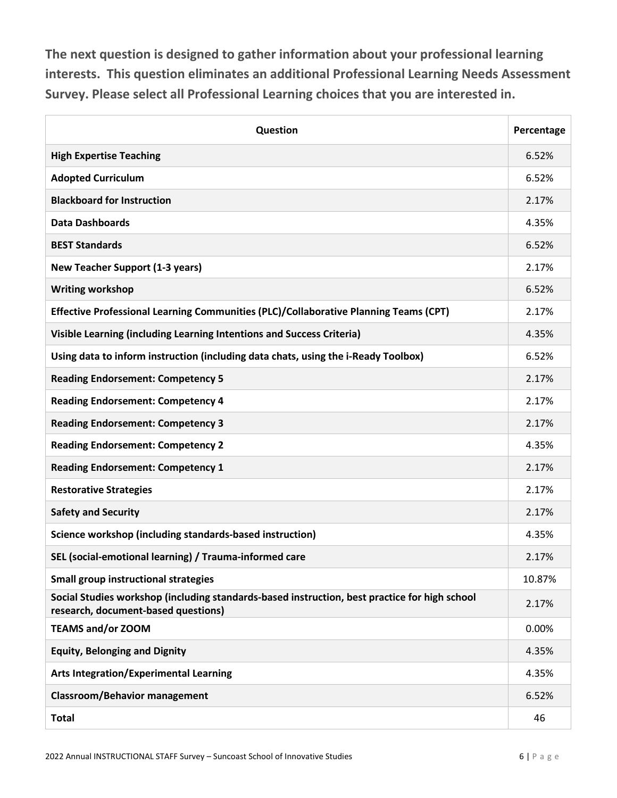**The next question is designed to gather information about your professional learning interests. This question eliminates an additional Professional Learning Needs Assessment Survey. Please select all Professional Learning choices that you are interested in.**

| Question                                                                                                                             | Percentage |
|--------------------------------------------------------------------------------------------------------------------------------------|------------|
| <b>High Expertise Teaching</b>                                                                                                       | 6.52%      |
| <b>Adopted Curriculum</b>                                                                                                            | 6.52%      |
| <b>Blackboard for Instruction</b>                                                                                                    | 2.17%      |
| <b>Data Dashboards</b>                                                                                                               | 4.35%      |
| <b>BEST Standards</b>                                                                                                                | 6.52%      |
| <b>New Teacher Support (1-3 years)</b>                                                                                               | 2.17%      |
| <b>Writing workshop</b>                                                                                                              | 6.52%      |
| Effective Professional Learning Communities (PLC)/Collaborative Planning Teams (CPT)                                                 | 2.17%      |
| Visible Learning (including Learning Intentions and Success Criteria)                                                                | 4.35%      |
| Using data to inform instruction (including data chats, using the i-Ready Toolbox)                                                   | 6.52%      |
| <b>Reading Endorsement: Competency 5</b>                                                                                             | 2.17%      |
| <b>Reading Endorsement: Competency 4</b>                                                                                             | 2.17%      |
| <b>Reading Endorsement: Competency 3</b>                                                                                             | 2.17%      |
| <b>Reading Endorsement: Competency 2</b>                                                                                             | 4.35%      |
| <b>Reading Endorsement: Competency 1</b>                                                                                             | 2.17%      |
| <b>Restorative Strategies</b>                                                                                                        | 2.17%      |
| <b>Safety and Security</b>                                                                                                           | 2.17%      |
| Science workshop (including standards-based instruction)                                                                             | 4.35%      |
| SEL (social-emotional learning) / Trauma-informed care                                                                               | 2.17%      |
| <b>Small group instructional strategies</b>                                                                                          | 10.87%     |
| Social Studies workshop (including standards-based instruction, best practice for high school<br>research, document-based questions) | 2.17%      |
| <b>TEAMS and/or ZOOM</b>                                                                                                             | 0.00%      |
| <b>Equity, Belonging and Dignity</b>                                                                                                 | 4.35%      |
| <b>Arts Integration/Experimental Learning</b>                                                                                        | 4.35%      |
| <b>Classroom/Behavior management</b>                                                                                                 | 6.52%      |
| <b>Total</b>                                                                                                                         | 46         |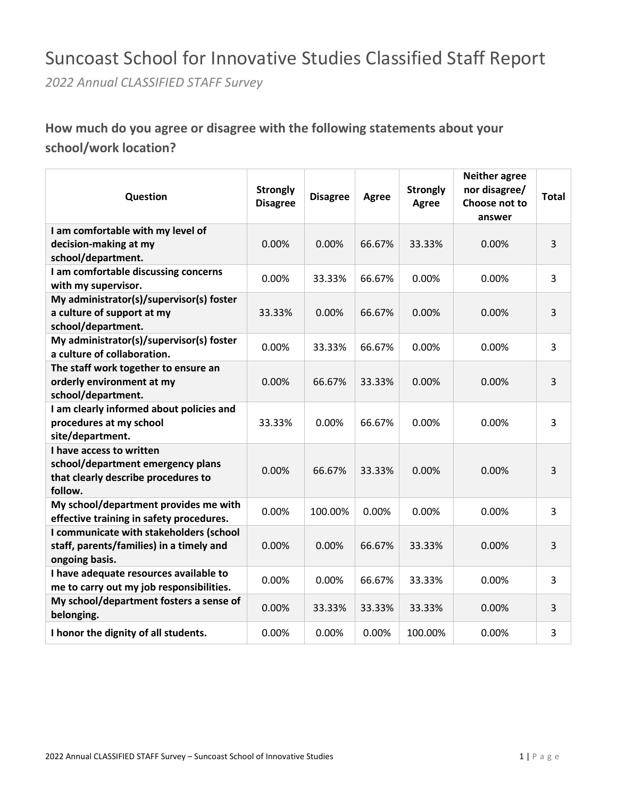## Suncoast School for Innovative Studies Classified Staff Report

*2022 Annual CLASSIFIED STAFF Survey*

## **How much do you agree or disagree with the following statements about your school/work location?**

| Question                                                                                                        | <b>Strongly</b><br><b>Disagree</b> | <b>Disagree</b> | Agree  | <b>Strongly</b><br>Agree | <b>Neither agree</b><br>nor disagree/<br>Choose not to<br>answer | <b>Total</b> |
|-----------------------------------------------------------------------------------------------------------------|------------------------------------|-----------------|--------|--------------------------|------------------------------------------------------------------|--------------|
| I am comfortable with my level of<br>decision-making at my<br>school/department.                                | 0.00%                              | 0.00%           | 66.67% | 33.33%                   | 0.00%                                                            | 3            |
| I am comfortable discussing concerns<br>with my supervisor.                                                     | 0.00%                              | 33.33%          | 66.67% | 0.00%                    | 0.00%                                                            | 3            |
| My administrator(s)/supervisor(s) foster<br>a culture of support at my<br>school/department.                    | 33.33%                             | 0.00%           | 66.67% | 0.00%                    | 0.00%                                                            | 3            |
| My administrator(s)/supervisor(s) foster<br>a culture of collaboration.                                         | 0.00%                              | 33.33%          | 66.67% | 0.00%                    | 0.00%                                                            | 3            |
| The staff work together to ensure an<br>orderly environment at my<br>school/department.                         | 0.00%                              | 66.67%          | 33.33% | 0.00%                    | 0.00%                                                            | 3            |
| I am clearly informed about policies and<br>procedures at my school<br>site/department.                         | 33.33%                             | 0.00%           | 66.67% | 0.00%                    | 0.00%                                                            | 3            |
| I have access to written<br>school/department emergency plans<br>that clearly describe procedures to<br>follow. | 0.00%                              | 66.67%          | 33.33% | 0.00%                    | 0.00%                                                            | 3            |
| My school/department provides me with<br>effective training in safety procedures.                               | 0.00%                              | 100.00%         | 0.00%  | 0.00%                    | 0.00%                                                            | 3            |
| I communicate with stakeholders (school<br>staff, parents/families) in a timely and<br>ongoing basis.           | 0.00%                              | 0.00%           | 66.67% | 33.33%                   | 0.00%                                                            | 3            |
| I have adequate resources available to<br>me to carry out my job responsibilities.                              | 0.00%                              | 0.00%           | 66.67% | 33.33%                   | 0.00%                                                            | 3            |
| My school/department fosters a sense of<br>belonging.                                                           | 0.00%                              | 33.33%          | 33.33% | 33.33%                   | 0.00%                                                            | 3            |
| I honor the dignity of all students.                                                                            | 0.00%                              | 0.00%           | 0.00%  | 100.00%                  | 0.00%                                                            | 3            |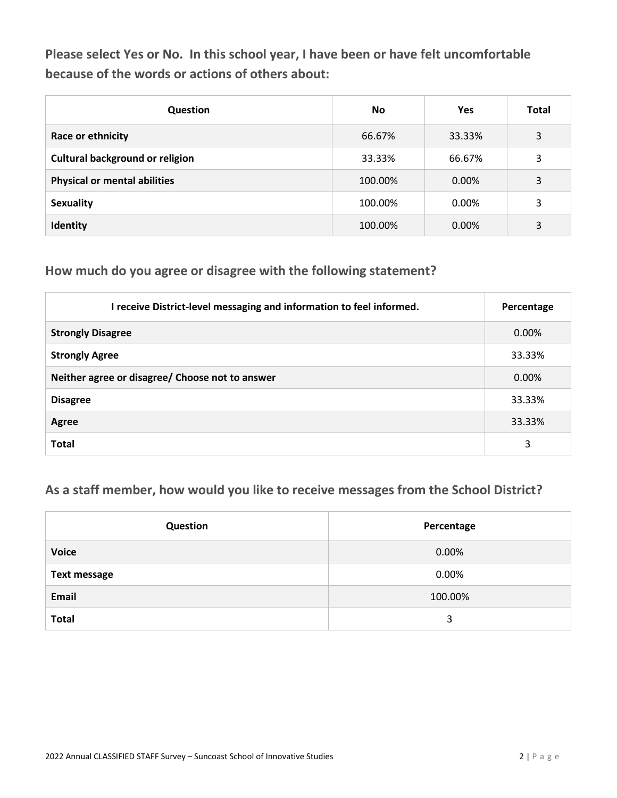**Please select Yes or No. In this school year, I have been or have felt uncomfortable because of the words or actions of others about:**

| Question                               | <b>No</b> | <b>Yes</b> | <b>Total</b> |
|----------------------------------------|-----------|------------|--------------|
| Race or ethnicity                      | 66.67%    | 33.33%     | 3            |
| <b>Cultural background or religion</b> | 33.33%    | 66.67%     | 3            |
| <b>Physical or mental abilities</b>    | 100.00%   | $0.00\%$   | 3            |
| <b>Sexuality</b>                       | 100.00%   | 0.00%      | 3            |
| Identity                               | 100.00%   | 0.00%      | 3            |

#### **How much do you agree or disagree with the following statement?**

| I receive District-level messaging and information to feel informed. | Percentage |
|----------------------------------------------------------------------|------------|
| <b>Strongly Disagree</b>                                             | $0.00\%$   |
| <b>Strongly Agree</b>                                                | 33.33%     |
| Neither agree or disagree/ Choose not to answer                      | 0.00%      |
| <b>Disagree</b>                                                      | 33.33%     |
| Agree                                                                | 33.33%     |
| <b>Total</b>                                                         | 3          |

### **As a staff member, how would you like to receive messages from the School District?**

| Question            | Percentage |
|---------------------|------------|
| <b>Voice</b>        | 0.00%      |
| <b>Text message</b> | 0.00%      |
| <b>Email</b>        | 100.00%    |
| <b>Total</b>        | 3          |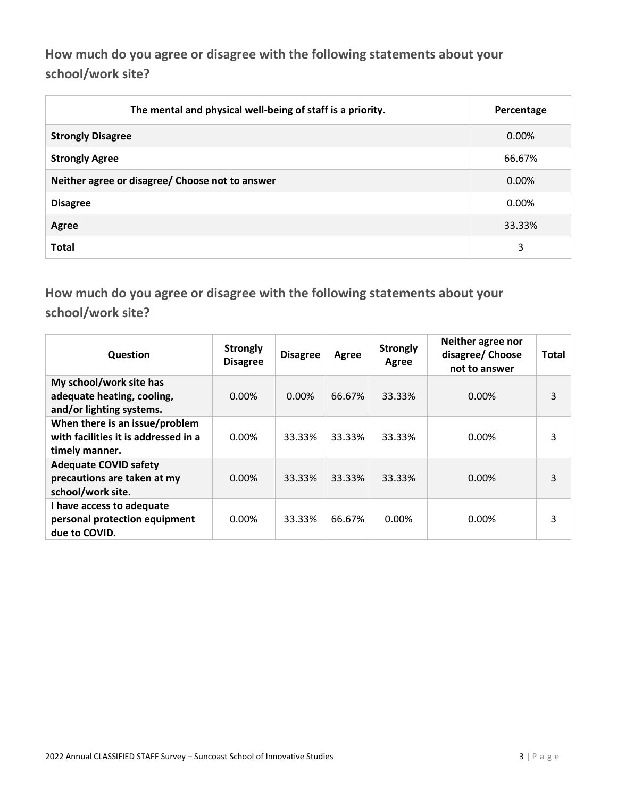**How much do you agree or disagree with the following statements about your school/work site?**

| The mental and physical well-being of staff is a priority. | Percentage |
|------------------------------------------------------------|------------|
| <b>Strongly Disagree</b>                                   | 0.00%      |
| <b>Strongly Agree</b>                                      | 66.67%     |
| Neither agree or disagree/ Choose not to answer            | 0.00%      |
| <b>Disagree</b>                                            | $0.00\%$   |
| Agree                                                      | 33.33%     |
| <b>Total</b>                                               | 3          |

**How much do you agree or disagree with the following statements about your school/work site?**

| Question                                                                                 | <b>Strongly</b><br><b>Disagree</b> | <b>Disagree</b> | Agree  | <b>Strongly</b><br>Agree | Neither agree nor<br>disagree/ Choose<br>not to answer | Total |
|------------------------------------------------------------------------------------------|------------------------------------|-----------------|--------|--------------------------|--------------------------------------------------------|-------|
| My school/work site has<br>adequate heating, cooling,<br>and/or lighting systems.        | $0.00\%$                           | $0.00\%$        | 66.67% | 33.33%                   | $0.00\%$                                               | 3     |
| When there is an issue/problem<br>with facilities it is addressed in a<br>timely manner. | 0.00%                              | 33.33%          | 33.33% | 33.33%                   | 0.00%                                                  | 3     |
| <b>Adequate COVID safety</b><br>precautions are taken at my<br>school/work site.         | $0.00\%$                           | 33.33%          | 33.33% | 33.33%                   | $0.00\%$                                               | 3     |
| I have access to adequate<br>personal protection equipment<br>due to COVID.              | 0.00%                              | 33.33%          | 66.67% | $0.00\%$                 | 0.00%                                                  | 3     |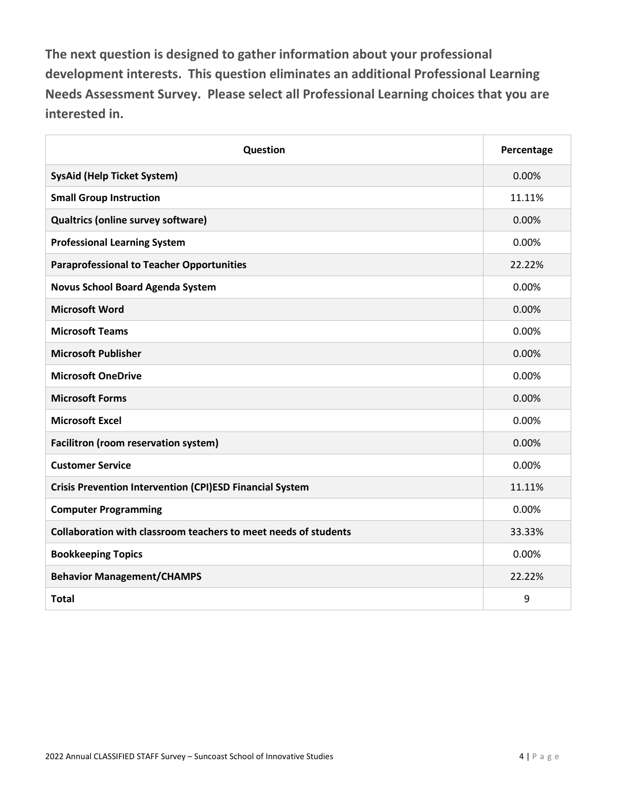**The next question is designed to gather information about your professional development interests. This question eliminates an additional Professional Learning Needs Assessment Survey. Please select all Professional Learning choices that you are interested in.**

| Question                                                        | Percentage |
|-----------------------------------------------------------------|------------|
| <b>SysAid (Help Ticket System)</b>                              | 0.00%      |
| <b>Small Group Instruction</b>                                  | 11.11%     |
| Qualtrics (online survey software)                              | 0.00%      |
| <b>Professional Learning System</b>                             | 0.00%      |
| <b>Paraprofessional to Teacher Opportunities</b>                | 22.22%     |
| <b>Novus School Board Agenda System</b>                         | 0.00%      |
| <b>Microsoft Word</b>                                           | 0.00%      |
| <b>Microsoft Teams</b>                                          | 0.00%      |
| <b>Microsoft Publisher</b>                                      | 0.00%      |
| <b>Microsoft OneDrive</b>                                       | 0.00%      |
| <b>Microsoft Forms</b>                                          | 0.00%      |
| <b>Microsoft Excel</b>                                          | 0.00%      |
| Facilitron (room reservation system)                            | 0.00%      |
| <b>Customer Service</b>                                         | 0.00%      |
| <b>Crisis Prevention Intervention (CPI)ESD Financial System</b> | 11.11%     |
| <b>Computer Programming</b>                                     | 0.00%      |
| Collaboration with classroom teachers to meet needs of students | 33.33%     |
| <b>Bookkeeping Topics</b>                                       | 0.00%      |
| <b>Behavior Management/CHAMPS</b>                               | 22.22%     |
| <b>Total</b>                                                    | 9          |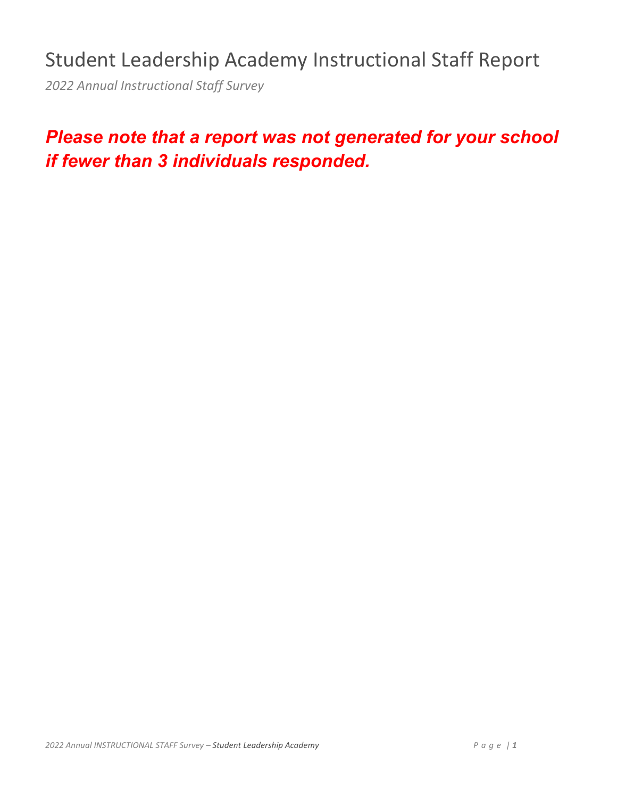## Student Leadership Academy Instructional Staff Report

*2022 Annual Instructional Staff Survey*

## *Please note that a report was not generated for your school if fewer than 3 individuals responded.*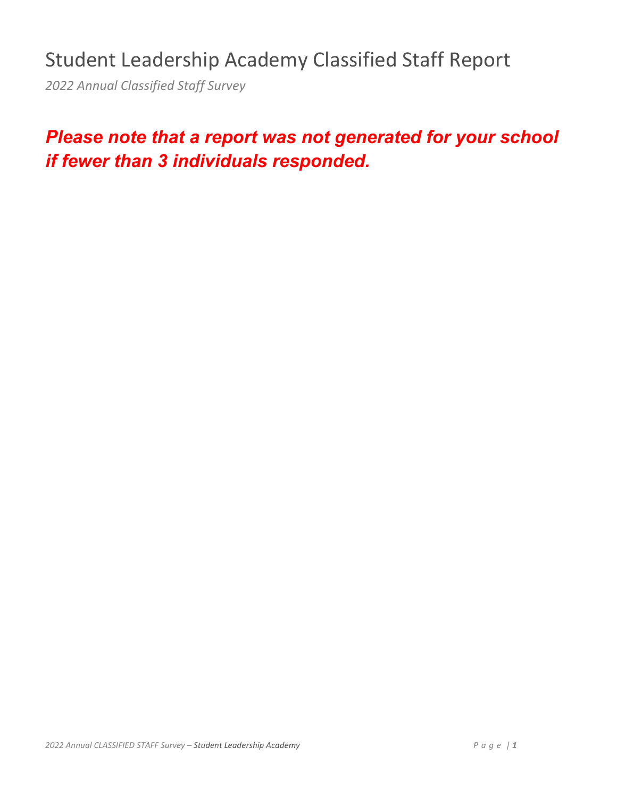## Student Leadership Academy Classified Staff Report

*2022 Annual Classified Staff Survey*

## *Please note that a report was not generated for your school if fewer than 3 individuals responded.*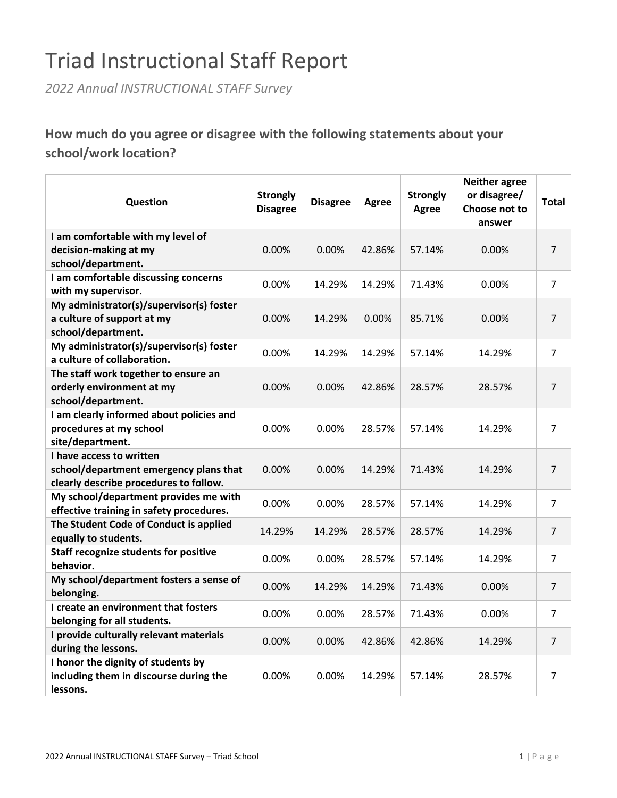# Triad Instructional Staff Report

*2022 Annual INSTRUCTIONAL STAFF Survey*

**How much do you agree or disagree with the following statements about your school/work location?**

| Question                                                       | <b>Strongly</b><br><b>Disagree</b> | <b>Disagree</b> | Agree  | <b>Strongly</b><br><b>Agree</b> | <b>Neither agree</b><br>or disagree/<br>Choose not to<br>answer | <b>Total</b>   |
|----------------------------------------------------------------|------------------------------------|-----------------|--------|---------------------------------|-----------------------------------------------------------------|----------------|
| I am comfortable with my level of                              |                                    |                 |        |                                 |                                                                 |                |
| decision-making at my                                          | 0.00%                              | 0.00%           | 42.86% | 57.14%                          | 0.00%                                                           | $\overline{7}$ |
| school/department.                                             |                                    |                 |        |                                 |                                                                 |                |
| I am comfortable discussing concerns                           |                                    |                 |        |                                 |                                                                 |                |
| with my supervisor.                                            | 0.00%                              | 14.29%          | 14.29% | 71.43%                          | 0.00%                                                           | $\overline{7}$ |
| My administrator(s)/supervisor(s) foster                       |                                    |                 |        |                                 |                                                                 |                |
| a culture of support at my                                     | 0.00%                              | 14.29%          | 0.00%  | 85.71%                          | 0.00%                                                           | 7              |
| school/department.                                             |                                    |                 |        |                                 |                                                                 |                |
| My administrator(s)/supervisor(s) foster                       |                                    |                 |        |                                 |                                                                 |                |
| a culture of collaboration.                                    | 0.00%                              | 14.29%          | 14.29% | 57.14%                          | 14.29%                                                          | $\overline{7}$ |
| The staff work together to ensure an                           |                                    |                 |        |                                 |                                                                 |                |
| orderly environment at my                                      | 0.00%                              | 0.00%           | 42.86% | 28.57%                          | 28.57%                                                          | $\overline{7}$ |
| school/department.                                             |                                    |                 |        |                                 |                                                                 |                |
| I am clearly informed about policies and                       |                                    |                 |        |                                 |                                                                 |                |
| procedures at my school                                        | 0.00%                              | 0.00%           | 28.57% | 57.14%                          | 14.29%                                                          | 7              |
|                                                                |                                    |                 |        |                                 |                                                                 |                |
| site/department.                                               |                                    |                 |        |                                 |                                                                 |                |
| I have access to written                                       |                                    |                 |        |                                 |                                                                 |                |
| school/department emergency plans that                         | 0.00%                              | 0.00%           | 14.29% | 71.43%                          | 14.29%                                                          | $\overline{7}$ |
| clearly describe procedures to follow.                         |                                    |                 |        |                                 |                                                                 |                |
| My school/department provides me with                          | 0.00%                              | $0.00\%$        | 28.57% | 57.14%                          | 14.29%                                                          | $\overline{7}$ |
| effective training in safety procedures.                       |                                    |                 |        |                                 |                                                                 |                |
| The Student Code of Conduct is applied<br>equally to students. | 14.29%                             | 14.29%          | 28.57% | 28.57%                          | 14.29%                                                          | $\overline{7}$ |
| Staff recognize students for positive                          |                                    |                 |        |                                 |                                                                 |                |
| behavior.                                                      | 0.00%                              | 0.00%           | 28.57% | 57.14%                          | 14.29%                                                          | $\overline{7}$ |
| My school/department fosters a sense of                        | 0.00%                              | 14.29%          | 14.29% | 71.43%                          | 0.00%                                                           | $\overline{7}$ |
| belonging.                                                     |                                    |                 |        |                                 |                                                                 |                |
| I create an environment that fosters                           | 0.00%                              | 0.00%           | 28.57% | 71.43%                          | 0.00%                                                           | $\overline{7}$ |
| belonging for all students.                                    |                                    |                 |        |                                 |                                                                 |                |
| I provide culturally relevant materials<br>during the lessons. | 0.00%                              | $0.00\%$        | 42.86% | 42.86%                          | 14.29%                                                          | $\overline{7}$ |
| I honor the dignity of students by                             |                                    |                 |        |                                 |                                                                 |                |
| including them in discourse during the<br>lessons.             | 0.00%                              | 0.00%           | 14.29% | 57.14%                          | 28.57%                                                          | $\overline{7}$ |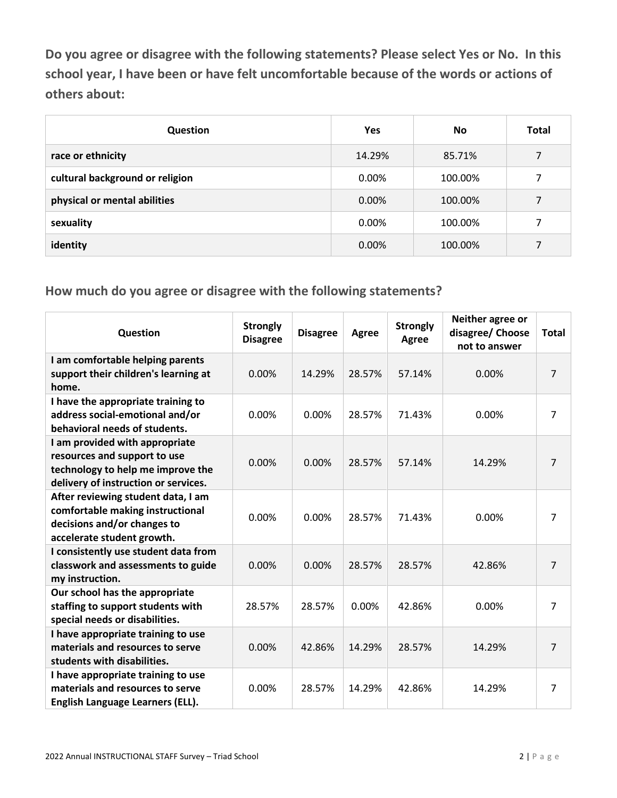**Do you agree or disagree with the following statements? Please select Yes or No. In this school year, I have been or have felt uncomfortable because of the words or actions of others about:**

| Question                        | <b>Yes</b> | No      | <b>Total</b> |
|---------------------------------|------------|---------|--------------|
| race or ethnicity               | 14.29%     | 85.71%  | 7            |
| cultural background or religion | 0.00%      | 100.00% | 7            |
| physical or mental abilities    | 0.00%      | 100.00% | 7            |
| sexuality                       | 0.00%      | 100.00% | 7            |
| identity                        | 0.00%      | 100.00% | 7            |

| Question                                                                                                                                    | <b>Strongly</b><br><b>Disagree</b> | <b>Disagree</b> | Agree  | <b>Strongly</b><br>Agree | Neither agree or<br>disagree/ Choose<br>not to answer | <b>Total</b>   |
|---------------------------------------------------------------------------------------------------------------------------------------------|------------------------------------|-----------------|--------|--------------------------|-------------------------------------------------------|----------------|
| I am comfortable helping parents<br>support their children's learning at<br>home.                                                           | 0.00%                              | 14.29%          | 28.57% | 57.14%                   | 0.00%                                                 | $\overline{7}$ |
| I have the appropriate training to<br>address social-emotional and/or<br>behavioral needs of students.                                      | 0.00%                              | 0.00%           | 28.57% | 71.43%                   | 0.00%                                                 | $\overline{7}$ |
| I am provided with appropriate<br>resources and support to use<br>technology to help me improve the<br>delivery of instruction or services. | 0.00%                              | 0.00%           | 28.57% | 57.14%                   | 14.29%                                                | 7              |
| After reviewing student data, I am<br>comfortable making instructional<br>decisions and/or changes to<br>accelerate student growth.         | 0.00%                              | 0.00%           | 28.57% | 71.43%                   | 0.00%                                                 | 7              |
| I consistently use student data from<br>classwork and assessments to guide<br>my instruction.                                               | 0.00%                              | 0.00%           | 28.57% | 28.57%                   | 42.86%                                                | $\overline{7}$ |
| Our school has the appropriate<br>staffing to support students with<br>special needs or disabilities.                                       | 28.57%                             | 28.57%          | 0.00%  | 42.86%                   | 0.00%                                                 | $\overline{7}$ |
| I have appropriate training to use<br>materials and resources to serve<br>students with disabilities.                                       | 0.00%                              | 42.86%          | 14.29% | 28.57%                   | 14.29%                                                | 7              |
| I have appropriate training to use<br>materials and resources to serve<br>English Language Learners (ELL).                                  | 0.00%                              | 28.57%          | 14.29% | 42.86%                   | 14.29%                                                | 7              |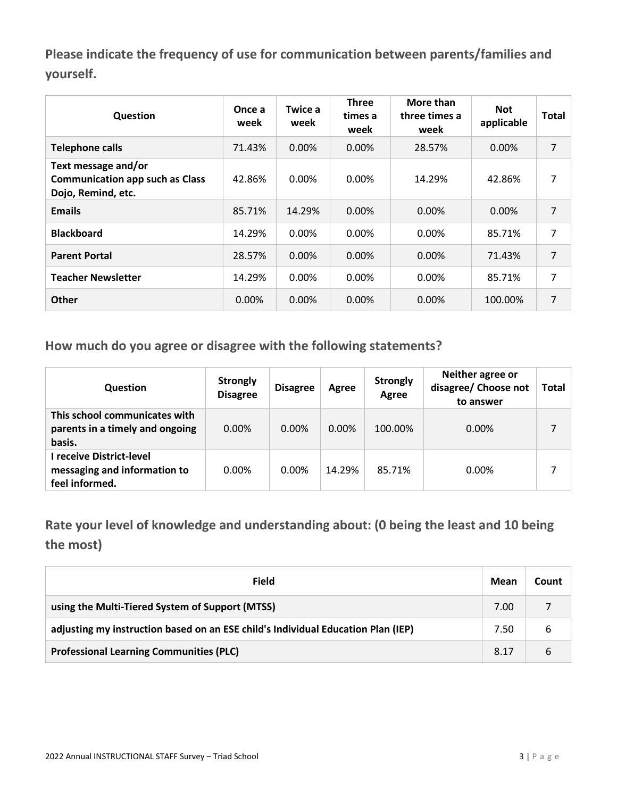**Please indicate the frequency of use for communication between parents/families and yourself.**

| Question                                                                            | Once a<br>week | Twice a<br>week | <b>Three</b><br>times a<br>week | More than<br>three times a<br>week | <b>Not</b><br>applicable | <b>Total</b> |
|-------------------------------------------------------------------------------------|----------------|-----------------|---------------------------------|------------------------------------|--------------------------|--------------|
| <b>Telephone calls</b>                                                              | 71.43%         | 0.00%           | $0.00\%$                        | 28.57%                             | 0.00%                    | 7            |
| Text message and/or<br><b>Communication app such as Class</b><br>Dojo, Remind, etc. | 42.86%         | 0.00%           | 0.00%                           | 14.29%                             | 42.86%                   | 7            |
| <b>Emails</b>                                                                       | 85.71%         | 14.29%          | 0.00%                           | $0.00\%$                           | 0.00%                    | 7            |
| <b>Blackboard</b>                                                                   | 14.29%         | $0.00\%$        | $0.00\%$                        | $0.00\%$                           | 85.71%                   | 7            |
| <b>Parent Portal</b>                                                                | 28.57%         | $0.00\%$        | $0.00\%$                        | $0.00\%$                           | 71.43%                   | 7            |
| <b>Teacher Newsletter</b>                                                           | 14.29%         | 0.00%           | $0.00\%$                        | 0.00%                              | 85.71%                   | 7            |
| <b>Other</b>                                                                        | 0.00%          | 0.00%           | 0.00%                           | 0.00%                              | 100.00%                  | 7            |

**How much do you agree or disagree with the following statements?**

| <b>Question</b>                                                            | <b>Strongly</b><br><b>Disagree</b> | <b>Disagree</b> | Agree    | <b>Strongly</b><br>Agree | Neither agree or<br>disagree/ Choose not<br>to answer | Total |
|----------------------------------------------------------------------------|------------------------------------|-----------------|----------|--------------------------|-------------------------------------------------------|-------|
| This school communicates with<br>parents in a timely and ongoing<br>basis. | $0.00\%$                           | $0.00\%$        | $0.00\%$ | 100.00%                  | $0.00\%$                                              |       |
| I receive District-level<br>messaging and information to<br>feel informed. | $0.00\%$                           | $0.00\%$        | 14.29%   | 85.71%                   | 0.00%                                                 |       |

**Rate your level of knowledge and understanding about: (0 being the least and 10 being the most)**

| Field                                                                            | Mean | Count |
|----------------------------------------------------------------------------------|------|-------|
| using the Multi-Tiered System of Support (MTSS)                                  | 7.00 |       |
| adjusting my instruction based on an ESE child's Individual Education Plan (IEP) | 7.50 | 6     |
| <b>Professional Learning Communities (PLC)</b>                                   | 8.17 | 6     |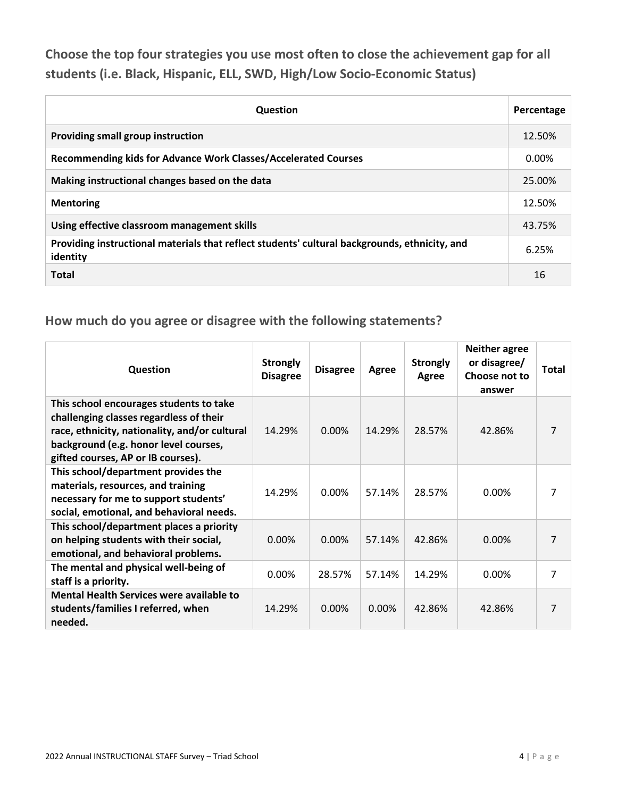**Choose the top four strategies you use most often to close the achievement gap for all students (i.e. Black, Hispanic, ELL, SWD, High/Low Socio-Economic Status)**

| <b>Question</b>                                                                                           | Percentage |
|-----------------------------------------------------------------------------------------------------------|------------|
| Providing small group instruction                                                                         | 12.50%     |
| Recommending kids for Advance Work Classes/Accelerated Courses                                            | 0.00%      |
| Making instructional changes based on the data                                                            | 25.00%     |
| <b>Mentoring</b>                                                                                          | 12.50%     |
| Using effective classroom management skills                                                               | 43.75%     |
| Providing instructional materials that reflect students' cultural backgrounds, ethnicity, and<br>identity | 6.25%      |
| <b>Total</b>                                                                                              | 16         |

| Question                                                                                                                                                                                                           | <b>Strongly</b><br><b>Disagree</b> | <b>Disagree</b> | Agree    | <b>Strongly</b><br>Agree | <b>Neither agree</b><br>or disagree/<br>Choose not to<br>answer | Total |
|--------------------------------------------------------------------------------------------------------------------------------------------------------------------------------------------------------------------|------------------------------------|-----------------|----------|--------------------------|-----------------------------------------------------------------|-------|
| This school encourages students to take<br>challenging classes regardless of their<br>race, ethnicity, nationality, and/or cultural<br>background (e.g. honor level courses,<br>gifted courses, AP or IB courses). | 14.29%                             | $0.00\%$        | 14.29%   | 28.57%                   | 42.86%                                                          | 7     |
| This school/department provides the<br>materials, resources, and training<br>necessary for me to support students'<br>social, emotional, and behavioral needs.                                                     | 14.29%                             | 0.00%           | 57.14%   | 28.57%                   | 0.00%                                                           | 7     |
| This school/department places a priority<br>on helping students with their social,<br>emotional, and behavioral problems.                                                                                          | 0.00%                              | $0.00\%$        | 57.14%   | 42.86%                   | $0.00\%$                                                        | 7     |
| The mental and physical well-being of<br>staff is a priority.                                                                                                                                                      | 0.00%                              | 28.57%          | 57.14%   | 14.29%                   | 0.00%                                                           | 7     |
| <b>Mental Health Services were available to</b><br>students/families I referred, when<br>needed.                                                                                                                   | 14.29%                             | $0.00\%$        | $0.00\%$ | 42.86%                   | 42.86%                                                          | 7     |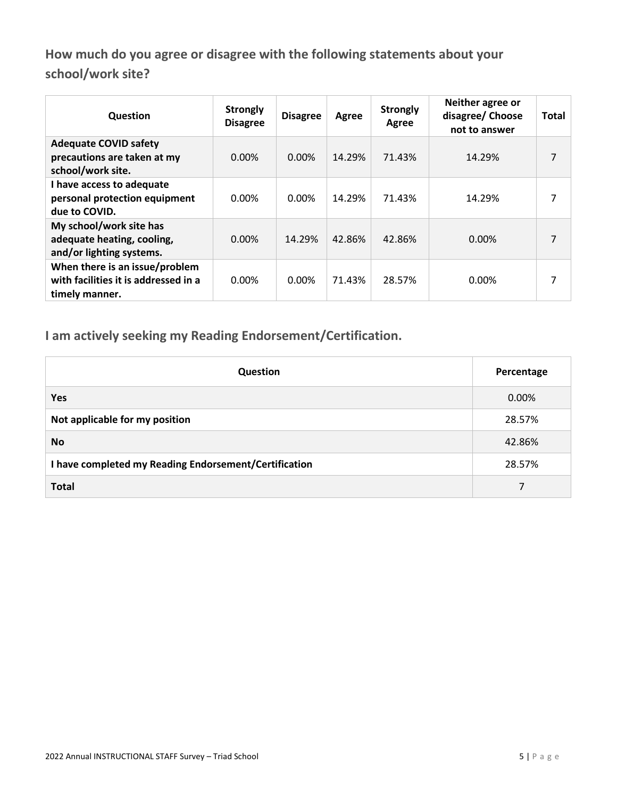**How much do you agree or disagree with the following statements about your school/work site?**

| Question                                                                                 | <b>Strongly</b><br><b>Disagree</b> | <b>Disagree</b> | Agree  | <b>Strongly</b><br>Agree | Neither agree or<br>disagree/ Choose<br>not to answer | <b>Total</b> |
|------------------------------------------------------------------------------------------|------------------------------------|-----------------|--------|--------------------------|-------------------------------------------------------|--------------|
| <b>Adequate COVID safety</b><br>precautions are taken at my<br>school/work site.         | $0.00\%$                           | $0.00\%$        | 14.29% | 71.43%                   | 14.29%                                                | 7            |
| I have access to adequate<br>personal protection equipment<br>due to COVID.              | 0.00%                              | 0.00%           | 14.29% | 71.43%                   | 14.29%                                                | 7            |
| My school/work site has<br>adequate heating, cooling,<br>and/or lighting systems.        | $0.00\%$                           | 14.29%          | 42.86% | 42.86%                   | $0.00\%$                                              | 7            |
| When there is an issue/problem<br>with facilities it is addressed in a<br>timely manner. | 0.00%                              | 0.00%           | 71.43% | 28.57%                   | 0.00%                                                 | 7            |

**I am actively seeking my Reading Endorsement/Certification.**

| <b>Question</b>                                       | Percentage |
|-------------------------------------------------------|------------|
| <b>Yes</b>                                            | 0.00%      |
| Not applicable for my position                        | 28.57%     |
| <b>No</b>                                             | 42.86%     |
| I have completed my Reading Endorsement/Certification | 28.57%     |
| <b>Total</b>                                          | 7          |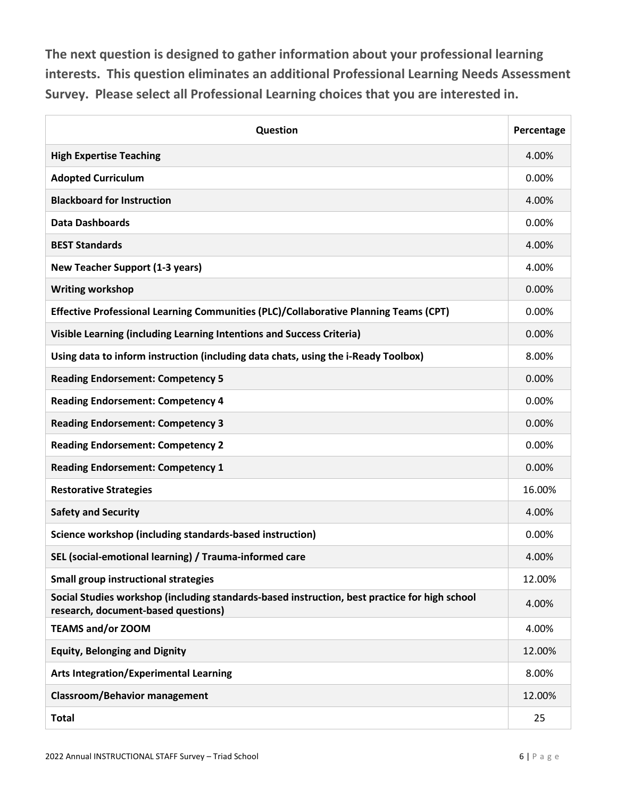**The next question is designed to gather information about your professional learning interests. This question eliminates an additional Professional Learning Needs Assessment Survey. Please select all Professional Learning choices that you are interested in.**

| Question                                                                                                                             | Percentage |
|--------------------------------------------------------------------------------------------------------------------------------------|------------|
| <b>High Expertise Teaching</b>                                                                                                       | 4.00%      |
| <b>Adopted Curriculum</b>                                                                                                            | 0.00%      |
| <b>Blackboard for Instruction</b>                                                                                                    | 4.00%      |
| <b>Data Dashboards</b>                                                                                                               | 0.00%      |
| <b>BEST Standards</b>                                                                                                                | 4.00%      |
| <b>New Teacher Support (1-3 years)</b>                                                                                               | 4.00%      |
| <b>Writing workshop</b>                                                                                                              | 0.00%      |
| Effective Professional Learning Communities (PLC)/Collaborative Planning Teams (CPT)                                                 | 0.00%      |
| Visible Learning (including Learning Intentions and Success Criteria)                                                                | 0.00%      |
| Using data to inform instruction (including data chats, using the i-Ready Toolbox)                                                   | 8.00%      |
| <b>Reading Endorsement: Competency 5</b>                                                                                             | 0.00%      |
| <b>Reading Endorsement: Competency 4</b>                                                                                             | 0.00%      |
| <b>Reading Endorsement: Competency 3</b>                                                                                             | 0.00%      |
| <b>Reading Endorsement: Competency 2</b>                                                                                             | 0.00%      |
| <b>Reading Endorsement: Competency 1</b>                                                                                             | 0.00%      |
| <b>Restorative Strategies</b>                                                                                                        | 16.00%     |
| <b>Safety and Security</b>                                                                                                           | 4.00%      |
| Science workshop (including standards-based instruction)                                                                             | 0.00%      |
| SEL (social-emotional learning) / Trauma-informed care                                                                               | 4.00%      |
| <b>Small group instructional strategies</b>                                                                                          | 12.00%     |
| Social Studies workshop (including standards-based instruction, best practice for high school<br>research, document-based questions) | 4.00%      |
| <b>TEAMS and/or ZOOM</b>                                                                                                             | 4.00%      |
| <b>Equity, Belonging and Dignity</b>                                                                                                 | 12.00%     |
| <b>Arts Integration/Experimental Learning</b>                                                                                        | 8.00%      |
| <b>Classroom/Behavior management</b>                                                                                                 | 12.00%     |
| <b>Total</b>                                                                                                                         | 25         |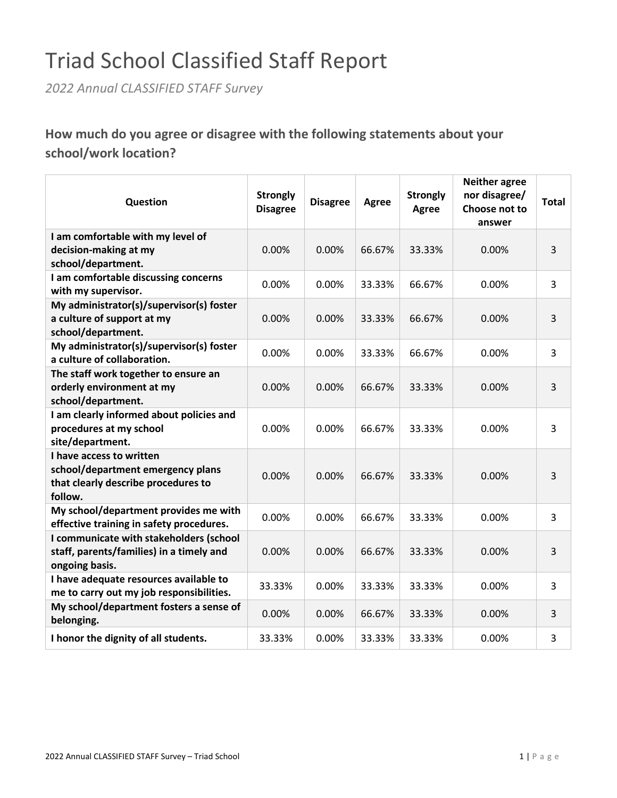# Triad School Classified Staff Report

*2022 Annual CLASSIFIED STAFF Survey*

**How much do you agree or disagree with the following statements about your school/work location?**

| Question                                                                                                        | <b>Strongly</b><br><b>Disagree</b> | <b>Disagree</b> | <b>Agree</b> | <b>Strongly</b><br><b>Agree</b> | <b>Neither agree</b><br>nor disagree/<br>Choose not to<br>answer | <b>Total</b> |
|-----------------------------------------------------------------------------------------------------------------|------------------------------------|-----------------|--------------|---------------------------------|------------------------------------------------------------------|--------------|
| I am comfortable with my level of<br>decision-making at my<br>school/department.                                | 0.00%                              | 0.00%           | 66.67%       | 33.33%                          | 0.00%                                                            | 3            |
| I am comfortable discussing concerns<br>with my supervisor.                                                     | 0.00%                              | 0.00%           | 33.33%       | 66.67%                          | 0.00%                                                            | 3            |
| My administrator(s)/supervisor(s) foster<br>a culture of support at my<br>school/department.                    | 0.00%                              | 0.00%           | 33.33%       | 66.67%                          | 0.00%                                                            | 3            |
| My administrator(s)/supervisor(s) foster<br>a culture of collaboration.                                         | 0.00%                              | 0.00%           | 33.33%       | 66.67%                          | 0.00%                                                            | 3            |
| The staff work together to ensure an<br>orderly environment at my<br>school/department.                         | 0.00%                              | 0.00%           | 66.67%       | 33.33%                          | 0.00%                                                            | 3            |
| I am clearly informed about policies and<br>procedures at my school<br>site/department.                         | 0.00%                              | 0.00%           | 66.67%       | 33.33%                          | 0.00%                                                            | 3            |
| I have access to written<br>school/department emergency plans<br>that clearly describe procedures to<br>follow. | 0.00%                              | 0.00%           | 66.67%       | 33.33%                          | 0.00%                                                            | 3            |
| My school/department provides me with<br>effective training in safety procedures.                               | 0.00%                              | 0.00%           | 66.67%       | 33.33%                          | 0.00%                                                            | 3            |
| I communicate with stakeholders (school<br>staff, parents/families) in a timely and<br>ongoing basis.           | 0.00%                              | 0.00%           | 66.67%       | 33.33%                          | 0.00%                                                            | 3            |
| I have adequate resources available to<br>me to carry out my job responsibilities.                              | 33.33%                             | 0.00%           | 33.33%       | 33.33%                          | 0.00%                                                            | 3            |
| My school/department fosters a sense of<br>belonging.                                                           | 0.00%                              | 0.00%           | 66.67%       | 33.33%                          | 0.00%                                                            | 3            |
| I honor the dignity of all students.                                                                            | 33.33%                             | 0.00%           | 33.33%       | 33.33%                          | 0.00%                                                            | 3            |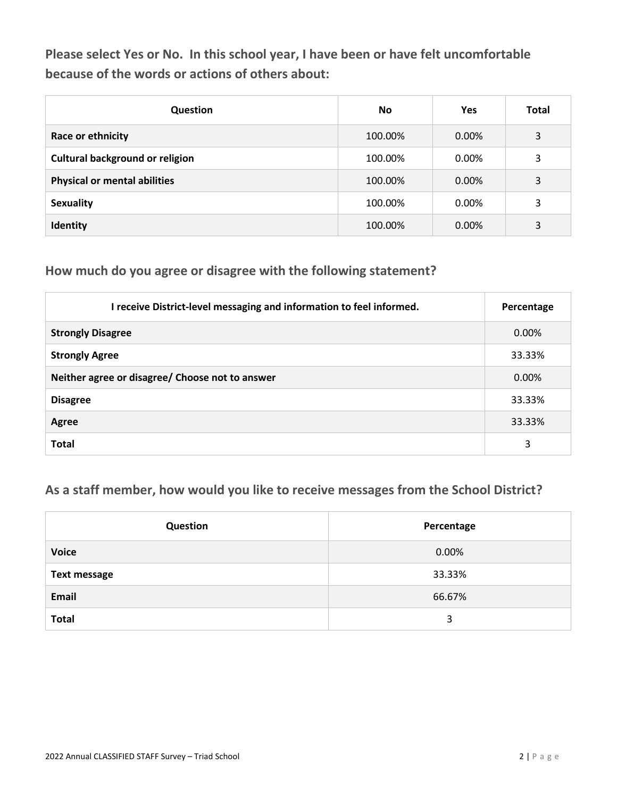**Please select Yes or No. In this school year, I have been or have felt uncomfortable because of the words or actions of others about:**

| <b>Question</b>                        | No.     | <b>Yes</b> | <b>Total</b> |
|----------------------------------------|---------|------------|--------------|
| Race or ethnicity                      | 100.00% | 0.00%      | 3            |
| <b>Cultural background or religion</b> | 100.00% | 0.00%      | 3            |
| <b>Physical or mental abilities</b>    | 100.00% | 0.00%      | 3            |
| <b>Sexuality</b>                       | 100.00% | 0.00%      | 3            |
| Identity                               | 100.00% | 0.00%      | 3            |

#### **How much do you agree or disagree with the following statement?**

| I receive District-level messaging and information to feel informed. | Percentage |
|----------------------------------------------------------------------|------------|
| <b>Strongly Disagree</b>                                             | $0.00\%$   |
| <b>Strongly Agree</b>                                                | 33.33%     |
| Neither agree or disagree/ Choose not to answer                      | 0.00%      |
| <b>Disagree</b>                                                      | 33.33%     |
| Agree                                                                | 33.33%     |
| <b>Total</b>                                                         | 3          |

### **As a staff member, how would you like to receive messages from the School District?**

| Question            | Percentage |
|---------------------|------------|
| <b>Voice</b>        | 0.00%      |
| <b>Text message</b> | 33.33%     |
| Email               | 66.67%     |
| <b>Total</b>        | 3          |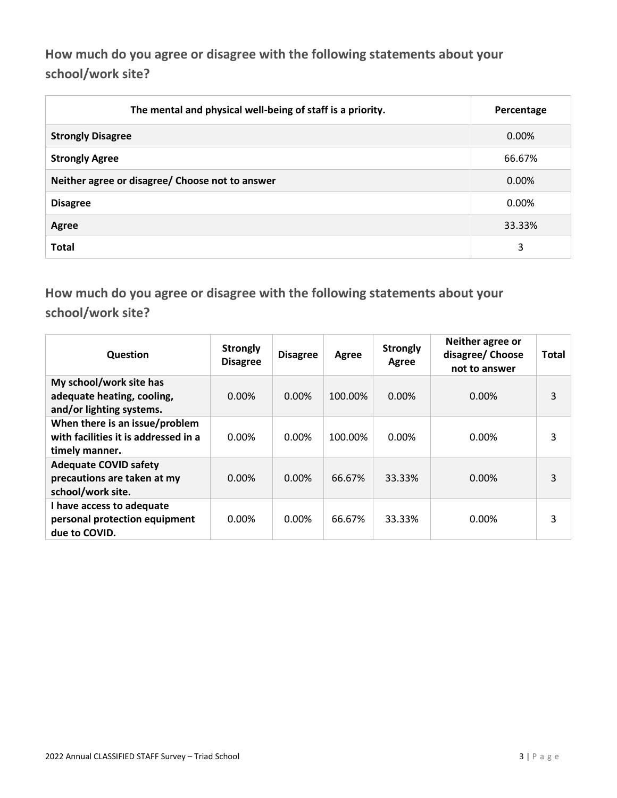**How much do you agree or disagree with the following statements about your school/work site?**

| The mental and physical well-being of staff is a priority. | Percentage |
|------------------------------------------------------------|------------|
| <b>Strongly Disagree</b>                                   | 0.00%      |
| <b>Strongly Agree</b>                                      | 66.67%     |
| Neither agree or disagree/ Choose not to answer            | 0.00%      |
| <b>Disagree</b>                                            | $0.00\%$   |
| Agree                                                      | 33.33%     |
| <b>Total</b>                                               | 3          |

**How much do you agree or disagree with the following statements about your school/work site?**

| Question                                                                                 | <b>Strongly</b><br><b>Disagree</b> | <b>Disagree</b> | Agree   | <b>Strongly</b><br>Agree | Neither agree or<br>disagree/ Choose<br>not to answer | Total |
|------------------------------------------------------------------------------------------|------------------------------------|-----------------|---------|--------------------------|-------------------------------------------------------|-------|
| My school/work site has<br>adequate heating, cooling,<br>and/or lighting systems.        | $0.00\%$                           | 0.00%           | 100.00% | 0.00%                    | 0.00%                                                 | 3     |
| When there is an issue/problem<br>with facilities it is addressed in a<br>timely manner. | 0.00%                              | 0.00%           | 100.00% | 0.00%                    | $0.00\%$                                              | 3     |
| <b>Adequate COVID safety</b><br>precautions are taken at my<br>school/work site.         | $0.00\%$                           | 0.00%           | 66.67%  | 33.33%                   | 0.00%                                                 | 3     |
| I have access to adequate<br>personal protection equipment<br>due to COVID.              | $0.00\%$                           | 0.00%           | 66.67%  | 33.33%                   | $0.00\%$                                              | 3     |